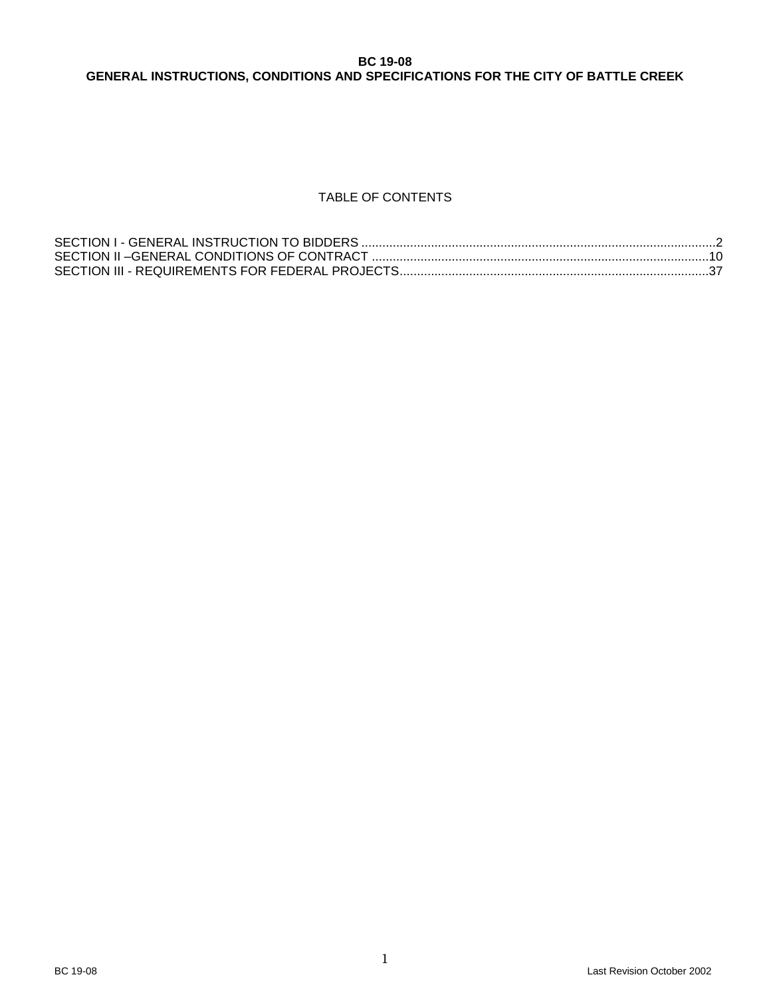# **BC 19-08 GENERAL INSTRUCTIONS, CONDITIONS AND SPECIFICATIONS FOR THE CITY OF BATTLE CREEK**

# TABLE OF CONTENTS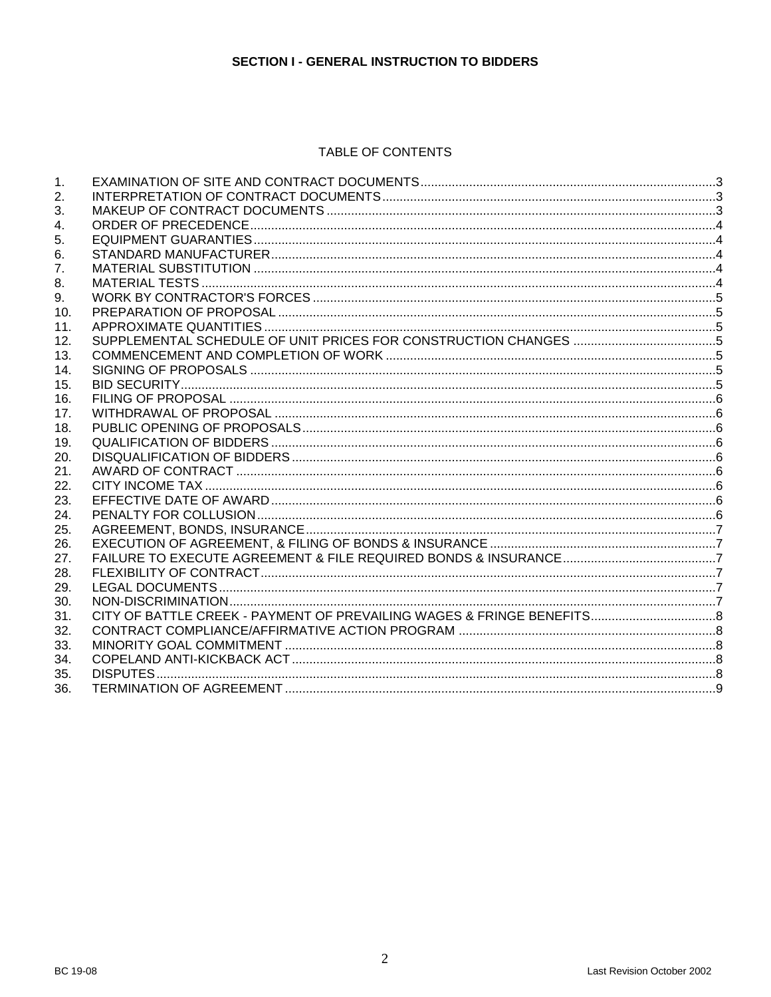# **SECTION I - GENERAL INSTRUCTION TO BIDDERS**

# TABLE OF CONTENTS

<span id="page-1-0"></span>

| $\mathbf{1}$ . |  |
|----------------|--|
| 2.             |  |
| 3.             |  |
| 4.             |  |
| 5.             |  |
| 6.             |  |
| 7 <sub>1</sub> |  |
| 8.             |  |
| 9.             |  |
| 10.            |  |
| 11.            |  |
| 12.            |  |
| 13.            |  |
| 14.            |  |
| 15.            |  |
| 16.            |  |
| 17.            |  |
| 18.            |  |
| 19.            |  |
| 20.            |  |
| 21.            |  |
| 22.            |  |
| 23.            |  |
| 24.            |  |
| 25.            |  |
| 26.            |  |
| 27.            |  |
| 28.            |  |
| 29.            |  |
| 30.            |  |
| 31.            |  |
| 32.            |  |
| 33.            |  |
| 34.            |  |
| 35.            |  |
| 36.            |  |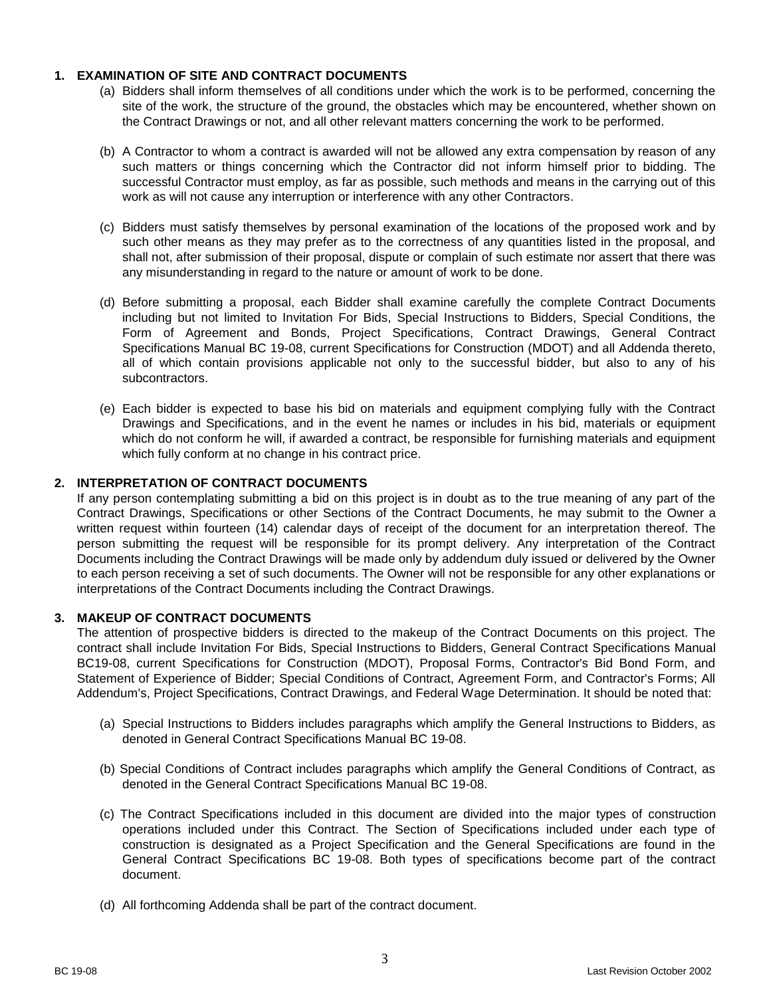## <span id="page-2-0"></span>**1. EXAMINATION OF SITE AND CONTRACT DOCUMENTS**

- (a) Bidders shall inform themselves of all conditions under which the work is to be performed, concerning the site of the work, the structure of the ground, the obstacles which may be encountered, whether shown on the Contract Drawings or not, and all other relevant matters concerning the work to be performed.
- (b) A Contractor to whom a contract is awarded will not be allowed any extra compensation by reason of any such matters or things concerning which the Contractor did not inform himself prior to bidding. The successful Contractor must employ, as far as possible, such methods and means in the carrying out of this work as will not cause any interruption or interference with any other Contractors.
- (c) Bidders must satisfy themselves by personal examination of the locations of the proposed work and by such other means as they may prefer as to the correctness of any quantities listed in the proposal, and shall not, after submission of their proposal, dispute or complain of such estimate nor assert that there was any misunderstanding in regard to the nature or amount of work to be done.
- (d) Before submitting a proposal, each Bidder shall examine carefully the complete Contract Documents including but not limited to Invitation For Bids, Special Instructions to Bidders, Special Conditions, the Form of Agreement and Bonds, Project Specifications, Contract Drawings, General Contract Specifications Manual BC 19-08, current Specifications for Construction (MDOT) and all Addenda thereto, all of which contain provisions applicable not only to the successful bidder, but also to any of his subcontractors.
- (e) Each bidder is expected to base his bid on materials and equipment complying fully with the Contract Drawings and Specifications, and in the event he names or includes in his bid, materials or equipment which do not conform he will, if awarded a contract, be responsible for furnishing materials and equipment which fully conform at no change in his contract price.

## <span id="page-2-1"></span>**2. INTERPRETATION OF CONTRACT DOCUMENTS**

If any person contemplating submitting a bid on this project is in doubt as to the true meaning of any part of the Contract Drawings, Specifications or other Sections of the Contract Documents, he may submit to the Owner a written request within fourteen (14) calendar days of receipt of the document for an interpretation thereof. The person submitting the request will be responsible for its prompt delivery. Any interpretation of the Contract Documents including the Contract Drawings will be made only by addendum duly issued or delivered by the Owner to each person receiving a set of such documents. The Owner will not be responsible for any other explanations or interpretations of the Contract Documents including the Contract Drawings.

#### <span id="page-2-2"></span>**3. MAKEUP OF CONTRACT DOCUMENTS**

The attention of prospective bidders is directed to the makeup of the Contract Documents on this project. The contract shall include Invitation For Bids, Special Instructions to Bidders, General Contract Specifications Manual BC19-08, current Specifications for Construction (MDOT), Proposal Forms, Contractor's Bid Bond Form, and Statement of Experience of Bidder; Special Conditions of Contract, Agreement Form, and Contractor's Forms; All Addendum's, Project Specifications, Contract Drawings, and Federal Wage Determination. It should be noted that:

- (a) Special Instructions to Bidders includes paragraphs which amplify the General Instructions to Bidders, as denoted in General Contract Specifications Manual BC 19-08.
- (b) Special Conditions of Contract includes paragraphs which amplify the General Conditions of Contract, as denoted in the General Contract Specifications Manual BC 19-08.
- (c) The Contract Specifications included in this document are divided into the major types of construction operations included under this Contract. The Section of Specifications included under each type of construction is designated as a Project Specification and the General Specifications are found in the General Contract Specifications BC 19-08. Both types of specifications become part of the contract document.
- (d) All forthcoming Addenda shall be part of the contract document.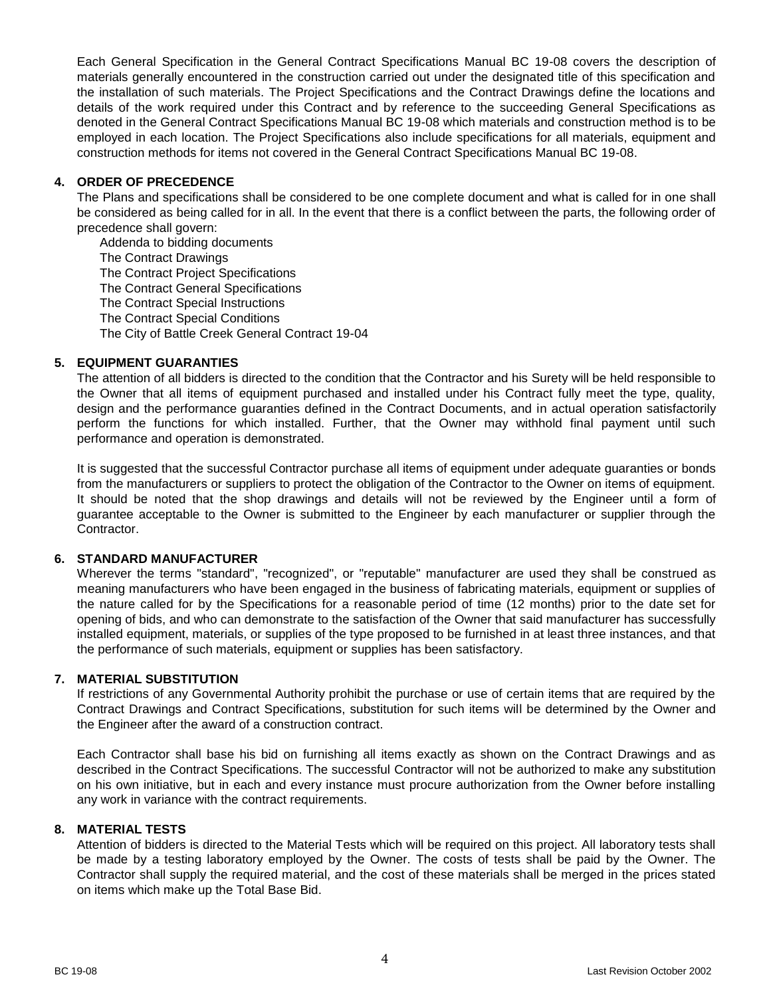Each General Specification in the General Contract Specifications Manual BC 19-08 covers the description of materials generally encountered in the construction carried out under the designated title of this specification and the installation of such materials. The Project Specifications and the Contract Drawings define the locations and details of the work required under this Contract and by reference to the succeeding General Specifications as denoted in the General Contract Specifications Manual BC 19-08 which materials and construction method is to be employed in each location. The Project Specifications also include specifications for all materials, equipment and construction methods for items not covered in the General Contract Specifications Manual BC 19-08.

## <span id="page-3-0"></span>**4. ORDER OF PRECEDENCE**

The Plans and specifications shall be considered to be one complete document and what is called for in one shall be considered as being called for in all. In the event that there is a conflict between the parts, the following order of precedence shall govern:

Addenda to bidding documents The Contract Drawings The Contract Project Specifications The Contract General Specifications The Contract Special Instructions The Contract Special Conditions The City of Battle Creek General Contract 19-04

# <span id="page-3-1"></span>**5. EQUIPMENT GUARANTIES**

The attention of all bidders is directed to the condition that the Contractor and his Surety will be held responsible to the Owner that all items of equipment purchased and installed under his Contract fully meet the type, quality, design and the performance guaranties defined in the Contract Documents, and in actual operation satisfactorily perform the functions for which installed. Further, that the Owner may withhold final payment until such performance and operation is demonstrated.

It is suggested that the successful Contractor purchase all items of equipment under adequate guaranties or bonds from the manufacturers or suppliers to protect the obligation of the Contractor to the Owner on items of equipment. It should be noted that the shop drawings and details will not be reviewed by the Engineer until a form of guarantee acceptable to the Owner is submitted to the Engineer by each manufacturer or supplier through the Contractor.

## <span id="page-3-2"></span>**6. STANDARD MANUFACTURER**

Wherever the terms "standard", "recognized", or "reputable" manufacturer are used they shall be construed as meaning manufacturers who have been engaged in the business of fabricating materials, equipment or supplies of the nature called for by the Specifications for a reasonable period of time (12 months) prior to the date set for opening of bids, and who can demonstrate to the satisfaction of the Owner that said manufacturer has successfully installed equipment, materials, or supplies of the type proposed to be furnished in at least three instances, and that the performance of such materials, equipment or supplies has been satisfactory.

## <span id="page-3-3"></span>**7. MATERIAL SUBSTITUTION**

If restrictions of any Governmental Authority prohibit the purchase or use of certain items that are required by the Contract Drawings and Contract Specifications, substitution for such items will be determined by the Owner and the Engineer after the award of a construction contract.

Each Contractor shall base his bid on furnishing all items exactly as shown on the Contract Drawings and as described in the Contract Specifications. The successful Contractor will not be authorized to make any substitution on his own initiative, but in each and every instance must procure authorization from the Owner before installing any work in variance with the contract requirements.

## <span id="page-3-4"></span>**8. MATERIAL TESTS**

Attention of bidders is directed to the Material Tests which will be required on this project. All laboratory tests shall be made by a testing laboratory employed by the Owner. The costs of tests shall be paid by the Owner. The Contractor shall supply the required material, and the cost of these materials shall be merged in the prices stated on items which make up the Total Base Bid.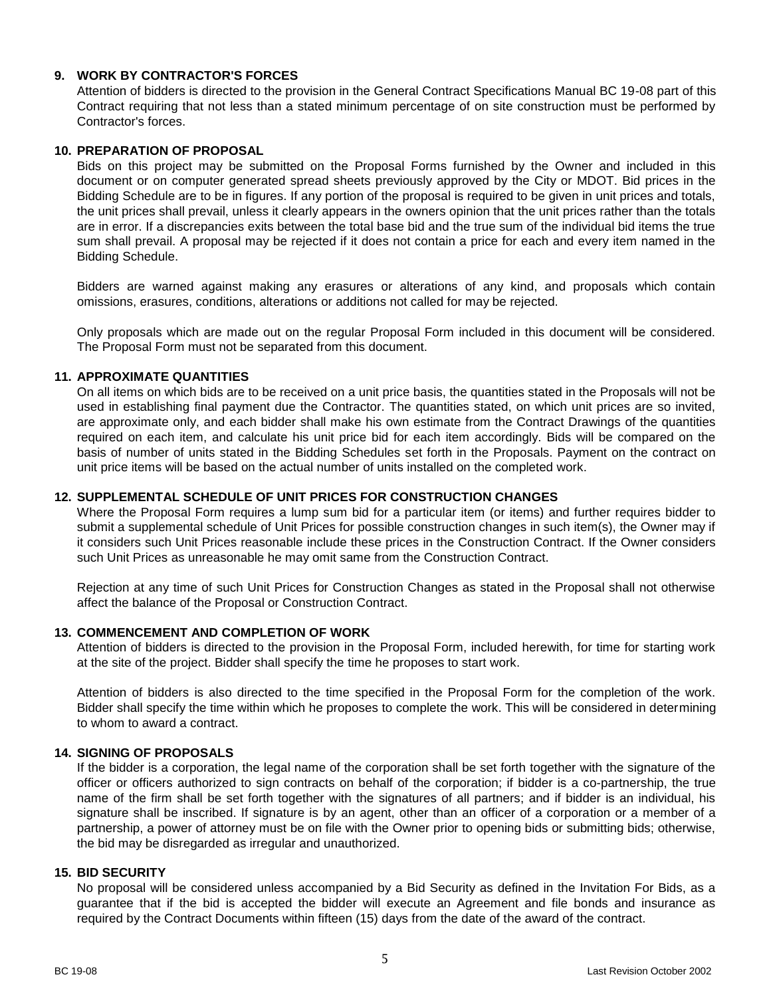## <span id="page-4-0"></span>**9. WORK BY CONTRACTOR'S FORCES**

Attention of bidders is directed to the provision in the General Contract Specifications Manual BC 19-08 part of this Contract requiring that not less than a stated minimum percentage of on site construction must be performed by Contractor's forces.

#### <span id="page-4-1"></span>**10. PREPARATION OF PROPOSAL**

Bids on this project may be submitted on the Proposal Forms furnished by the Owner and included in this document or on computer generated spread sheets previously approved by the City or MDOT. Bid prices in the Bidding Schedule are to be in figures. If any portion of the proposal is required to be given in unit prices and totals, the unit prices shall prevail, unless it clearly appears in the owners opinion that the unit prices rather than the totals are in error. If a discrepancies exits between the total base bid and the true sum of the individual bid items the true sum shall prevail. A proposal may be rejected if it does not contain a price for each and every item named in the Bidding Schedule.

Bidders are warned against making any erasures or alterations of any kind, and proposals which contain omissions, erasures, conditions, alterations or additions not called for may be rejected.

Only proposals which are made out on the regular Proposal Form included in this document will be considered. The Proposal Form must not be separated from this document.

# <span id="page-4-2"></span>**11. APPROXIMATE QUANTITIES**

On all items on which bids are to be received on a unit price basis, the quantities stated in the Proposals will not be used in establishing final payment due the Contractor. The quantities stated, on which unit prices are so invited, are approximate only, and each bidder shall make his own estimate from the Contract Drawings of the quantities required on each item, and calculate his unit price bid for each item accordingly. Bids will be compared on the basis of number of units stated in the Bidding Schedules set forth in the Proposals. Payment on the contract on unit price items will be based on the actual number of units installed on the completed work.

#### <span id="page-4-3"></span>**12. SUPPLEMENTAL SCHEDULE OF UNIT PRICES FOR CONSTRUCTION CHANGES**

Where the Proposal Form requires a lump sum bid for a particular item (or items) and further requires bidder to submit a supplemental schedule of Unit Prices for possible construction changes in such item(s), the Owner may if it considers such Unit Prices reasonable include these prices in the Construction Contract. If the Owner considers such Unit Prices as unreasonable he may omit same from the Construction Contract.

Rejection at any time of such Unit Prices for Construction Changes as stated in the Proposal shall not otherwise affect the balance of the Proposal or Construction Contract.

#### <span id="page-4-4"></span>**13. COMMENCEMENT AND COMPLETION OF WORK**

Attention of bidders is directed to the provision in the Proposal Form, included herewith, for time for starting work at the site of the project. Bidder shall specify the time he proposes to start work.

Attention of bidders is also directed to the time specified in the Proposal Form for the completion of the work. Bidder shall specify the time within which he proposes to complete the work. This will be considered in determining to whom to award a contract.

#### <span id="page-4-5"></span>**14. SIGNING OF PROPOSALS**

If the bidder is a corporation, the legal name of the corporation shall be set forth together with the signature of the officer or officers authorized to sign contracts on behalf of the corporation; if bidder is a co-partnership, the true name of the firm shall be set forth together with the signatures of all partners; and if bidder is an individual, his signature shall be inscribed. If signature is by an agent, other than an officer of a corporation or a member of a partnership, a power of attorney must be on file with the Owner prior to opening bids or submitting bids; otherwise, the bid may be disregarded as irregular and unauthorized.

## <span id="page-4-6"></span>**15. BID SECURITY**

No proposal will be considered unless accompanied by a Bid Security as defined in the Invitation For Bids, as a guarantee that if the bid is accepted the bidder will execute an Agreement and file bonds and insurance as required by the Contract Documents within fifteen (15) days from the date of the award of the contract.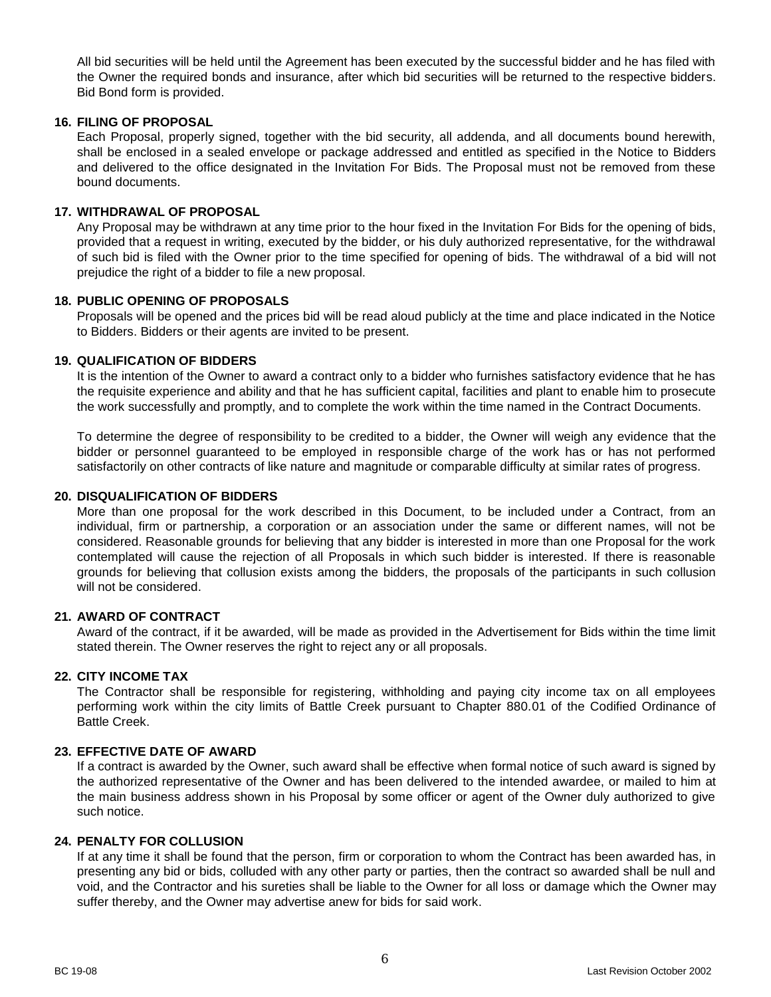All bid securities will be held until the Agreement has been executed by the successful bidder and he has filed with the Owner the required bonds and insurance, after which bid securities will be returned to the respective bidders. Bid Bond form is provided.

#### <span id="page-5-0"></span>**16. FILING OF PROPOSAL**

Each Proposal, properly signed, together with the bid security, all addenda, and all documents bound herewith, shall be enclosed in a sealed envelope or package addressed and entitled as specified in the Notice to Bidders and delivered to the office designated in the Invitation For Bids. The Proposal must not be removed from these bound documents.

#### <span id="page-5-1"></span>**17. WITHDRAWAL OF PROPOSAL**

Any Proposal may be withdrawn at any time prior to the hour fixed in the Invitation For Bids for the opening of bids, provided that a request in writing, executed by the bidder, or his duly authorized representative, for the withdrawal of such bid is filed with the Owner prior to the time specified for opening of bids. The withdrawal of a bid will not prejudice the right of a bidder to file a new proposal.

# <span id="page-5-2"></span>**18. PUBLIC OPENING OF PROPOSALS**

Proposals will be opened and the prices bid will be read aloud publicly at the time and place indicated in the Notice to Bidders. Bidders or their agents are invited to be present.

## <span id="page-5-3"></span>**19. QUALIFICATION OF BIDDERS**

It is the intention of the Owner to award a contract only to a bidder who furnishes satisfactory evidence that he has the requisite experience and ability and that he has sufficient capital, facilities and plant to enable him to prosecute the work successfully and promptly, and to complete the work within the time named in the Contract Documents.

To determine the degree of responsibility to be credited to a bidder, the Owner will weigh any evidence that the bidder or personnel guaranteed to be employed in responsible charge of the work has or has not performed satisfactorily on other contracts of like nature and magnitude or comparable difficulty at similar rates of progress.

#### <span id="page-5-4"></span>**20. DISQUALIFICATION OF BIDDERS**

More than one proposal for the work described in this Document, to be included under a Contract, from an individual, firm or partnership, a corporation or an association under the same or different names, will not be considered. Reasonable grounds for believing that any bidder is interested in more than one Proposal for the work contemplated will cause the rejection of all Proposals in which such bidder is interested. If there is reasonable grounds for believing that collusion exists among the bidders, the proposals of the participants in such collusion will not be considered.

## <span id="page-5-5"></span>**21. AWARD OF CONTRACT**

Award of the contract, if it be awarded, will be made as provided in the Advertisement for Bids within the time limit stated therein. The Owner reserves the right to reject any or all proposals.

#### <span id="page-5-6"></span>**22. CITY INCOME TAX**

The Contractor shall be responsible for registering, withholding and paying city income tax on all employees performing work within the city limits of Battle Creek pursuant to Chapter 880.01 of the Codified Ordinance of Battle Creek.

#### <span id="page-5-7"></span>**23. EFFECTIVE DATE OF AWARD**

If a contract is awarded by the Owner, such award shall be effective when formal notice of such award is signed by the authorized representative of the Owner and has been delivered to the intended awardee, or mailed to him at the main business address shown in his Proposal by some officer or agent of the Owner duly authorized to give such notice.

#### <span id="page-5-8"></span>**24. PENALTY FOR COLLUSION**

If at any time it shall be found that the person, firm or corporation to whom the Contract has been awarded has, in presenting any bid or bids, colluded with any other party or parties, then the contract so awarded shall be null and void, and the Contractor and his sureties shall be liable to the Owner for all loss or damage which the Owner may suffer thereby, and the Owner may advertise anew for bids for said work.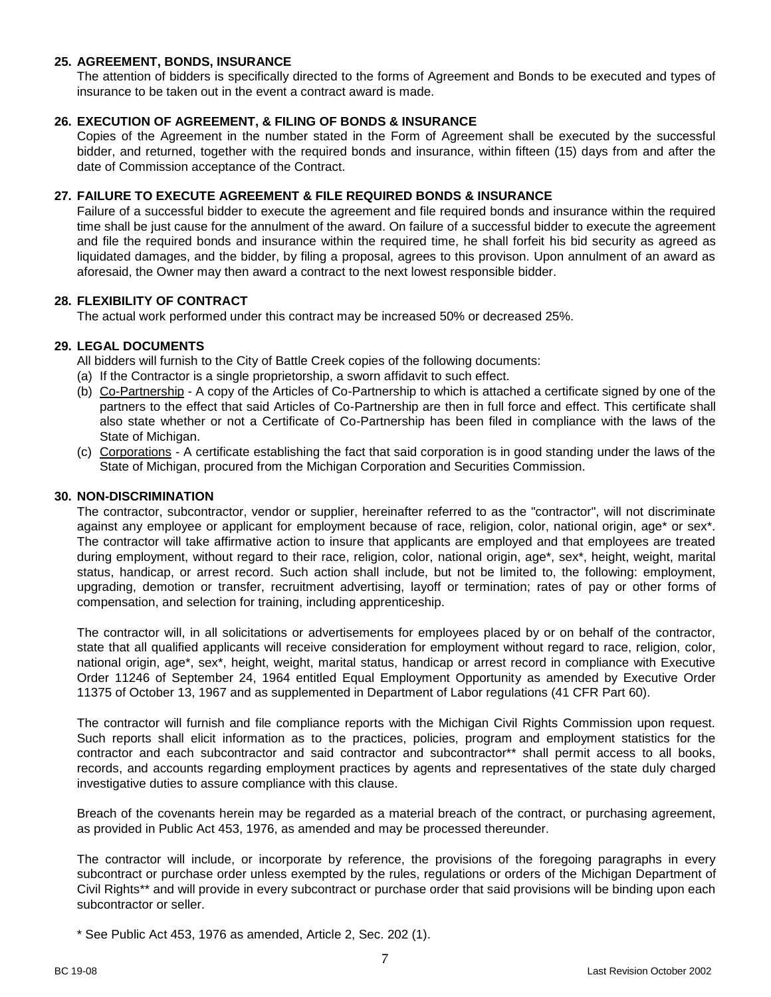## <span id="page-6-0"></span>**25. AGREEMENT, BONDS, INSURANCE**

The attention of bidders is specifically directed to the forms of Agreement and Bonds to be executed and types of insurance to be taken out in the event a contract award is made.

#### <span id="page-6-1"></span>**26. EXECUTION OF AGREEMENT, & FILING OF BONDS & INSURANCE**

Copies of the Agreement in the number stated in the Form of Agreement shall be executed by the successful bidder, and returned, together with the required bonds and insurance, within fifteen (15) days from and after the date of Commission acceptance of the Contract.

#### <span id="page-6-2"></span>**27. FAILURE TO EXECUTE AGREEMENT & FILE REQUIRED BONDS & INSURANCE**

Failure of a successful bidder to execute the agreement and file required bonds and insurance within the required time shall be just cause for the annulment of the award. On failure of a successful bidder to execute the agreement and file the required bonds and insurance within the required time, he shall forfeit his bid security as agreed as liquidated damages, and the bidder, by filing a proposal, agrees to this provison. Upon annulment of an award as aforesaid, the Owner may then award a contract to the next lowest responsible bidder.

## <span id="page-6-3"></span>**28. FLEXIBILITY OF CONTRACT**

The actual work performed under this contract may be increased 50% or decreased 25%.

## <span id="page-6-4"></span>**29. LEGAL DOCUMENTS**

All bidders will furnish to the City of Battle Creek copies of the following documents:

- (a) If the Contractor is a single proprietorship, a sworn affidavit to such effect.
- (b) Co-Partnership A copy of the Articles of Co-Partnership to which is attached a certificate signed by one of the partners to the effect that said Articles of Co-Partnership are then in full force and effect. This certificate shall also state whether or not a Certificate of Co-Partnership has been filed in compliance with the laws of the State of Michigan.
- (c) Corporations A certificate establishing the fact that said corporation is in good standing under the laws of the State of Michigan, procured from the Michigan Corporation and Securities Commission.

#### <span id="page-6-5"></span>**30. NON-DISCRIMINATION**

The contractor, subcontractor, vendor or supplier, hereinafter referred to as the "contractor", will not discriminate against any employee or applicant for employment because of race, religion, color, national origin, age<sup>\*</sup> or sex<sup>\*</sup>. The contractor will take affirmative action to insure that applicants are employed and that employees are treated during employment, without regard to their race, religion, color, national origin, age\*, sex\*, height, weight, marital status, handicap, or arrest record. Such action shall include, but not be limited to, the following: employment, upgrading, demotion or transfer, recruitment advertising, layoff or termination; rates of pay or other forms of compensation, and selection for training, including apprenticeship.

The contractor will, in all solicitations or advertisements for employees placed by or on behalf of the contractor, state that all qualified applicants will receive consideration for employment without regard to race, religion, color, national origin, age\*, sex\*, height, weight, marital status, handicap or arrest record in compliance with Executive Order 11246 of September 24, 1964 entitled Equal Employment Opportunity as amended by Executive Order 11375 of October 13, 1967 and as supplemented in Department of Labor regulations (41 CFR Part 60).

The contractor will furnish and file compliance reports with the Michigan Civil Rights Commission upon request. Such reports shall elicit information as to the practices, policies, program and employment statistics for the contractor and each subcontractor and said contractor and subcontractor\*\* shall permit access to all books, records, and accounts regarding employment practices by agents and representatives of the state duly charged investigative duties to assure compliance with this clause.

Breach of the covenants herein may be regarded as a material breach of the contract, or purchasing agreement, as provided in Public Act 453, 1976, as amended and may be processed thereunder.

The contractor will include, or incorporate by reference, the provisions of the foregoing paragraphs in every subcontract or purchase order unless exempted by the rules, regulations or orders of the Michigan Department of Civil Rights\*\* and will provide in every subcontract or purchase order that said provisions will be binding upon each subcontractor or seller.

\* See Public Act 453, 1976 as amended, Article 2, Sec. 202 (1).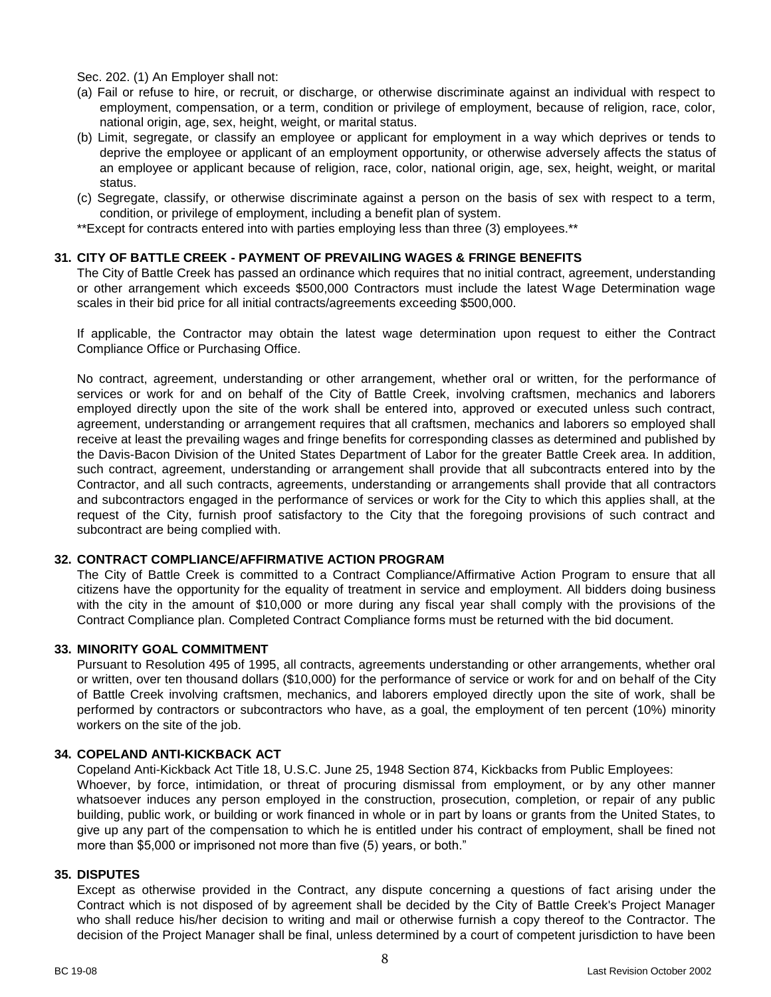Sec. 202. (1) An Employer shall not:

- (a) Fail or refuse to hire, or recruit, or discharge, or otherwise discriminate against an individual with respect to employment, compensation, or a term, condition or privilege of employment, because of religion, race, color, national origin, age, sex, height, weight, or marital status.
- (b) Limit, segregate, or classify an employee or applicant for employment in a way which deprives or tends to deprive the employee or applicant of an employment opportunity, or otherwise adversely affects the status of an employee or applicant because of religion, race, color, national origin, age, sex, height, weight, or marital status.
- (c) Segregate, classify, or otherwise discriminate against a person on the basis of sex with respect to a term, condition, or privilege of employment, including a benefit plan of system.

\*\*Except for contracts entered into with parties employing less than three (3) employees.\*\*

## <span id="page-7-0"></span>**31. CITY OF BATTLE CREEK - PAYMENT OF PREVAILING WAGES & FRINGE BENEFITS**

The City of Battle Creek has passed an ordinance which requires that no initial contract, agreement, understanding or other arrangement which exceeds \$500,000 Contractors must include the latest Wage Determination wage scales in their bid price for all initial contracts/agreements exceeding \$500,000.

If applicable, the Contractor may obtain the latest wage determination upon request to either the Contract Compliance Office or Purchasing Office.

No contract, agreement, understanding or other arrangement, whether oral or written, for the performance of services or work for and on behalf of the City of Battle Creek, involving craftsmen, mechanics and laborers employed directly upon the site of the work shall be entered into, approved or executed unless such contract, agreement, understanding or arrangement requires that all craftsmen, mechanics and laborers so employed shall receive at least the prevailing wages and fringe benefits for corresponding classes as determined and published by the Davis-Bacon Division of the United States Department of Labor for the greater Battle Creek area. In addition, such contract, agreement, understanding or arrangement shall provide that all subcontracts entered into by the Contractor, and all such contracts, agreements, understanding or arrangements shall provide that all contractors and subcontractors engaged in the performance of services or work for the City to which this applies shall, at the request of the City, furnish proof satisfactory to the City that the foregoing provisions of such contract and subcontract are being complied with.

#### <span id="page-7-1"></span>**32. CONTRACT COMPLIANCE/AFFIRMATIVE ACTION PROGRAM**

The City of Battle Creek is committed to a Contract Compliance/Affirmative Action Program to ensure that all citizens have the opportunity for the equality of treatment in service and employment. All bidders doing business with the city in the amount of \$10,000 or more during any fiscal year shall comply with the provisions of the Contract Compliance plan. Completed Contract Compliance forms must be returned with the bid document.

#### <span id="page-7-2"></span>**33. MINORITY GOAL COMMITMENT**

Pursuant to Resolution 495 of 1995, all contracts, agreements understanding or other arrangements, whether oral or written, over ten thousand dollars (\$10,000) for the performance of service or work for and on behalf of the City of Battle Creek involving craftsmen, mechanics, and laborers employed directly upon the site of work, shall be performed by contractors or subcontractors who have, as a goal, the employment of ten percent (10%) minority workers on the site of the job.

## <span id="page-7-3"></span>**34. COPELAND ANTI-KICKBACK ACT**

Copeland Anti-Kickback Act Title 18, U.S.C. June 25, 1948 Section 874, Kickbacks from Public Employees: Whoever, by force, intimidation, or threat of procuring dismissal from employment, or by any other manner whatsoever induces any person employed in the construction, prosecution, completion, or repair of any public building, public work, or building or work financed in whole or in part by loans or grants from the United States, to give up any part of the compensation to which he is entitled under his contract of employment, shall be fined not more than \$5,000 or imprisoned not more than five (5) years, or both."

#### <span id="page-7-4"></span>**35. DISPUTES**

Except as otherwise provided in the Contract, any dispute concerning a questions of fact arising under the Contract which is not disposed of by agreement shall be decided by the City of Battle Creek's Project Manager who shall reduce his/her decision to writing and mail or otherwise furnish a copy thereof to the Contractor. The decision of the Project Manager shall be final, unless determined by a court of competent jurisdiction to have been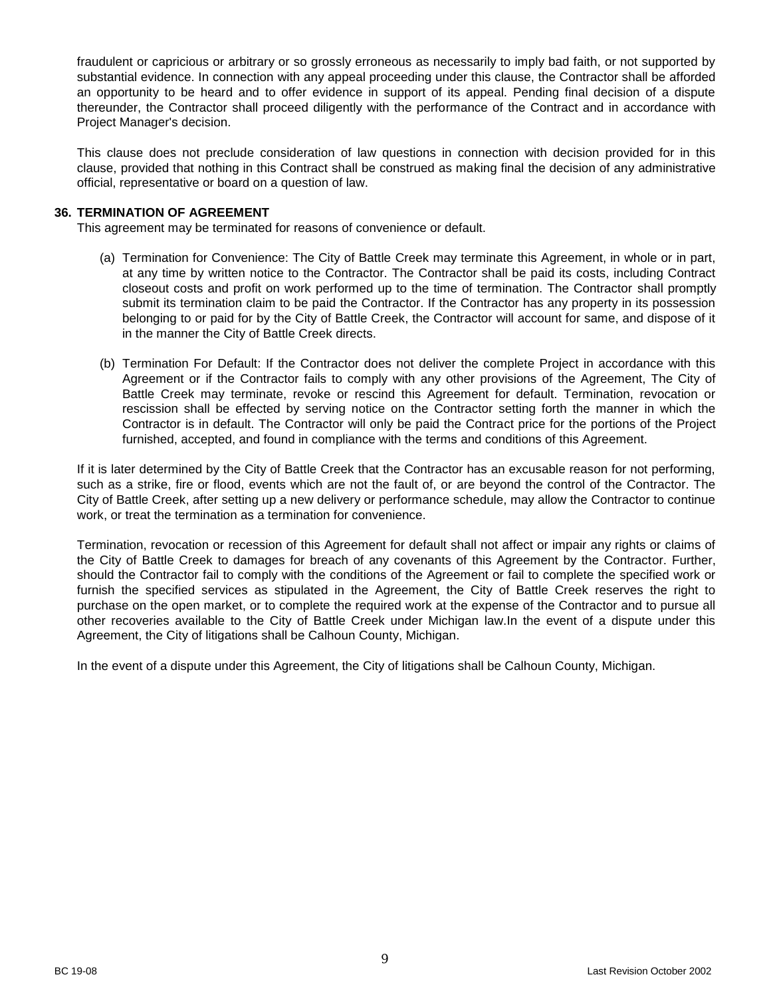fraudulent or capricious or arbitrary or so grossly erroneous as necessarily to imply bad faith, or not supported by substantial evidence. In connection with any appeal proceeding under this clause, the Contractor shall be afforded an opportunity to be heard and to offer evidence in support of its appeal. Pending final decision of a dispute thereunder, the Contractor shall proceed diligently with the performance of the Contract and in accordance with Project Manager's decision.

This clause does not preclude consideration of law questions in connection with decision provided for in this clause, provided that nothing in this Contract shall be construed as making final the decision of any administrative official, representative or board on a question of law.

## <span id="page-8-0"></span>**36. TERMINATION OF AGREEMENT**

This agreement may be terminated for reasons of convenience or default.

- (a) Termination for Convenience: The City of Battle Creek may terminate this Agreement, in whole or in part, at any time by written notice to the Contractor. The Contractor shall be paid its costs, including Contract closeout costs and profit on work performed up to the time of termination. The Contractor shall promptly submit its termination claim to be paid the Contractor. If the Contractor has any property in its possession belonging to or paid for by the City of Battle Creek, the Contractor will account for same, and dispose of it in the manner the City of Battle Creek directs.
- (b) Termination For Default: If the Contractor does not deliver the complete Project in accordance with this Agreement or if the Contractor fails to comply with any other provisions of the Agreement, The City of Battle Creek may terminate, revoke or rescind this Agreement for default. Termination, revocation or rescission shall be effected by serving notice on the Contractor setting forth the manner in which the Contractor is in default. The Contractor will only be paid the Contract price for the portions of the Project furnished, accepted, and found in compliance with the terms and conditions of this Agreement.

If it is later determined by the City of Battle Creek that the Contractor has an excusable reason for not performing, such as a strike, fire or flood, events which are not the fault of, or are beyond the control of the Contractor. The City of Battle Creek, after setting up a new delivery or performance schedule, may allow the Contractor to continue work, or treat the termination as a termination for convenience.

Termination, revocation or recession of this Agreement for default shall not affect or impair any rights or claims of the City of Battle Creek to damages for breach of any covenants of this Agreement by the Contractor. Further, should the Contractor fail to comply with the conditions of the Agreement or fail to complete the specified work or furnish the specified services as stipulated in the Agreement, the City of Battle Creek reserves the right to purchase on the open market, or to complete the required work at the expense of the Contractor and to pursue all other recoveries available to the City of Battle Creek under Michigan law.In the event of a dispute under this Agreement, the City of litigations shall be Calhoun County, Michigan.

In the event of a dispute under this Agreement, the City of litigations shall be Calhoun County, Michigan.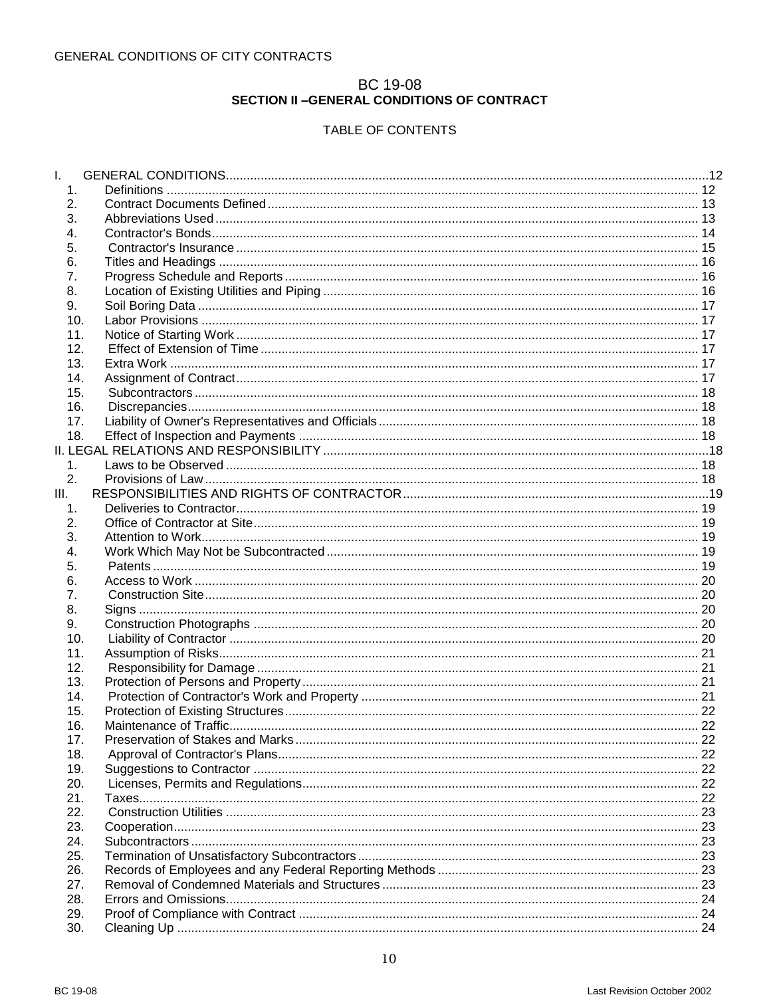# **BC 19-08**<br>SECTION II –GENERAL CONDITIONS OF CONTRACT

# TABLE OF CONTENTS

<span id="page-9-0"></span>

| I.               |                        |    |
|------------------|------------------------|----|
| 1 <sub>1</sub>   |                        |    |
| 2.               |                        |    |
| 3.               |                        |    |
| $\overline{4}$ . |                        |    |
| 5.               |                        |    |
| 6.               |                        |    |
| 7.               |                        |    |
| 8.               |                        |    |
| 9.               |                        |    |
| 10.              |                        |    |
| 11.              |                        |    |
| 12.              |                        |    |
| 13.              |                        |    |
| 14.              |                        |    |
| 15.              |                        |    |
| 16.              |                        |    |
| 17.              |                        |    |
| 18.              |                        |    |
|                  |                        |    |
| 1.               |                        |    |
| 2.               |                        |    |
| Ш.               |                        |    |
| 1 <sub>1</sub>   |                        |    |
| 2.               |                        |    |
| 3.               |                        |    |
| $\overline{4}$ . |                        |    |
| 5.               |                        |    |
| 6.               |                        |    |
| 7.<br>8.         |                        |    |
| 9.               |                        |    |
| 10.              |                        |    |
| 11.              |                        |    |
| 12.              |                        |    |
| 13.              |                        |    |
| 14.              |                        |    |
| 15.              |                        |    |
| 16.              | Maintenance of Traffic | 22 |
| 17.              |                        |    |
| 18.              |                        |    |
| 19.              |                        |    |
| 20.              |                        |    |
| 21.              |                        |    |
| 22.              |                        |    |
| 23.              |                        |    |
| 24.              |                        |    |
| 25.              |                        |    |
| 26.              |                        |    |
| 27.              |                        |    |
| 28.              |                        |    |
| 29.              |                        |    |
| 30.              |                        |    |
|                  |                        |    |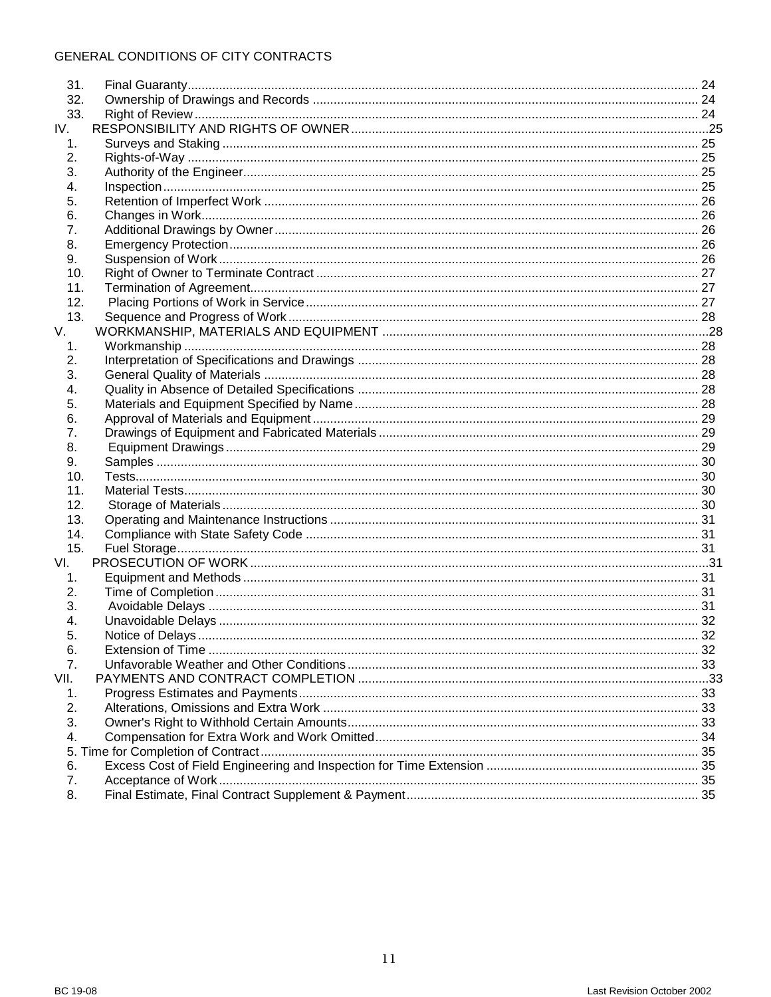| 31.      |  |
|----------|--|
| 32.      |  |
| 33.      |  |
| IV.      |  |
| 1.       |  |
| 2.       |  |
| 3.       |  |
| 4.       |  |
| 5.       |  |
| 6.       |  |
| 7.       |  |
| 8.       |  |
| 9.       |  |
| 10.      |  |
| 11.      |  |
| 12.      |  |
| 13.      |  |
| V.       |  |
| 1.       |  |
| 2.       |  |
| 3.       |  |
| 4.       |  |
| 5.       |  |
| 6.       |  |
| 7.       |  |
| 8.       |  |
| 9.       |  |
| 10.      |  |
| 11.      |  |
| 12.      |  |
| 13.      |  |
| 14.      |  |
| 15.      |  |
| VI.      |  |
| 1.       |  |
| 2.       |  |
| 3.       |  |
| 4.       |  |
| 5.       |  |
| 6.       |  |
| 7.       |  |
| VII.     |  |
| 1.       |  |
| 2.       |  |
| 3.       |  |
| 4.       |  |
|          |  |
|          |  |
| 6.<br>7. |  |
|          |  |
| 8.       |  |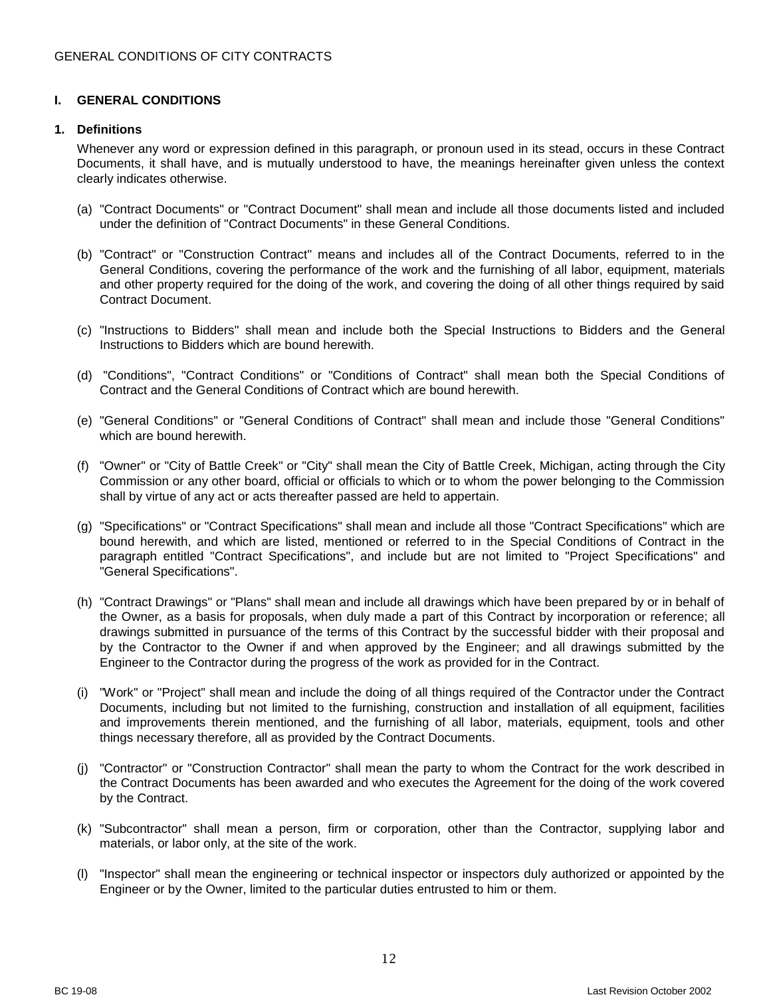# <span id="page-11-0"></span>**I. GENERAL CONDITIONS**

## <span id="page-11-1"></span>**1. Definitions**

Whenever any word or expression defined in this paragraph, or pronoun used in its stead, occurs in these Contract Documents, it shall have, and is mutually understood to have, the meanings hereinafter given unless the context clearly indicates otherwise.

- (a) "Contract Documents" or "Contract Document" shall mean and include all those documents listed and included under the definition of "Contract Documents" in these General Conditions.
- (b) "Contract" or "Construction Contract" means and includes all of the Contract Documents, referred to in the General Conditions, covering the performance of the work and the furnishing of all labor, equipment, materials and other property required for the doing of the work, and covering the doing of all other things required by said Contract Document.
- (c) "Instructions to Bidders" shall mean and include both the Special Instructions to Bidders and the General Instructions to Bidders which are bound herewith.
- (d) "Conditions", "Contract Conditions" or "Conditions of Contract" shall mean both the Special Conditions of Contract and the General Conditions of Contract which are bound herewith.
- (e) "General Conditions" or "General Conditions of Contract" shall mean and include those "General Conditions" which are bound herewith.
- (f) "Owner" or "City of Battle Creek" or "City" shall mean the City of Battle Creek, Michigan, acting through the City Commission or any other board, official or officials to which or to whom the power belonging to the Commission shall by virtue of any act or acts thereafter passed are held to appertain.
- (g) "Specifications" or "Contract Specifications" shall mean and include all those "Contract Specifications" which are bound herewith, and which are listed, mentioned or referred to in the Special Conditions of Contract in the paragraph entitled "Contract Specifications", and include but are not limited to "Project Specifications" and "General Specifications".
- (h) "Contract Drawings" or "Plans" shall mean and include all drawings which have been prepared by or in behalf of the Owner, as a basis for proposals, when duly made a part of this Contract by incorporation or reference; all drawings submitted in pursuance of the terms of this Contract by the successful bidder with their proposal and by the Contractor to the Owner if and when approved by the Engineer; and all drawings submitted by the Engineer to the Contractor during the progress of the work as provided for in the Contract.
- (i) "Work" or "Project" shall mean and include the doing of all things required of the Contractor under the Contract Documents, including but not limited to the furnishing, construction and installation of all equipment, facilities and improvements therein mentioned, and the furnishing of all labor, materials, equipment, tools and other things necessary therefore, all as provided by the Contract Documents.
- (j) "Contractor" or "Construction Contractor" shall mean the party to whom the Contract for the work described in the Contract Documents has been awarded and who executes the Agreement for the doing of the work covered by the Contract.
- (k) "Subcontractor" shall mean a person, firm or corporation, other than the Contractor, supplying labor and materials, or labor only, at the site of the work.
- (l) "Inspector" shall mean the engineering or technical inspector or inspectors duly authorized or appointed by the Engineer or by the Owner, limited to the particular duties entrusted to him or them.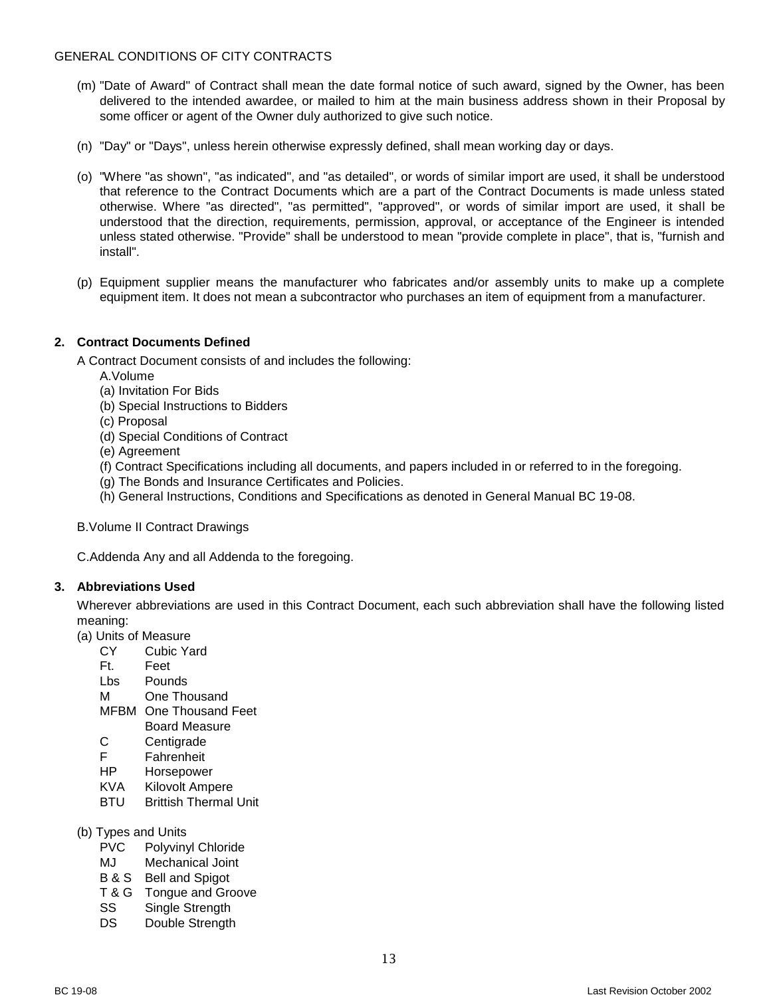- (m) "Date of Award" of Contract shall mean the date formal notice of such award, signed by the Owner, has been delivered to the intended awardee, or mailed to him at the main business address shown in their Proposal by some officer or agent of the Owner duly authorized to give such notice.
- (n) "Day" or "Days", unless herein otherwise expressly defined, shall mean working day or days.
- (o) "Where "as shown", "as indicated", and "as detailed", or words of similar import are used, it shall be understood that reference to the Contract Documents which are a part of the Contract Documents is made unless stated otherwise. Where "as directed", "as permitted", "approved", or words of similar import are used, it shall be understood that the direction, requirements, permission, approval, or acceptance of the Engineer is intended unless stated otherwise. "Provide" shall be understood to mean "provide complete in place", that is, "furnish and install".
- (p) Equipment supplier means the manufacturer who fabricates and/or assembly units to make up a complete equipment item. It does not mean a subcontractor who purchases an item of equipment from a manufacturer.

## <span id="page-12-0"></span>**2. Contract Documents Defined**

A Contract Document consists of and includes the following:

- A.Volume
- (a) Invitation For Bids
- (b) Special Instructions to Bidders
- (c) Proposal
- (d) Special Conditions of Contract
- (e) Agreement
- (f) Contract Specifications including all documents, and papers included in or referred to in the foregoing.
- (g) The Bonds and Insurance Certificates and Policies.
- (h) General Instructions, Conditions and Specifications as denoted in General Manual BC 19-08.

B.Volume II Contract Drawings

C.Addenda Any and all Addenda to the foregoing.

#### <span id="page-12-1"></span>**3. Abbreviations Used**

Wherever abbreviations are used in this Contract Document, each such abbreviation shall have the following listed meaning:

- (a) Units of Measure
	- CY Cubic Yard
	- Ft. Feet
	- Lbs Pounds
	- M One Thousand
	- MFBM One Thousand Feet
	- Board Measure
	- C Centigrade F Fahrenheit
	- HP Horsepower
	- KVA Kilovolt Ampere
	- BTU Brittish Thermal Unit
- (b) Types and Units
	- PVC Polyvinyl Chloride
	- MJ Mechanical Joint
	- B & S Bell and Spigot
	- T & G Tongue and Groove
	- SS Single Strength
	- DS Double Strength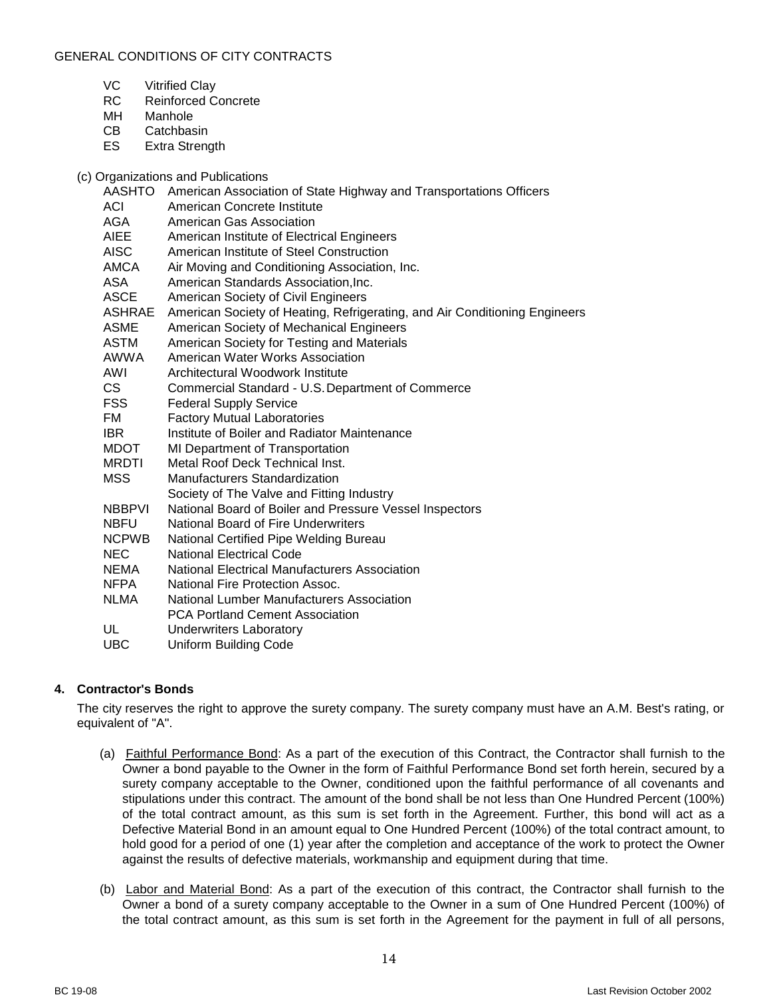- VC Vitrified Clay
- RC Reinforced Concrete
- MH Manhole
- CB Catchbasin
- ES Extra Strength

# (c) Organizations and Publications

| <b>AASHTO</b> | American Association of State Highway and Transportations Officers         |
|---------------|----------------------------------------------------------------------------|
| ACI           | American Concrete Institute                                                |
| AGA           | American Gas Association                                                   |
| <b>AIEE</b>   | American Institute of Electrical Engineers                                 |
| <b>AISC</b>   | American Institute of Steel Construction                                   |
| AMCA          | Air Moving and Conditioning Association, Inc.                              |
| ASA           | American Standards Association, Inc.                                       |
| <b>ASCE</b>   | American Society of Civil Engineers                                        |
| ASHRAE        | American Society of Heating, Refrigerating, and Air Conditioning Engineers |
| <b>ASME</b>   | American Society of Mechanical Engineers                                   |
| <b>ASTM</b>   | American Society for Testing and Materials                                 |
| AWWA          | American Water Works Association                                           |
| AWI           | Architectural Woodwork Institute                                           |
| CS .          | Commercial Standard - U.S. Department of Commerce                          |
| <b>FSS</b>    | <b>Federal Supply Service</b>                                              |
| FM.           | <b>Factory Mutual Laboratories</b>                                         |
| IBR.          | Institute of Boiler and Radiator Maintenance                               |
| MDOT          | MI Department of Transportation                                            |
| <b>MRDTI</b>  | Metal Roof Deck Technical Inst.                                            |
| <b>MSS</b>    | <b>Manufacturers Standardization</b>                                       |
|               | Society of The Valve and Fitting Industry                                  |
| <b>NBBPVI</b> | National Board of Boiler and Pressure Vessel Inspectors                    |
| <b>NBFU</b>   | <b>National Board of Fire Underwriters</b>                                 |
| <b>NCPWB</b>  | National Certified Pipe Welding Bureau                                     |
| <b>NEC</b>    | <b>National Electrical Code</b>                                            |
| NEMA          | National Electrical Manufacturers Association                              |
| NFPA          | National Fire Protection Assoc.                                            |
| <b>NLMA</b>   | National Lumber Manufacturers Association                                  |
|               | <b>PCA Portland Cement Association</b>                                     |
| UL            | <b>Underwriters Laboratory</b>                                             |
| <b>UBC</b>    | <b>Uniform Building Code</b>                                               |
|               |                                                                            |

# <span id="page-13-0"></span>**4. Contractor's Bonds**

The city reserves the right to approve the surety company. The surety company must have an A.M. Best's rating, or equivalent of "A".

- (a) Faithful Performance Bond: As a part of the execution of this Contract, the Contractor shall furnish to the Owner a bond payable to the Owner in the form of Faithful Performance Bond set forth herein, secured by a surety company acceptable to the Owner, conditioned upon the faithful performance of all covenants and stipulations under this contract. The amount of the bond shall be not less than One Hundred Percent (100%) of the total contract amount, as this sum is set forth in the Agreement. Further, this bond will act as a Defective Material Bond in an amount equal to One Hundred Percent (100%) of the total contract amount, to hold good for a period of one (1) year after the completion and acceptance of the work to protect the Owner against the results of defective materials, workmanship and equipment during that time.
- (b) Labor and Material Bond: As a part of the execution of this contract, the Contractor shall furnish to the Owner a bond of a surety company acceptable to the Owner in a sum of One Hundred Percent (100%) of the total contract amount, as this sum is set forth in the Agreement for the payment in full of all persons,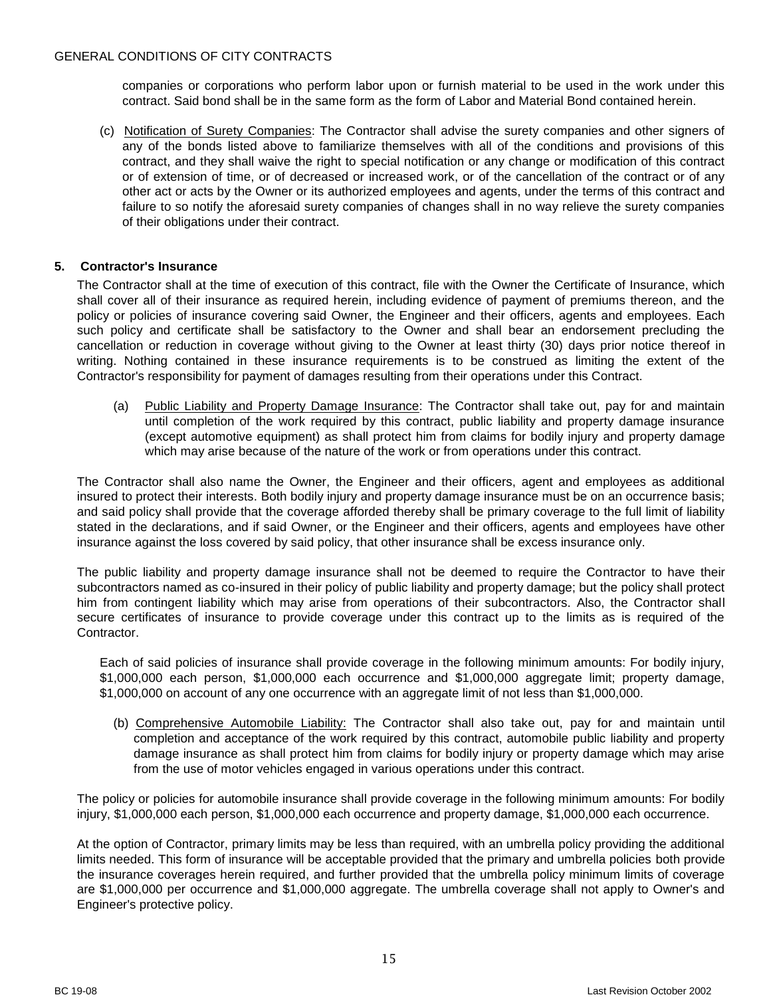companies or corporations who perform labor upon or furnish material to be used in the work under this contract. Said bond shall be in the same form as the form of Labor and Material Bond contained herein.

(c) Notification of Surety Companies: The Contractor shall advise the surety companies and other signers of any of the bonds listed above to familiarize themselves with all of the conditions and provisions of this contract, and they shall waive the right to special notification or any change or modification of this contract or of extension of time, or of decreased or increased work, or of the cancellation of the contract or of any other act or acts by the Owner or its authorized employees and agents, under the terms of this contract and failure to so notify the aforesaid surety companies of changes shall in no way relieve the surety companies of their obligations under their contract.

## <span id="page-14-0"></span>**5. Contractor's Insurance**

The Contractor shall at the time of execution of this contract, file with the Owner the Certificate of Insurance, which shall cover all of their insurance as required herein, including evidence of payment of premiums thereon, and the policy or policies of insurance covering said Owner, the Engineer and their officers, agents and employees. Each such policy and certificate shall be satisfactory to the Owner and shall bear an endorsement precluding the cancellation or reduction in coverage without giving to the Owner at least thirty (30) days prior notice thereof in writing. Nothing contained in these insurance requirements is to be construed as limiting the extent of the Contractor's responsibility for payment of damages resulting from their operations under this Contract.

(a) Public Liability and Property Damage Insurance: The Contractor shall take out, pay for and maintain until completion of the work required by this contract, public liability and property damage insurance (except automotive equipment) as shall protect him from claims for bodily injury and property damage which may arise because of the nature of the work or from operations under this contract.

The Contractor shall also name the Owner, the Engineer and their officers, agent and employees as additional insured to protect their interests. Both bodily injury and property damage insurance must be on an occurrence basis; and said policy shall provide that the coverage afforded thereby shall be primary coverage to the full limit of liability stated in the declarations, and if said Owner, or the Engineer and their officers, agents and employees have other insurance against the loss covered by said policy, that other insurance shall be excess insurance only.

The public liability and property damage insurance shall not be deemed to require the Contractor to have their subcontractors named as co-insured in their policy of public liability and property damage; but the policy shall protect him from contingent liability which may arise from operations of their subcontractors. Also, the Contractor shall secure certificates of insurance to provide coverage under this contract up to the limits as is required of the Contractor.

Each of said policies of insurance shall provide coverage in the following minimum amounts: For bodily injury, \$1,000,000 each person, \$1,000,000 each occurrence and \$1,000,000 aggregate limit; property damage, \$1,000,000 on account of any one occurrence with an aggregate limit of not less than \$1,000,000.

(b) Comprehensive Automobile Liability: The Contractor shall also take out, pay for and maintain until completion and acceptance of the work required by this contract, automobile public liability and property damage insurance as shall protect him from claims for bodily injury or property damage which may arise from the use of motor vehicles engaged in various operations under this contract.

The policy or policies for automobile insurance shall provide coverage in the following minimum amounts: For bodily injury, \$1,000,000 each person, \$1,000,000 each occurrence and property damage, \$1,000,000 each occurrence.

At the option of Contractor, primary limits may be less than required, with an umbrella policy providing the additional limits needed. This form of insurance will be acceptable provided that the primary and umbrella policies both provide the insurance coverages herein required, and further provided that the umbrella policy minimum limits of coverage are \$1,000,000 per occurrence and \$1,000,000 aggregate. The umbrella coverage shall not apply to Owner's and Engineer's protective policy.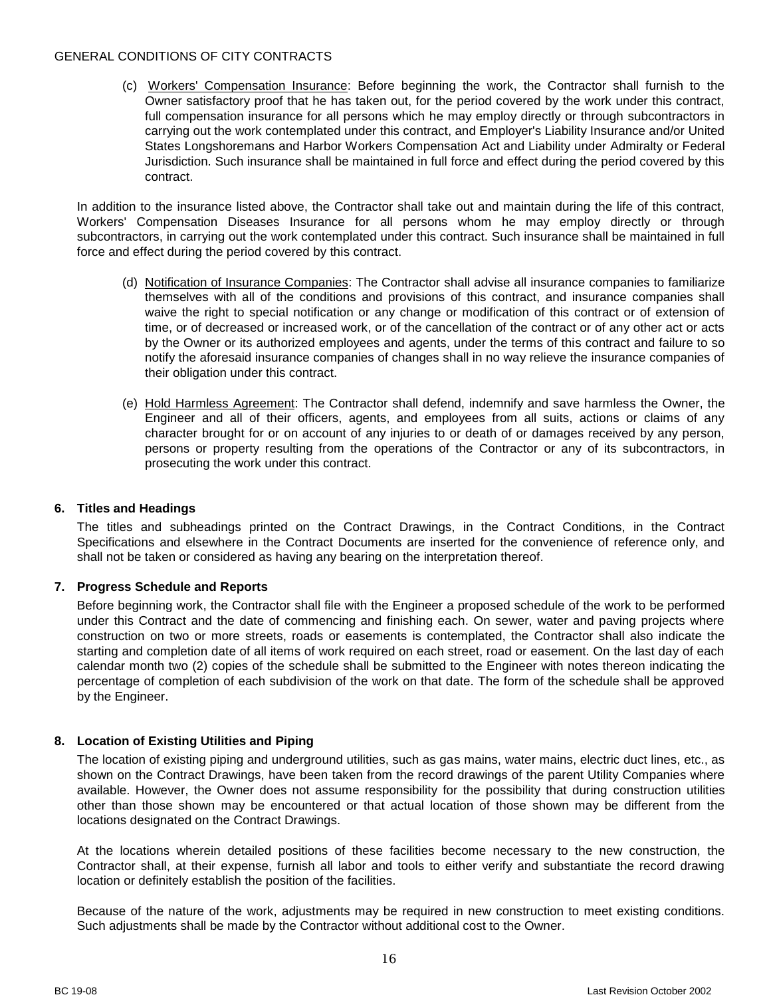(c) Workers' Compensation Insurance: Before beginning the work, the Contractor shall furnish to the Owner satisfactory proof that he has taken out, for the period covered by the work under this contract, full compensation insurance for all persons which he may employ directly or through subcontractors in carrying out the work contemplated under this contract, and Employer's Liability Insurance and/or United States Longshoremans and Harbor Workers Compensation Act and Liability under Admiralty or Federal Jurisdiction. Such insurance shall be maintained in full force and effect during the period covered by this contract.

In addition to the insurance listed above, the Contractor shall take out and maintain during the life of this contract, Workers' Compensation Diseases Insurance for all persons whom he may employ directly or through subcontractors, in carrying out the work contemplated under this contract. Such insurance shall be maintained in full force and effect during the period covered by this contract.

- (d) Notification of Insurance Companies: The Contractor shall advise all insurance companies to familiarize themselves with all of the conditions and provisions of this contract, and insurance companies shall waive the right to special notification or any change or modification of this contract or of extension of time, or of decreased or increased work, or of the cancellation of the contract or of any other act or acts by the Owner or its authorized employees and agents, under the terms of this contract and failure to so notify the aforesaid insurance companies of changes shall in no way relieve the insurance companies of their obligation under this contract.
- (e) Hold Harmless Agreement: The Contractor shall defend, indemnify and save harmless the Owner, the Engineer and all of their officers, agents, and employees from all suits, actions or claims of any character brought for or on account of any injuries to or death of or damages received by any person, persons or property resulting from the operations of the Contractor or any of its subcontractors, in prosecuting the work under this contract.

## <span id="page-15-0"></span>**6. Titles and Headings**

The titles and subheadings printed on the Contract Drawings, in the Contract Conditions, in the Contract Specifications and elsewhere in the Contract Documents are inserted for the convenience of reference only, and shall not be taken or considered as having any bearing on the interpretation thereof.

## <span id="page-15-1"></span>**7. Progress Schedule and Reports**

Before beginning work, the Contractor shall file with the Engineer a proposed schedule of the work to be performed under this Contract and the date of commencing and finishing each. On sewer, water and paving projects where construction on two or more streets, roads or easements is contemplated, the Contractor shall also indicate the starting and completion date of all items of work required on each street, road or easement. On the last day of each calendar month two (2) copies of the schedule shall be submitted to the Engineer with notes thereon indicating the percentage of completion of each subdivision of the work on that date. The form of the schedule shall be approved by the Engineer.

## <span id="page-15-2"></span>**8. Location of Existing Utilities and Piping**

The location of existing piping and underground utilities, such as gas mains, water mains, electric duct lines, etc., as shown on the Contract Drawings, have been taken from the record drawings of the parent Utility Companies where available. However, the Owner does not assume responsibility for the possibility that during construction utilities other than those shown may be encountered or that actual location of those shown may be different from the locations designated on the Contract Drawings.

At the locations wherein detailed positions of these facilities become necessary to the new construction, the Contractor shall, at their expense, furnish all labor and tools to either verify and substantiate the record drawing location or definitely establish the position of the facilities.

Because of the nature of the work, adjustments may be required in new construction to meet existing conditions. Such adjustments shall be made by the Contractor without additional cost to the Owner.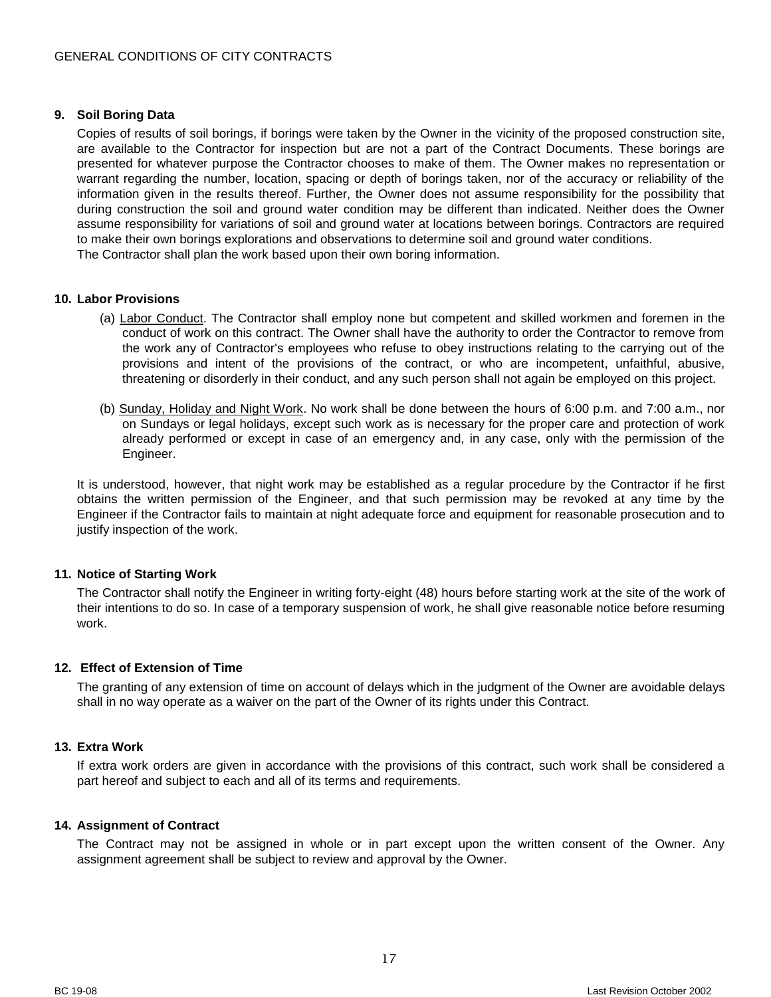## <span id="page-16-0"></span>**9. Soil Boring Data**

Copies of results of soil borings, if borings were taken by the Owner in the vicinity of the proposed construction site, are available to the Contractor for inspection but are not a part of the Contract Documents. These borings are presented for whatever purpose the Contractor chooses to make of them. The Owner makes no representation or warrant regarding the number, location, spacing or depth of borings taken, nor of the accuracy or reliability of the information given in the results thereof. Further, the Owner does not assume responsibility for the possibility that during construction the soil and ground water condition may be different than indicated. Neither does the Owner assume responsibility for variations of soil and ground water at locations between borings. Contractors are required to make their own borings explorations and observations to determine soil and ground water conditions. The Contractor shall plan the work based upon their own boring information.

#### <span id="page-16-1"></span>**10. Labor Provisions**

- (a) Labor Conduct. The Contractor shall employ none but competent and skilled workmen and foremen in the conduct of work on this contract. The Owner shall have the authority to order the Contractor to remove from the work any of Contractor's employees who refuse to obey instructions relating to the carrying out of the provisions and intent of the provisions of the contract, or who are incompetent, unfaithful, abusive, threatening or disorderly in their conduct, and any such person shall not again be employed on this project.
- (b) Sunday, Holiday and Night Work. No work shall be done between the hours of 6:00 p.m. and 7:00 a.m., nor on Sundays or legal holidays, except such work as is necessary for the proper care and protection of work already performed or except in case of an emergency and, in any case, only with the permission of the Engineer.

It is understood, however, that night work may be established as a regular procedure by the Contractor if he first obtains the written permission of the Engineer, and that such permission may be revoked at any time by the Engineer if the Contractor fails to maintain at night adequate force and equipment for reasonable prosecution and to justify inspection of the work.

#### <span id="page-16-2"></span>**11. Notice of Starting Work**

The Contractor shall notify the Engineer in writing forty-eight (48) hours before starting work at the site of the work of their intentions to do so. In case of a temporary suspension of work, he shall give reasonable notice before resuming work.

## <span id="page-16-3"></span>**12. Effect of Extension of Time**

The granting of any extension of time on account of delays which in the judgment of the Owner are avoidable delays shall in no way operate as a waiver on the part of the Owner of its rights under this Contract.

#### <span id="page-16-4"></span>**13. Extra Work**

If extra work orders are given in accordance with the provisions of this contract, such work shall be considered a part hereof and subject to each and all of its terms and requirements.

#### <span id="page-16-5"></span>**14. Assignment of Contract**

The Contract may not be assigned in whole or in part except upon the written consent of the Owner. Any assignment agreement shall be subject to review and approval by the Owner.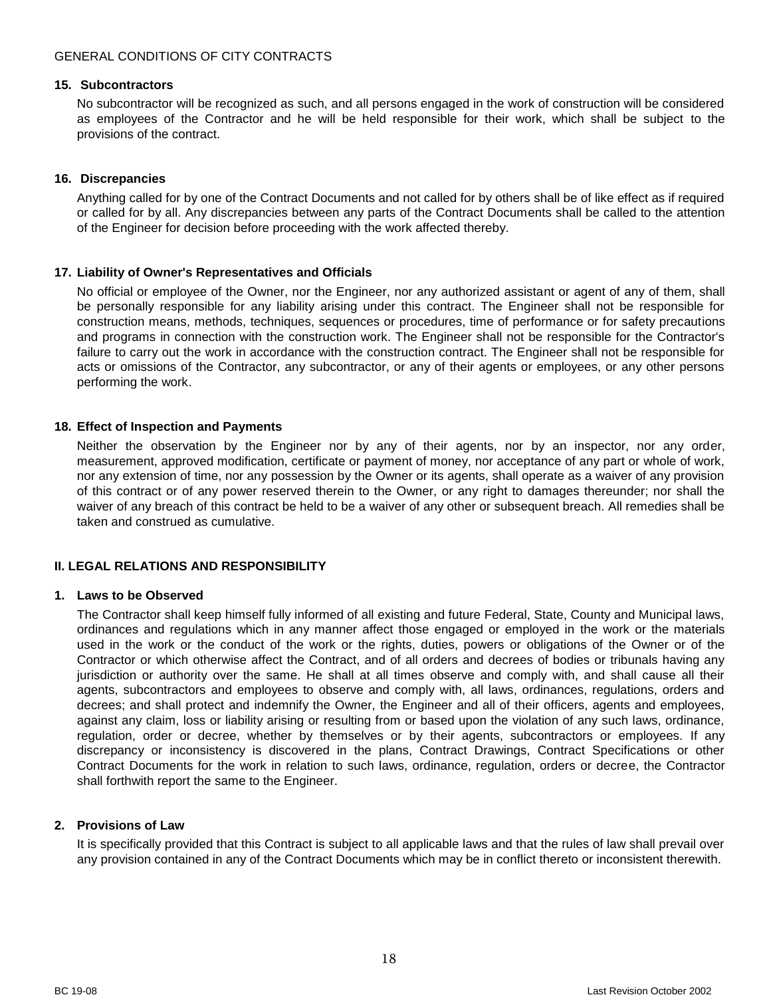#### <span id="page-17-0"></span>**15. Subcontractors**

No subcontractor will be recognized as such, and all persons engaged in the work of construction will be considered as employees of the Contractor and he will be held responsible for their work, which shall be subject to the provisions of the contract.

## <span id="page-17-1"></span>**16. Discrepancies**

Anything called for by one of the Contract Documents and not called for by others shall be of like effect as if required or called for by all. Any discrepancies between any parts of the Contract Documents shall be called to the attention of the Engineer for decision before proceeding with the work affected thereby.

## <span id="page-17-2"></span>**17. Liability of Owner's Representatives and Officials**

No official or employee of the Owner, nor the Engineer, nor any authorized assistant or agent of any of them, shall be personally responsible for any liability arising under this contract. The Engineer shall not be responsible for construction means, methods, techniques, sequences or procedures, time of performance or for safety precautions and programs in connection with the construction work. The Engineer shall not be responsible for the Contractor's failure to carry out the work in accordance with the construction contract. The Engineer shall not be responsible for acts or omissions of the Contractor, any subcontractor, or any of their agents or employees, or any other persons performing the work.

## <span id="page-17-3"></span>**18. Effect of Inspection and Payments**

Neither the observation by the Engineer nor by any of their agents, nor by an inspector, nor any order, measurement, approved modification, certificate or payment of money, nor acceptance of any part or whole of work, nor any extension of time, nor any possession by the Owner or its agents, shall operate as a waiver of any provision of this contract or of any power reserved therein to the Owner, or any right to damages thereunder; nor shall the waiver of any breach of this contract be held to be a waiver of any other or subsequent breach. All remedies shall be taken and construed as cumulative.

## <span id="page-17-4"></span>**II. LEGAL RELATIONS AND RESPONSIBILITY**

#### <span id="page-17-5"></span>**1. Laws to be Observed**

The Contractor shall keep himself fully informed of all existing and future Federal, State, County and Municipal laws, ordinances and regulations which in any manner affect those engaged or employed in the work or the materials used in the work or the conduct of the work or the rights, duties, powers or obligations of the Owner or of the Contractor or which otherwise affect the Contract, and of all orders and decrees of bodies or tribunals having any jurisdiction or authority over the same. He shall at all times observe and comply with, and shall cause all their agents, subcontractors and employees to observe and comply with, all laws, ordinances, regulations, orders and decrees; and shall protect and indemnify the Owner, the Engineer and all of their officers, agents and employees, against any claim, loss or liability arising or resulting from or based upon the violation of any such laws, ordinance, regulation, order or decree, whether by themselves or by their agents, subcontractors or employees. If any discrepancy or inconsistency is discovered in the plans, Contract Drawings, Contract Specifications or other Contract Documents for the work in relation to such laws, ordinance, regulation, orders or decree, the Contractor shall forthwith report the same to the Engineer.

#### <span id="page-17-6"></span>**2. Provisions of Law**

It is specifically provided that this Contract is subject to all applicable laws and that the rules of law shall prevail over any provision contained in any of the Contract Documents which may be in conflict thereto or inconsistent therewith.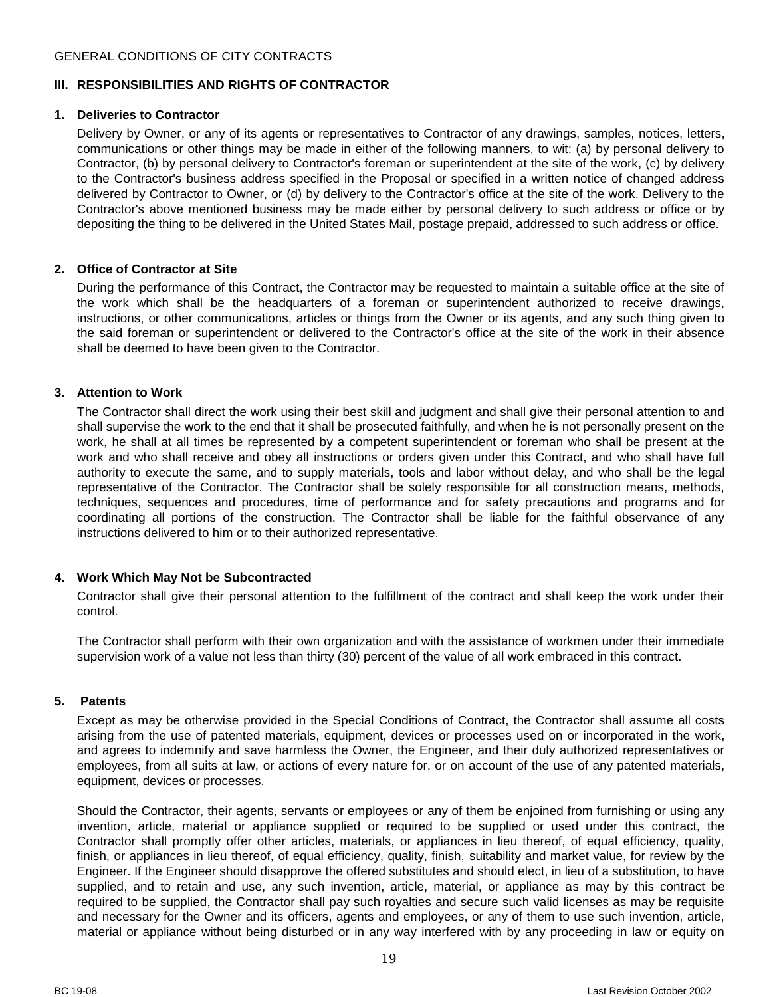## <span id="page-18-0"></span>**III. RESPONSIBILITIES AND RIGHTS OF CONTRACTOR**

#### <span id="page-18-1"></span>**1. Deliveries to Contractor**

Delivery by Owner, or any of its agents or representatives to Contractor of any drawings, samples, notices, letters, communications or other things may be made in either of the following manners, to wit: (a) by personal delivery to Contractor, (b) by personal delivery to Contractor's foreman or superintendent at the site of the work, (c) by delivery to the Contractor's business address specified in the Proposal or specified in a written notice of changed address delivered by Contractor to Owner, or (d) by delivery to the Contractor's office at the site of the work. Delivery to the Contractor's above mentioned business may be made either by personal delivery to such address or office or by depositing the thing to be delivered in the United States Mail, postage prepaid, addressed to such address or office.

## <span id="page-18-2"></span>**2. Office of Contractor at Site**

During the performance of this Contract, the Contractor may be requested to maintain a suitable office at the site of the work which shall be the headquarters of a foreman or superintendent authorized to receive drawings, instructions, or other communications, articles or things from the Owner or its agents, and any such thing given to the said foreman or superintendent or delivered to the Contractor's office at the site of the work in their absence shall be deemed to have been given to the Contractor.

## <span id="page-18-3"></span>**3. Attention to Work**

The Contractor shall direct the work using their best skill and judgment and shall give their personal attention to and shall supervise the work to the end that it shall be prosecuted faithfully, and when he is not personally present on the work, he shall at all times be represented by a competent superintendent or foreman who shall be present at the work and who shall receive and obey all instructions or orders given under this Contract, and who shall have full authority to execute the same, and to supply materials, tools and labor without delay, and who shall be the legal representative of the Contractor. The Contractor shall be solely responsible for all construction means, methods, techniques, sequences and procedures, time of performance and for safety precautions and programs and for coordinating all portions of the construction. The Contractor shall be liable for the faithful observance of any instructions delivered to him or to their authorized representative.

## <span id="page-18-4"></span>**4. Work Which May Not be Subcontracted**

Contractor shall give their personal attention to the fulfillment of the contract and shall keep the work under their control.

The Contractor shall perform with their own organization and with the assistance of workmen under their immediate supervision work of a value not less than thirty (30) percent of the value of all work embraced in this contract.

#### <span id="page-18-5"></span>**5. Patents**

Except as may be otherwise provided in the Special Conditions of Contract, the Contractor shall assume all costs arising from the use of patented materials, equipment, devices or processes used on or incorporated in the work, and agrees to indemnify and save harmless the Owner, the Engineer, and their duly authorized representatives or employees, from all suits at law, or actions of every nature for, or on account of the use of any patented materials, equipment, devices or processes.

Should the Contractor, their agents, servants or employees or any of them be enjoined from furnishing or using any invention, article, material or appliance supplied or required to be supplied or used under this contract, the Contractor shall promptly offer other articles, materials, or appliances in lieu thereof, of equal efficiency, quality, finish, or appliances in lieu thereof, of equal efficiency, quality, finish, suitability and market value, for review by the Engineer. If the Engineer should disapprove the offered substitutes and should elect, in lieu of a substitution, to have supplied, and to retain and use, any such invention, article, material, or appliance as may by this contract be required to be supplied, the Contractor shall pay such royalties and secure such valid licenses as may be requisite and necessary for the Owner and its officers, agents and employees, or any of them to use such invention, article, material or appliance without being disturbed or in any way interfered with by any proceeding in law or equity on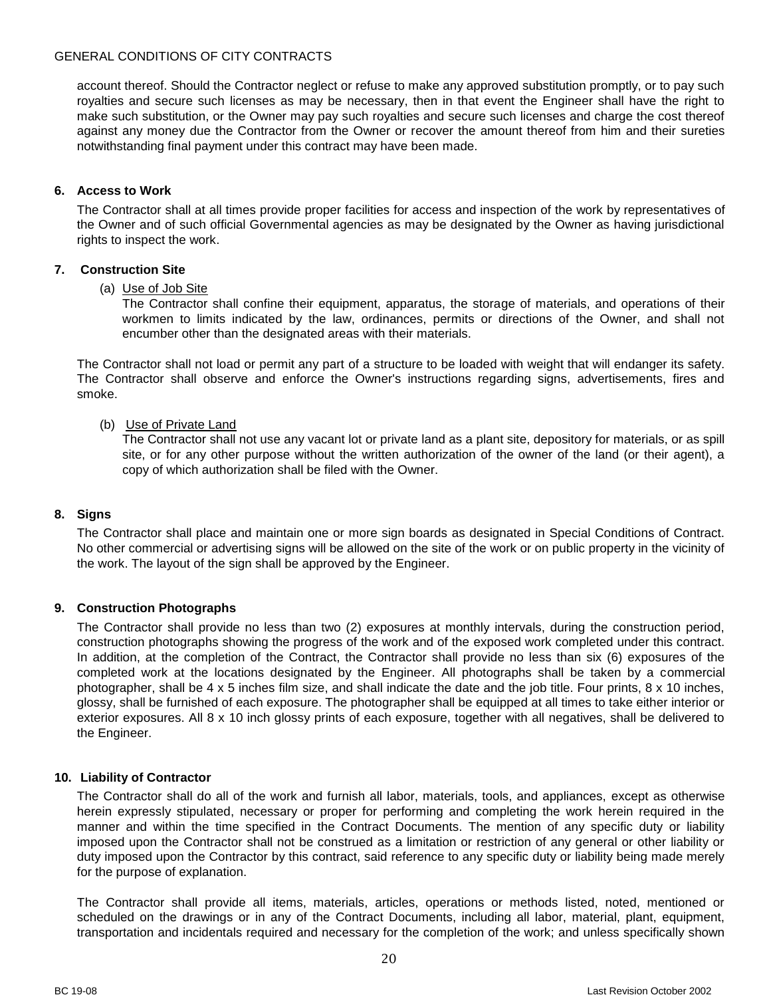account thereof. Should the Contractor neglect or refuse to make any approved substitution promptly, or to pay such royalties and secure such licenses as may be necessary, then in that event the Engineer shall have the right to make such substitution, or the Owner may pay such royalties and secure such licenses and charge the cost thereof against any money due the Contractor from the Owner or recover the amount thereof from him and their sureties notwithstanding final payment under this contract may have been made.

## <span id="page-19-0"></span>**6. Access to Work**

The Contractor shall at all times provide proper facilities for access and inspection of the work by representatives of the Owner and of such official Governmental agencies as may be designated by the Owner as having jurisdictional rights to inspect the work.

## <span id="page-19-1"></span>**7. Construction Site**

## (a) Use of Job Site

The Contractor shall confine their equipment, apparatus, the storage of materials, and operations of their workmen to limits indicated by the law, ordinances, permits or directions of the Owner, and shall not encumber other than the designated areas with their materials.

The Contractor shall not load or permit any part of a structure to be loaded with weight that will endanger its safety. The Contractor shall observe and enforce the Owner's instructions regarding signs, advertisements, fires and smoke.

## (b) Use of Private Land

The Contractor shall not use any vacant lot or private land as a plant site, depository for materials, or as spill site, or for any other purpose without the written authorization of the owner of the land (or their agent), a copy of which authorization shall be filed with the Owner.

## <span id="page-19-2"></span>**8. Signs**

The Contractor shall place and maintain one or more sign boards as designated in Special Conditions of Contract. No other commercial or advertising signs will be allowed on the site of the work or on public property in the vicinity of the work. The layout of the sign shall be approved by the Engineer.

## <span id="page-19-3"></span>**9. Construction Photographs**

The Contractor shall provide no less than two (2) exposures at monthly intervals, during the construction period, construction photographs showing the progress of the work and of the exposed work completed under this contract. In addition, at the completion of the Contract, the Contractor shall provide no less than six (6) exposures of the completed work at the locations designated by the Engineer. All photographs shall be taken by a commercial photographer, shall be 4 x 5 inches film size, and shall indicate the date and the job title. Four prints, 8 x 10 inches, glossy, shall be furnished of each exposure. The photographer shall be equipped at all times to take either interior or exterior exposures. All 8 x 10 inch glossy prints of each exposure, together with all negatives, shall be delivered to the Engineer.

#### <span id="page-19-4"></span>**10. Liability of Contractor**

The Contractor shall do all of the work and furnish all labor, materials, tools, and appliances, except as otherwise herein expressly stipulated, necessary or proper for performing and completing the work herein required in the manner and within the time specified in the Contract Documents. The mention of any specific duty or liability imposed upon the Contractor shall not be construed as a limitation or restriction of any general or other liability or duty imposed upon the Contractor by this contract, said reference to any specific duty or liability being made merely for the purpose of explanation.

The Contractor shall provide all items, materials, articles, operations or methods listed, noted, mentioned or scheduled on the drawings or in any of the Contract Documents, including all labor, material, plant, equipment, transportation and incidentals required and necessary for the completion of the work; and unless specifically shown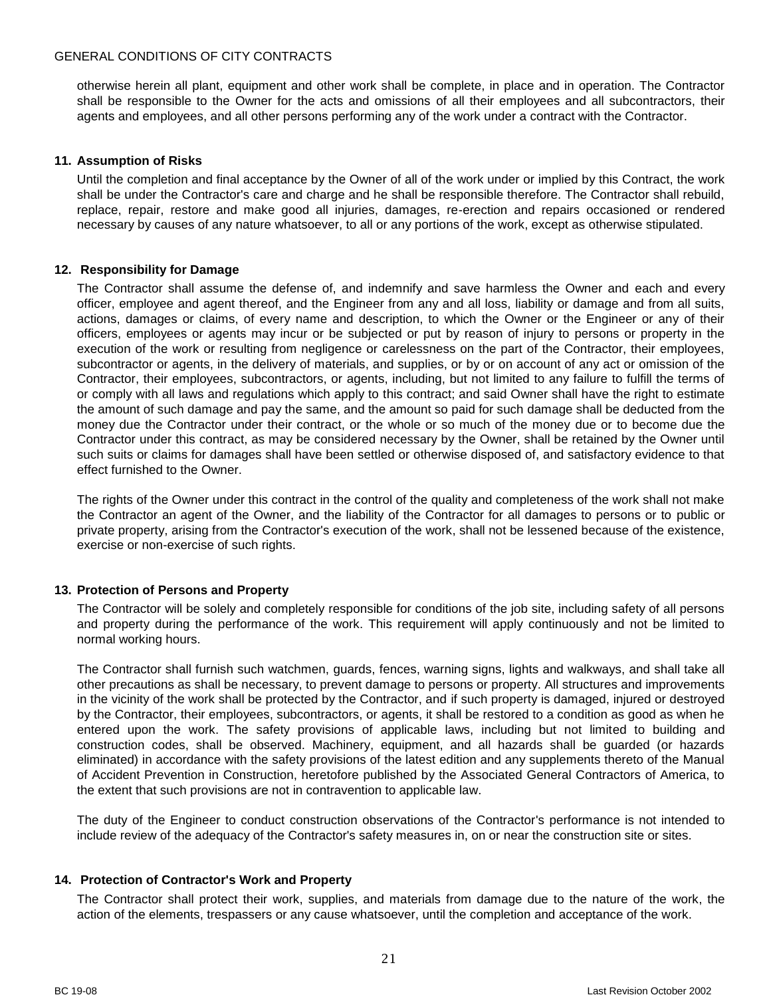otherwise herein all plant, equipment and other work shall be complete, in place and in operation. The Contractor shall be responsible to the Owner for the acts and omissions of all their employees and all subcontractors, their agents and employees, and all other persons performing any of the work under a contract with the Contractor.

## <span id="page-20-0"></span>**11. Assumption of Risks**

Until the completion and final acceptance by the Owner of all of the work under or implied by this Contract, the work shall be under the Contractor's care and charge and he shall be responsible therefore. The Contractor shall rebuild, replace, repair, restore and make good all injuries, damages, re-erection and repairs occasioned or rendered necessary by causes of any nature whatsoever, to all or any portions of the work, except as otherwise stipulated.

## <span id="page-20-1"></span>**12. Responsibility for Damage**

The Contractor shall assume the defense of, and indemnify and save harmless the Owner and each and every officer, employee and agent thereof, and the Engineer from any and all loss, liability or damage and from all suits, actions, damages or claims, of every name and description, to which the Owner or the Engineer or any of their officers, employees or agents may incur or be subjected or put by reason of injury to persons or property in the execution of the work or resulting from negligence or carelessness on the part of the Contractor, their employees, subcontractor or agents, in the delivery of materials, and supplies, or by or on account of any act or omission of the Contractor, their employees, subcontractors, or agents, including, but not limited to any failure to fulfill the terms of or comply with all laws and regulations which apply to this contract; and said Owner shall have the right to estimate the amount of such damage and pay the same, and the amount so paid for such damage shall be deducted from the money due the Contractor under their contract, or the whole or so much of the money due or to become due the Contractor under this contract, as may be considered necessary by the Owner, shall be retained by the Owner until such suits or claims for damages shall have been settled or otherwise disposed of, and satisfactory evidence to that effect furnished to the Owner.

The rights of the Owner under this contract in the control of the quality and completeness of the work shall not make the Contractor an agent of the Owner, and the liability of the Contractor for all damages to persons or to public or private property, arising from the Contractor's execution of the work, shall not be lessened because of the existence, exercise or non-exercise of such rights.

## <span id="page-20-2"></span>**13. Protection of Persons and Property**

The Contractor will be solely and completely responsible for conditions of the job site, including safety of all persons and property during the performance of the work. This requirement will apply continuously and not be limited to normal working hours.

The Contractor shall furnish such watchmen, guards, fences, warning signs, lights and walkways, and shall take all other precautions as shall be necessary, to prevent damage to persons or property. All structures and improvements in the vicinity of the work shall be protected by the Contractor, and if such property is damaged, injured or destroyed by the Contractor, their employees, subcontractors, or agents, it shall be restored to a condition as good as when he entered upon the work. The safety provisions of applicable laws, including but not limited to building and construction codes, shall be observed. Machinery, equipment, and all hazards shall be guarded (or hazards eliminated) in accordance with the safety provisions of the latest edition and any supplements thereto of the Manual of Accident Prevention in Construction, heretofore published by the Associated General Contractors of America, to the extent that such provisions are not in contravention to applicable law.

The duty of the Engineer to conduct construction observations of the Contractor's performance is not intended to include review of the adequacy of the Contractor's safety measures in, on or near the construction site or sites.

#### <span id="page-20-3"></span>**14. Protection of Contractor's Work and Property**

The Contractor shall protect their work, supplies, and materials from damage due to the nature of the work, the action of the elements, trespassers or any cause whatsoever, until the completion and acceptance of the work.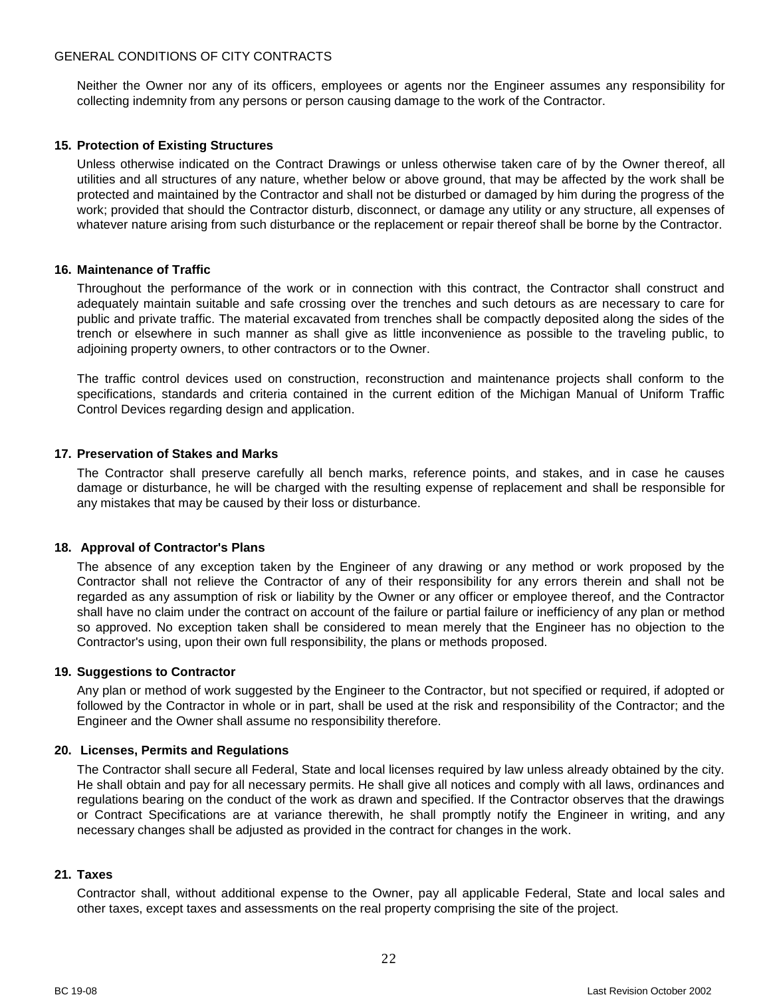Neither the Owner nor any of its officers, employees or agents nor the Engineer assumes any responsibility for collecting indemnity from any persons or person causing damage to the work of the Contractor.

## <span id="page-21-0"></span>**15. Protection of Existing Structures**

Unless otherwise indicated on the Contract Drawings or unless otherwise taken care of by the Owner thereof, all utilities and all structures of any nature, whether below or above ground, that may be affected by the work shall be protected and maintained by the Contractor and shall not be disturbed or damaged by him during the progress of the work; provided that should the Contractor disturb, disconnect, or damage any utility or any structure, all expenses of whatever nature arising from such disturbance or the replacement or repair thereof shall be borne by the Contractor.

## <span id="page-21-1"></span>**16. Maintenance of Traffic**

Throughout the performance of the work or in connection with this contract, the Contractor shall construct and adequately maintain suitable and safe crossing over the trenches and such detours as are necessary to care for public and private traffic. The material excavated from trenches shall be compactly deposited along the sides of the trench or elsewhere in such manner as shall give as little inconvenience as possible to the traveling public, to adjoining property owners, to other contractors or to the Owner.

The traffic control devices used on construction, reconstruction and maintenance projects shall conform to the specifications, standards and criteria contained in the current edition of the Michigan Manual of Uniform Traffic Control Devices regarding design and application.

## <span id="page-21-2"></span>**17. Preservation of Stakes and Marks**

The Contractor shall preserve carefully all bench marks, reference points, and stakes, and in case he causes damage or disturbance, he will be charged with the resulting expense of replacement and shall be responsible for any mistakes that may be caused by their loss or disturbance.

## <span id="page-21-3"></span>**18. Approval of Contractor's Plans**

The absence of any exception taken by the Engineer of any drawing or any method or work proposed by the Contractor shall not relieve the Contractor of any of their responsibility for any errors therein and shall not be regarded as any assumption of risk or liability by the Owner or any officer or employee thereof, and the Contractor shall have no claim under the contract on account of the failure or partial failure or inefficiency of any plan or method so approved. No exception taken shall be considered to mean merely that the Engineer has no objection to the Contractor's using, upon their own full responsibility, the plans or methods proposed.

#### <span id="page-21-4"></span>**19. Suggestions to Contractor**

Any plan or method of work suggested by the Engineer to the Contractor, but not specified or required, if adopted or followed by the Contractor in whole or in part, shall be used at the risk and responsibility of the Contractor; and the Engineer and the Owner shall assume no responsibility therefore.

#### <span id="page-21-5"></span>**20. Licenses, Permits and Regulations**

The Contractor shall secure all Federal, State and local licenses required by law unless already obtained by the city. He shall obtain and pay for all necessary permits. He shall give all notices and comply with all laws, ordinances and regulations bearing on the conduct of the work as drawn and specified. If the Contractor observes that the drawings or Contract Specifications are at variance therewith, he shall promptly notify the Engineer in writing, and any necessary changes shall be adjusted as provided in the contract for changes in the work.

#### <span id="page-21-6"></span>**21. Taxes**

Contractor shall, without additional expense to the Owner, pay all applicable Federal, State and local sales and other taxes, except taxes and assessments on the real property comprising the site of the project.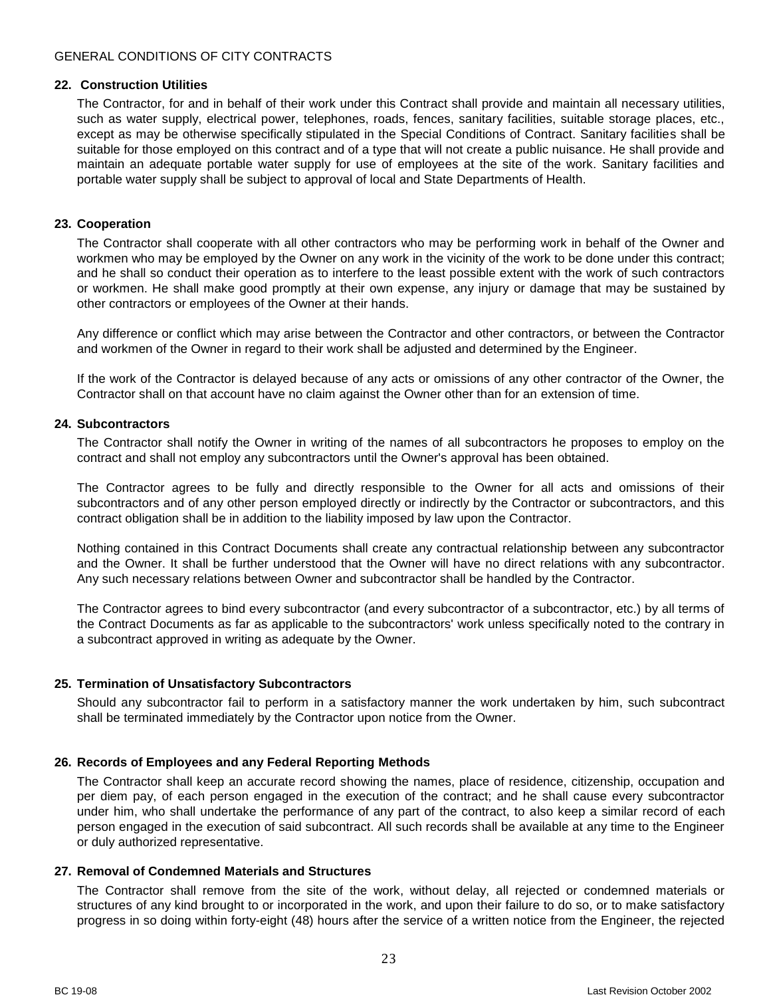## <span id="page-22-0"></span>**22. Construction Utilities**

The Contractor, for and in behalf of their work under this Contract shall provide and maintain all necessary utilities, such as water supply, electrical power, telephones, roads, fences, sanitary facilities, suitable storage places, etc., except as may be otherwise specifically stipulated in the Special Conditions of Contract. Sanitary facilities shall be suitable for those employed on this contract and of a type that will not create a public nuisance. He shall provide and maintain an adequate portable water supply for use of employees at the site of the work. Sanitary facilities and portable water supply shall be subject to approval of local and State Departments of Health.

#### <span id="page-22-1"></span>**23. Cooperation**

The Contractor shall cooperate with all other contractors who may be performing work in behalf of the Owner and workmen who may be employed by the Owner on any work in the vicinity of the work to be done under this contract; and he shall so conduct their operation as to interfere to the least possible extent with the work of such contractors or workmen. He shall make good promptly at their own expense, any injury or damage that may be sustained by other contractors or employees of the Owner at their hands.

Any difference or conflict which may arise between the Contractor and other contractors, or between the Contractor and workmen of the Owner in regard to their work shall be adjusted and determined by the Engineer.

If the work of the Contractor is delayed because of any acts or omissions of any other contractor of the Owner, the Contractor shall on that account have no claim against the Owner other than for an extension of time.

## <span id="page-22-2"></span>**24. Subcontractors**

The Contractor shall notify the Owner in writing of the names of all subcontractors he proposes to employ on the contract and shall not employ any subcontractors until the Owner's approval has been obtained.

The Contractor agrees to be fully and directly responsible to the Owner for all acts and omissions of their subcontractors and of any other person employed directly or indirectly by the Contractor or subcontractors, and this contract obligation shall be in addition to the liability imposed by law upon the Contractor.

Nothing contained in this Contract Documents shall create any contractual relationship between any subcontractor and the Owner. It shall be further understood that the Owner will have no direct relations with any subcontractor. Any such necessary relations between Owner and subcontractor shall be handled by the Contractor.

The Contractor agrees to bind every subcontractor (and every subcontractor of a subcontractor, etc.) by all terms of the Contract Documents as far as applicable to the subcontractors' work unless specifically noted to the contrary in a subcontract approved in writing as adequate by the Owner.

## <span id="page-22-3"></span>**25. Termination of Unsatisfactory Subcontractors**

Should any subcontractor fail to perform in a satisfactory manner the work undertaken by him, such subcontract shall be terminated immediately by the Contractor upon notice from the Owner.

## <span id="page-22-4"></span>**26. Records of Employees and any Federal Reporting Methods**

The Contractor shall keep an accurate record showing the names, place of residence, citizenship, occupation and per diem pay, of each person engaged in the execution of the contract; and he shall cause every subcontractor under him, who shall undertake the performance of any part of the contract, to also keep a similar record of each person engaged in the execution of said subcontract. All such records shall be available at any time to the Engineer or duly authorized representative.

#### <span id="page-22-5"></span>**27. Removal of Condemned Materials and Structures**

The Contractor shall remove from the site of the work, without delay, all rejected or condemned materials or structures of any kind brought to or incorporated in the work, and upon their failure to do so, or to make satisfactory progress in so doing within forty-eight (48) hours after the service of a written notice from the Engineer, the rejected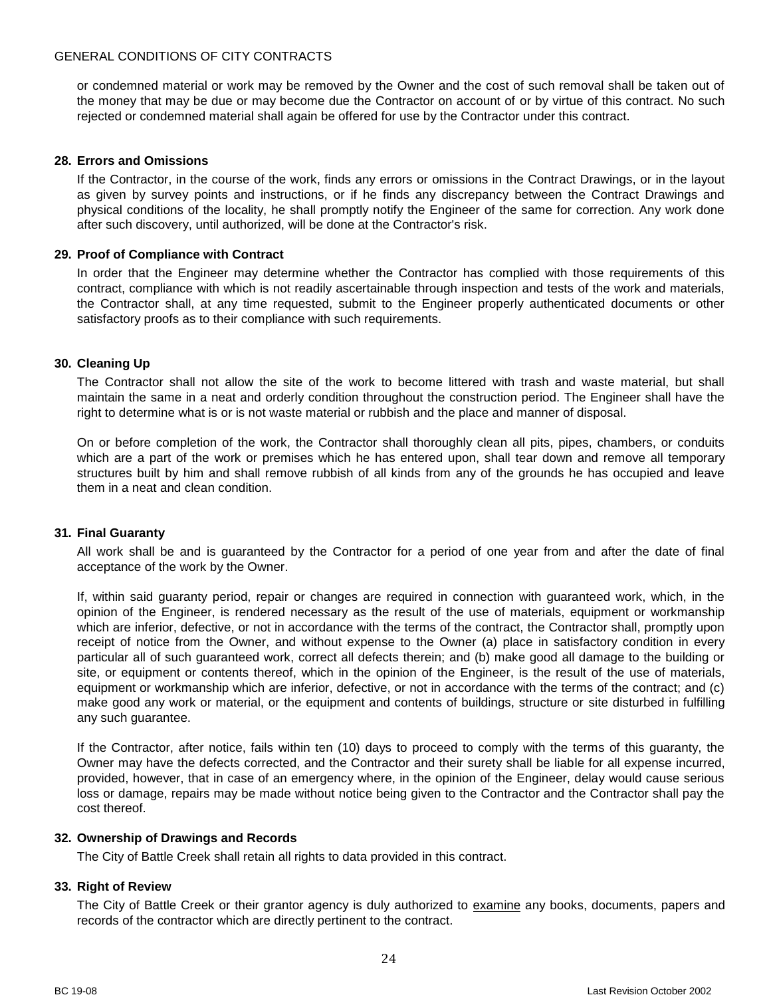or condemned material or work may be removed by the Owner and the cost of such removal shall be taken out of the money that may be due or may become due the Contractor on account of or by virtue of this contract. No such rejected or condemned material shall again be offered for use by the Contractor under this contract.

## <span id="page-23-0"></span>**28. Errors and Omissions**

If the Contractor, in the course of the work, finds any errors or omissions in the Contract Drawings, or in the layout as given by survey points and instructions, or if he finds any discrepancy between the Contract Drawings and physical conditions of the locality, he shall promptly notify the Engineer of the same for correction. Any work done after such discovery, until authorized, will be done at the Contractor's risk.

## <span id="page-23-1"></span>**29. Proof of Compliance with Contract**

In order that the Engineer may determine whether the Contractor has complied with those requirements of this contract, compliance with which is not readily ascertainable through inspection and tests of the work and materials, the Contractor shall, at any time requested, submit to the Engineer properly authenticated documents or other satisfactory proofs as to their compliance with such requirements.

## <span id="page-23-2"></span>**30. Cleaning Up**

The Contractor shall not allow the site of the work to become littered with trash and waste material, but shall maintain the same in a neat and orderly condition throughout the construction period. The Engineer shall have the right to determine what is or is not waste material or rubbish and the place and manner of disposal.

On or before completion of the work, the Contractor shall thoroughly clean all pits, pipes, chambers, or conduits which are a part of the work or premises which he has entered upon, shall tear down and remove all temporary structures built by him and shall remove rubbish of all kinds from any of the grounds he has occupied and leave them in a neat and clean condition.

## <span id="page-23-3"></span>**31. Final Guaranty**

All work shall be and is guaranteed by the Contractor for a period of one year from and after the date of final acceptance of the work by the Owner.

If, within said guaranty period, repair or changes are required in connection with guaranteed work, which, in the opinion of the Engineer, is rendered necessary as the result of the use of materials, equipment or workmanship which are inferior, defective, or not in accordance with the terms of the contract, the Contractor shall, promptly upon receipt of notice from the Owner, and without expense to the Owner (a) place in satisfactory condition in every particular all of such guaranteed work, correct all defects therein; and (b) make good all damage to the building or site, or equipment or contents thereof, which in the opinion of the Engineer, is the result of the use of materials, equipment or workmanship which are inferior, defective, or not in accordance with the terms of the contract; and (c) make good any work or material, or the equipment and contents of buildings, structure or site disturbed in fulfilling any such guarantee.

If the Contractor, after notice, fails within ten (10) days to proceed to comply with the terms of this guaranty, the Owner may have the defects corrected, and the Contractor and their surety shall be liable for all expense incurred, provided, however, that in case of an emergency where, in the opinion of the Engineer, delay would cause serious loss or damage, repairs may be made without notice being given to the Contractor and the Contractor shall pay the cost thereof.

#### <span id="page-23-4"></span>**32. Ownership of Drawings and Records**

The City of Battle Creek shall retain all rights to data provided in this contract.

#### <span id="page-23-5"></span>**33. Right of Review**

The City of Battle Creek or their grantor agency is duly authorized to examine any books, documents, papers and records of the contractor which are directly pertinent to the contract.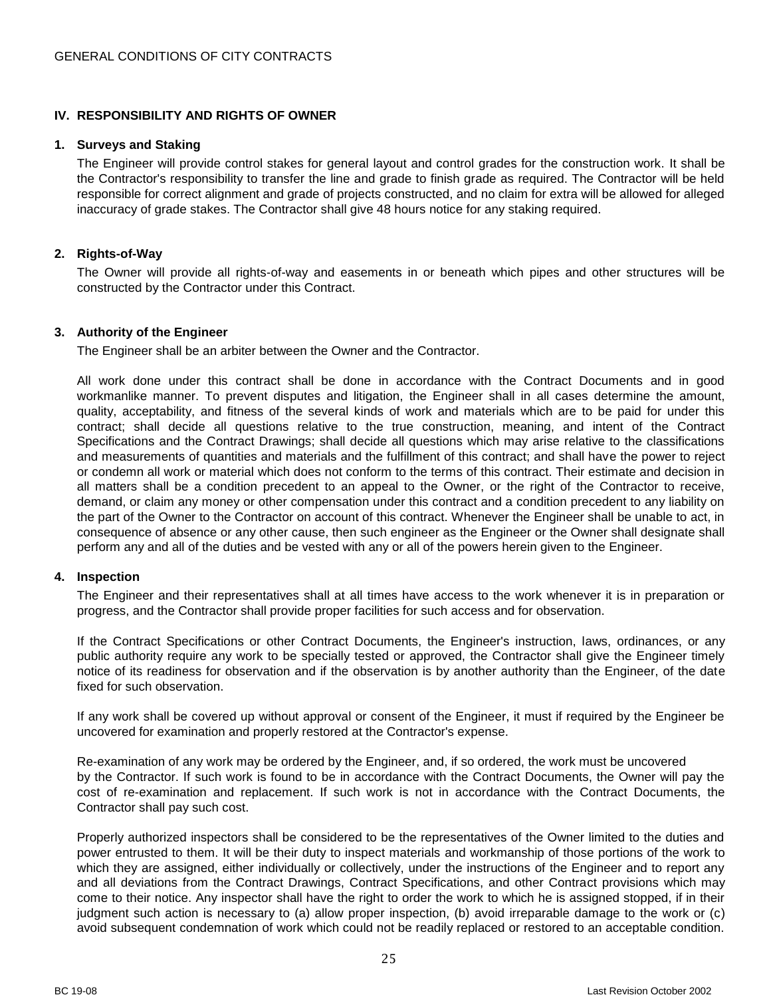# <span id="page-24-0"></span>**IV. RESPONSIBILITY AND RIGHTS OF OWNER**

#### <span id="page-24-1"></span>**1. Surveys and Staking**

The Engineer will provide control stakes for general layout and control grades for the construction work. It shall be the Contractor's responsibility to transfer the line and grade to finish grade as required. The Contractor will be held responsible for correct alignment and grade of projects constructed, and no claim for extra will be allowed for alleged inaccuracy of grade stakes. The Contractor shall give 48 hours notice for any staking required.

## <span id="page-24-2"></span>**2. Rights-of-Way**

The Owner will provide all rights-of-way and easements in or beneath which pipes and other structures will be constructed by the Contractor under this Contract.

## <span id="page-24-3"></span>**3. Authority of the Engineer**

The Engineer shall be an arbiter between the Owner and the Contractor.

All work done under this contract shall be done in accordance with the Contract Documents and in good workmanlike manner. To prevent disputes and litigation, the Engineer shall in all cases determine the amount, quality, acceptability, and fitness of the several kinds of work and materials which are to be paid for under this contract; shall decide all questions relative to the true construction, meaning, and intent of the Contract Specifications and the Contract Drawings; shall decide all questions which may arise relative to the classifications and measurements of quantities and materials and the fulfillment of this contract; and shall have the power to reject or condemn all work or material which does not conform to the terms of this contract. Their estimate and decision in all matters shall be a condition precedent to an appeal to the Owner, or the right of the Contractor to receive, demand, or claim any money or other compensation under this contract and a condition precedent to any liability on the part of the Owner to the Contractor on account of this contract. Whenever the Engineer shall be unable to act, in consequence of absence or any other cause, then such engineer as the Engineer or the Owner shall designate shall perform any and all of the duties and be vested with any or all of the powers herein given to the Engineer.

#### <span id="page-24-4"></span>**4. Inspection**

The Engineer and their representatives shall at all times have access to the work whenever it is in preparation or progress, and the Contractor shall provide proper facilities for such access and for observation.

If the Contract Specifications or other Contract Documents, the Engineer's instruction, laws, ordinances, or any public authority require any work to be specially tested or approved, the Contractor shall give the Engineer timely notice of its readiness for observation and if the observation is by another authority than the Engineer, of the date fixed for such observation.

If any work shall be covered up without approval or consent of the Engineer, it must if required by the Engineer be uncovered for examination and properly restored at the Contractor's expense.

Re-examination of any work may be ordered by the Engineer, and, if so ordered, the work must be uncovered by the Contractor. If such work is found to be in accordance with the Contract Documents, the Owner will pay the cost of re-examination and replacement. If such work is not in accordance with the Contract Documents, the Contractor shall pay such cost.

Properly authorized inspectors shall be considered to be the representatives of the Owner limited to the duties and power entrusted to them. It will be their duty to inspect materials and workmanship of those portions of the work to which they are assigned, either individually or collectively, under the instructions of the Engineer and to report any and all deviations from the Contract Drawings, Contract Specifications, and other Contract provisions which may come to their notice. Any inspector shall have the right to order the work to which he is assigned stopped, if in their judgment such action is necessary to (a) allow proper inspection, (b) avoid irreparable damage to the work or (c) avoid subsequent condemnation of work which could not be readily replaced or restored to an acceptable condition.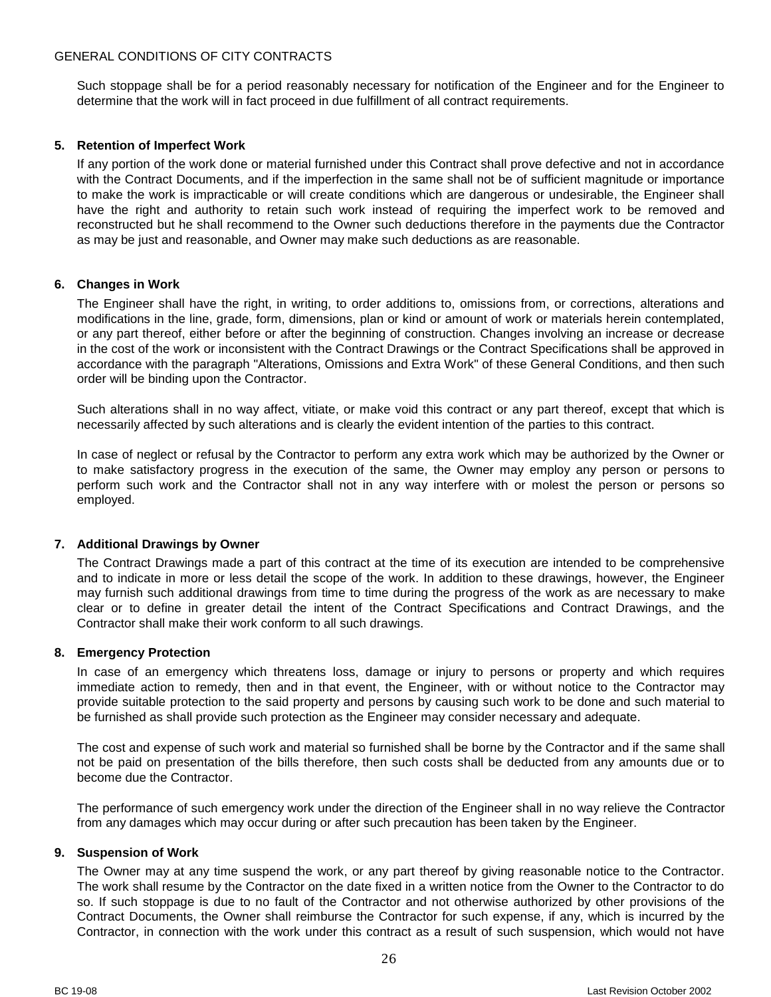Such stoppage shall be for a period reasonably necessary for notification of the Engineer and for the Engineer to determine that the work will in fact proceed in due fulfillment of all contract requirements.

## <span id="page-25-0"></span>**5. Retention of Imperfect Work**

If any portion of the work done or material furnished under this Contract shall prove defective and not in accordance with the Contract Documents, and if the imperfection in the same shall not be of sufficient magnitude or importance to make the work is impracticable or will create conditions which are dangerous or undesirable, the Engineer shall have the right and authority to retain such work instead of requiring the imperfect work to be removed and reconstructed but he shall recommend to the Owner such deductions therefore in the payments due the Contractor as may be just and reasonable, and Owner may make such deductions as are reasonable.

## <span id="page-25-1"></span>**6. Changes in Work**

The Engineer shall have the right, in writing, to order additions to, omissions from, or corrections, alterations and modifications in the line, grade, form, dimensions, plan or kind or amount of work or materials herein contemplated, or any part thereof, either before or after the beginning of construction. Changes involving an increase or decrease in the cost of the work or inconsistent with the Contract Drawings or the Contract Specifications shall be approved in accordance with the paragraph "Alterations, Omissions and Extra Work" of these General Conditions, and then such order will be binding upon the Contractor.

Such alterations shall in no way affect, vitiate, or make void this contract or any part thereof, except that which is necessarily affected by such alterations and is clearly the evident intention of the parties to this contract.

In case of neglect or refusal by the Contractor to perform any extra work which may be authorized by the Owner or to make satisfactory progress in the execution of the same, the Owner may employ any person or persons to perform such work and the Contractor shall not in any way interfere with or molest the person or persons so employed.

#### <span id="page-25-2"></span>**7. Additional Drawings by Owner**

The Contract Drawings made a part of this contract at the time of its execution are intended to be comprehensive and to indicate in more or less detail the scope of the work. In addition to these drawings, however, the Engineer may furnish such additional drawings from time to time during the progress of the work as are necessary to make clear or to define in greater detail the intent of the Contract Specifications and Contract Drawings, and the Contractor shall make their work conform to all such drawings.

#### <span id="page-25-3"></span>**8. Emergency Protection**

In case of an emergency which threatens loss, damage or injury to persons or property and which requires immediate action to remedy, then and in that event, the Engineer, with or without notice to the Contractor may provide suitable protection to the said property and persons by causing such work to be done and such material to be furnished as shall provide such protection as the Engineer may consider necessary and adequate.

The cost and expense of such work and material so furnished shall be borne by the Contractor and if the same shall not be paid on presentation of the bills therefore, then such costs shall be deducted from any amounts due or to become due the Contractor.

The performance of such emergency work under the direction of the Engineer shall in no way relieve the Contractor from any damages which may occur during or after such precaution has been taken by the Engineer.

#### <span id="page-25-4"></span>**9. Suspension of Work**

The Owner may at any time suspend the work, or any part thereof by giving reasonable notice to the Contractor. The work shall resume by the Contractor on the date fixed in a written notice from the Owner to the Contractor to do so. If such stoppage is due to no fault of the Contractor and not otherwise authorized by other provisions of the Contract Documents, the Owner shall reimburse the Contractor for such expense, if any, which is incurred by the Contractor, in connection with the work under this contract as a result of such suspension, which would not have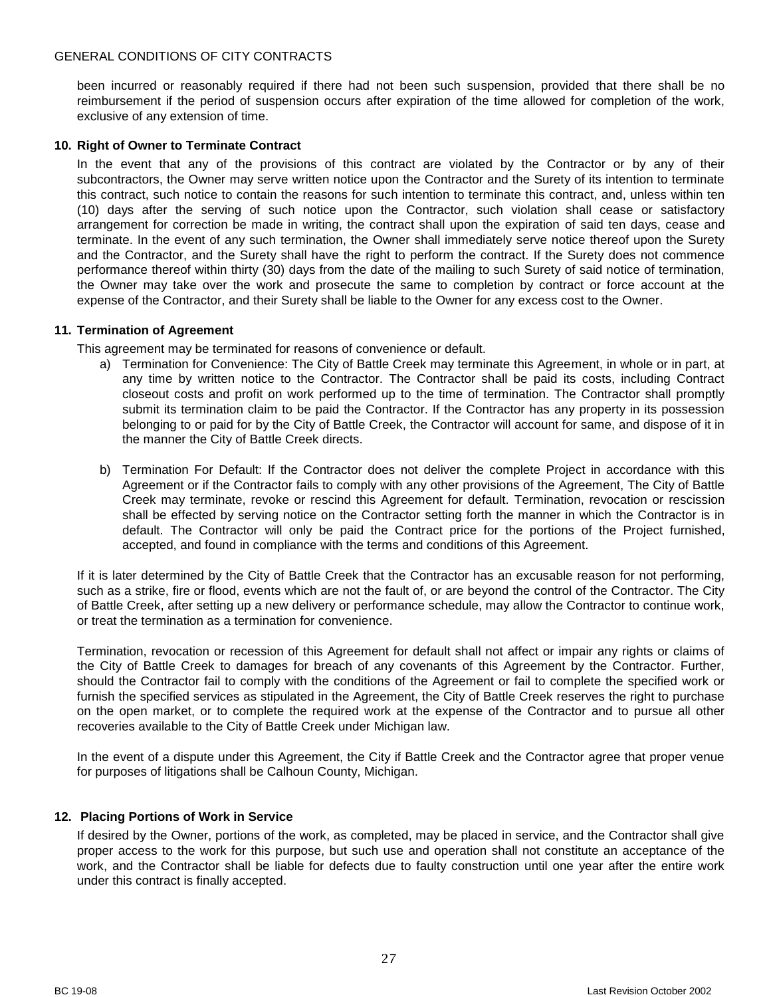been incurred or reasonably required if there had not been such suspension, provided that there shall be no reimbursement if the period of suspension occurs after expiration of the time allowed for completion of the work, exclusive of any extension of time.

## <span id="page-26-0"></span>**10. Right of Owner to Terminate Contract**

In the event that any of the provisions of this contract are violated by the Contractor or by any of their subcontractors, the Owner may serve written notice upon the Contractor and the Surety of its intention to terminate this contract, such notice to contain the reasons for such intention to terminate this contract, and, unless within ten (10) days after the serving of such notice upon the Contractor, such violation shall cease or satisfactory arrangement for correction be made in writing, the contract shall upon the expiration of said ten days, cease and terminate. In the event of any such termination, the Owner shall immediately serve notice thereof upon the Surety and the Contractor, and the Surety shall have the right to perform the contract. If the Surety does not commence performance thereof within thirty (30) days from the date of the mailing to such Surety of said notice of termination, the Owner may take over the work and prosecute the same to completion by contract or force account at the expense of the Contractor, and their Surety shall be liable to the Owner for any excess cost to the Owner.

## <span id="page-26-1"></span>**11. Termination of Agreement**

This agreement may be terminated for reasons of convenience or default.

- a) Termination for Convenience: The City of Battle Creek may terminate this Agreement, in whole or in part, at any time by written notice to the Contractor. The Contractor shall be paid its costs, including Contract closeout costs and profit on work performed up to the time of termination. The Contractor shall promptly submit its termination claim to be paid the Contractor. If the Contractor has any property in its possession belonging to or paid for by the City of Battle Creek, the Contractor will account for same, and dispose of it in the manner the City of Battle Creek directs.
- b) Termination For Default: If the Contractor does not deliver the complete Project in accordance with this Agreement or if the Contractor fails to comply with any other provisions of the Agreement, The City of Battle Creek may terminate, revoke or rescind this Agreement for default. Termination, revocation or rescission shall be effected by serving notice on the Contractor setting forth the manner in which the Contractor is in default. The Contractor will only be paid the Contract price for the portions of the Project furnished, accepted, and found in compliance with the terms and conditions of this Agreement.

If it is later determined by the City of Battle Creek that the Contractor has an excusable reason for not performing, such as a strike, fire or flood, events which are not the fault of, or are beyond the control of the Contractor. The City of Battle Creek, after setting up a new delivery or performance schedule, may allow the Contractor to continue work, or treat the termination as a termination for convenience.

Termination, revocation or recession of this Agreement for default shall not affect or impair any rights or claims of the City of Battle Creek to damages for breach of any covenants of this Agreement by the Contractor. Further, should the Contractor fail to comply with the conditions of the Agreement or fail to complete the specified work or furnish the specified services as stipulated in the Agreement, the City of Battle Creek reserves the right to purchase on the open market, or to complete the required work at the expense of the Contractor and to pursue all other recoveries available to the City of Battle Creek under Michigan law.

In the event of a dispute under this Agreement, the City if Battle Creek and the Contractor agree that proper venue for purposes of litigations shall be Calhoun County, Michigan.

## <span id="page-26-2"></span>**12. Placing Portions of Work in Service**

If desired by the Owner, portions of the work, as completed, may be placed in service, and the Contractor shall give proper access to the work for this purpose, but such use and operation shall not constitute an acceptance of the work, and the Contractor shall be liable for defects due to faulty construction until one year after the entire work under this contract is finally accepted.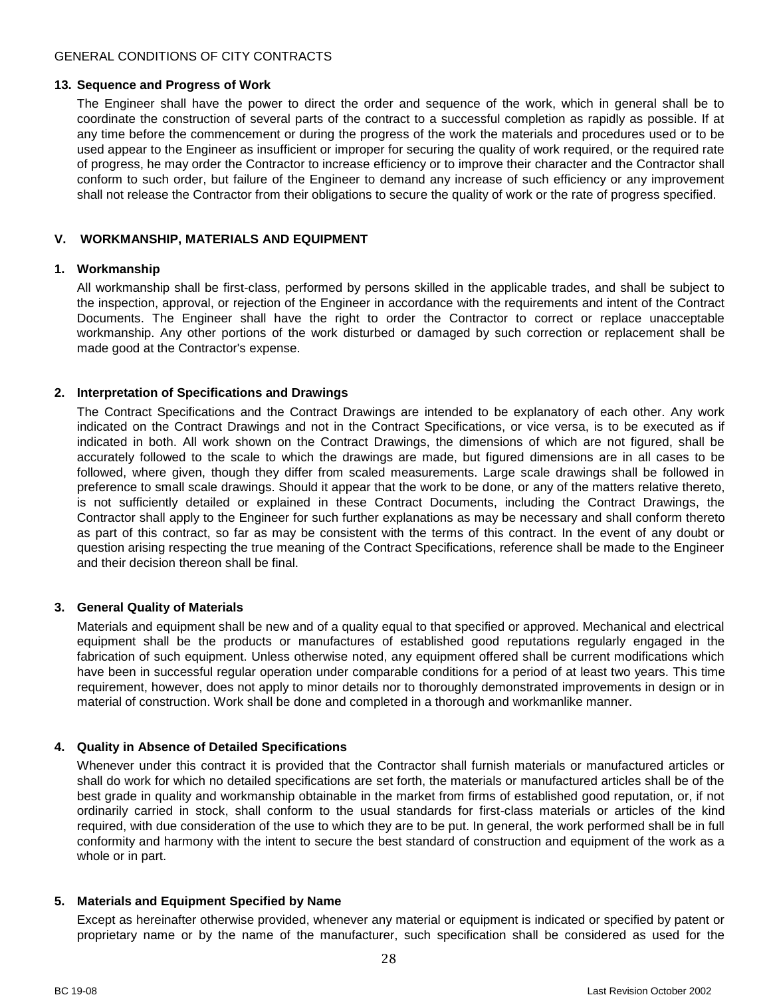## <span id="page-27-0"></span>**13. Sequence and Progress of Work**

The Engineer shall have the power to direct the order and sequence of the work, which in general shall be to coordinate the construction of several parts of the contract to a successful completion as rapidly as possible. If at any time before the commencement or during the progress of the work the materials and procedures used or to be used appear to the Engineer as insufficient or improper for securing the quality of work required, or the required rate of progress, he may order the Contractor to increase efficiency or to improve their character and the Contractor shall conform to such order, but failure of the Engineer to demand any increase of such efficiency or any improvement shall not release the Contractor from their obligations to secure the quality of work or the rate of progress specified.

## <span id="page-27-1"></span>**V. WORKMANSHIP, MATERIALS AND EQUIPMENT**

## <span id="page-27-2"></span>**1. Workmanship**

All workmanship shall be first-class, performed by persons skilled in the applicable trades, and shall be subject to the inspection, approval, or rejection of the Engineer in accordance with the requirements and intent of the Contract Documents. The Engineer shall have the right to order the Contractor to correct or replace unacceptable workmanship. Any other portions of the work disturbed or damaged by such correction or replacement shall be made good at the Contractor's expense.

## <span id="page-27-3"></span>**2. Interpretation of Specifications and Drawings**

The Contract Specifications and the Contract Drawings are intended to be explanatory of each other. Any work indicated on the Contract Drawings and not in the Contract Specifications, or vice versa, is to be executed as if indicated in both. All work shown on the Contract Drawings, the dimensions of which are not figured, shall be accurately followed to the scale to which the drawings are made, but figured dimensions are in all cases to be followed, where given, though they differ from scaled measurements. Large scale drawings shall be followed in preference to small scale drawings. Should it appear that the work to be done, or any of the matters relative thereto, is not sufficiently detailed or explained in these Contract Documents, including the Contract Drawings, the Contractor shall apply to the Engineer for such further explanations as may be necessary and shall conform thereto as part of this contract, so far as may be consistent with the terms of this contract. In the event of any doubt or question arising respecting the true meaning of the Contract Specifications, reference shall be made to the Engineer and their decision thereon shall be final.

## <span id="page-27-4"></span>**3. General Quality of Materials**

Materials and equipment shall be new and of a quality equal to that specified or approved. Mechanical and electrical equipment shall be the products or manufactures of established good reputations regularly engaged in the fabrication of such equipment. Unless otherwise noted, any equipment offered shall be current modifications which have been in successful regular operation under comparable conditions for a period of at least two years. This time requirement, however, does not apply to minor details nor to thoroughly demonstrated improvements in design or in material of construction. Work shall be done and completed in a thorough and workmanlike manner.

## <span id="page-27-5"></span>**4. Quality in Absence of Detailed Specifications**

Whenever under this contract it is provided that the Contractor shall furnish materials or manufactured articles or shall do work for which no detailed specifications are set forth, the materials or manufactured articles shall be of the best grade in quality and workmanship obtainable in the market from firms of established good reputation, or, if not ordinarily carried in stock, shall conform to the usual standards for first-class materials or articles of the kind required, with due consideration of the use to which they are to be put. In general, the work performed shall be in full conformity and harmony with the intent to secure the best standard of construction and equipment of the work as a whole or in part.

## <span id="page-27-6"></span>**5. Materials and Equipment Specified by Name**

Except as hereinafter otherwise provided, whenever any material or equipment is indicated or specified by patent or proprietary name or by the name of the manufacturer, such specification shall be considered as used for the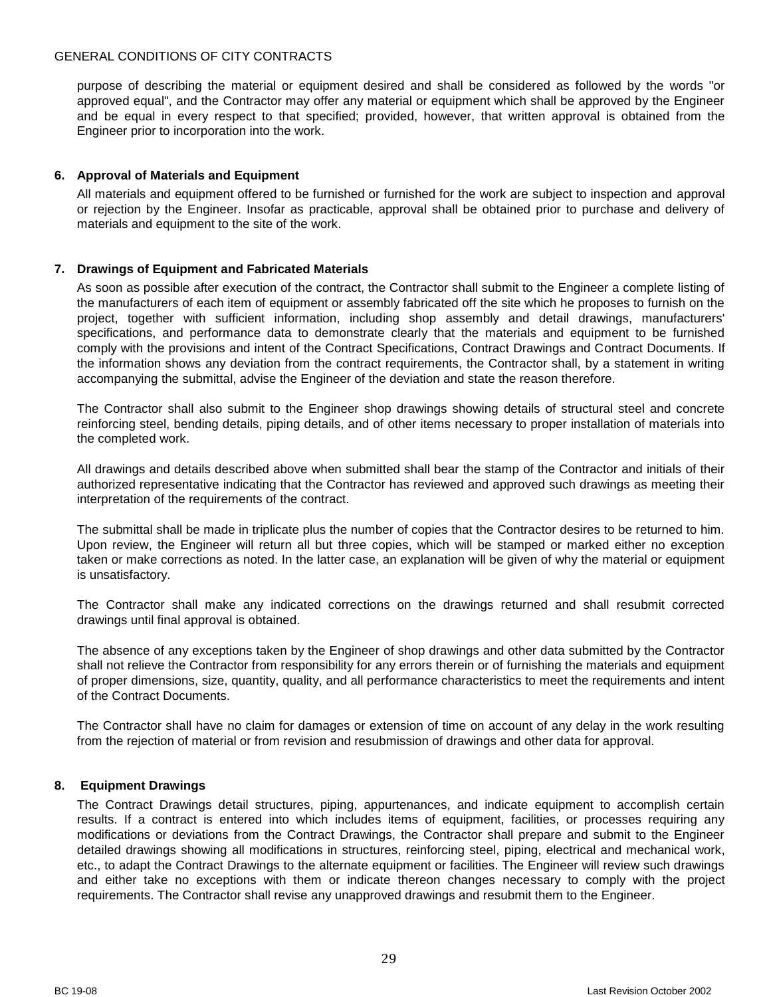purpose of describing the material or equipment desired and shall be considered as followed by the words "or approved equal", and the Contractor may offer any material or equipment which shall be approved by the Engineer and be equal in every respect to that specified; provided, however, that written approval is obtained from the Engineer prior to incorporation into the work.

## <span id="page-28-0"></span>**6. Approval of Materials and Equipment**

All materials and equipment offered to be furnished or furnished for the work are subject to inspection and approval or rejection by the Engineer. Insofar as practicable, approval shall be obtained prior to purchase and delivery of materials and equipment to the site of the work.

## <span id="page-28-1"></span>**7. Drawings of Equipment and Fabricated Materials**

As soon as possible after execution of the contract, the Contractor shall submit to the Engineer a complete listing of the manufacturers of each item of equipment or assembly fabricated off the site which he proposes to furnish on the project, together with sufficient information, including shop assembly and detail drawings, manufacturers' specifications, and performance data to demonstrate clearly that the materials and equipment to be furnished comply with the provisions and intent of the Contract Specifications, Contract Drawings and Contract Documents. If the information shows any deviation from the contract requirements, the Contractor shall, by a statement in writing accompanying the submittal, advise the Engineer of the deviation and state the reason therefore.

The Contractor shall also submit to the Engineer shop drawings showing details of structural steel and concrete reinforcing steel, bending details, piping details, and of other items necessary to proper installation of materials into the completed work.

All drawings and details described above when submitted shall bear the stamp of the Contractor and initials of their authorized representative indicating that the Contractor has reviewed and approved such drawings as meeting their interpretation of the requirements of the contract.

The submittal shall be made in triplicate plus the number of copies that the Contractor desires to be returned to him. Upon review, the Engineer will return all but three copies, which will be stamped or marked either no exception taken or make corrections as noted. In the latter case, an explanation will be given of why the material or equipment is unsatisfactory.

The Contractor shall make any indicated corrections on the drawings returned and shall resubmit corrected drawings until final approval is obtained.

The absence of any exceptions taken by the Engineer of shop drawings and other data submitted by the Contractor shall not relieve the Contractor from responsibility for any errors therein or of furnishing the materials and equipment of proper dimensions, size, quantity, quality, and all performance characteristics to meet the requirements and intent of the Contract Documents.

The Contractor shall have no claim for damages or extension of time on account of any delay in the work resulting from the rejection of material or from revision and resubmission of drawings and other data for approval.

#### <span id="page-28-2"></span>**8. Equipment Drawings**

The Contract Drawings detail structures, piping, appurtenances, and indicate equipment to accomplish certain results. If a contract is entered into which includes items of equipment, facilities, or processes requiring any modifications or deviations from the Contract Drawings, the Contractor shall prepare and submit to the Engineer detailed drawings showing all modifications in structures, reinforcing steel, piping, electrical and mechanical work, etc., to adapt the Contract Drawings to the alternate equipment or facilities. The Engineer will review such drawings and either take no exceptions with them or indicate thereon changes necessary to comply with the project requirements. The Contractor shall revise any unapproved drawings and resubmit them to the Engineer.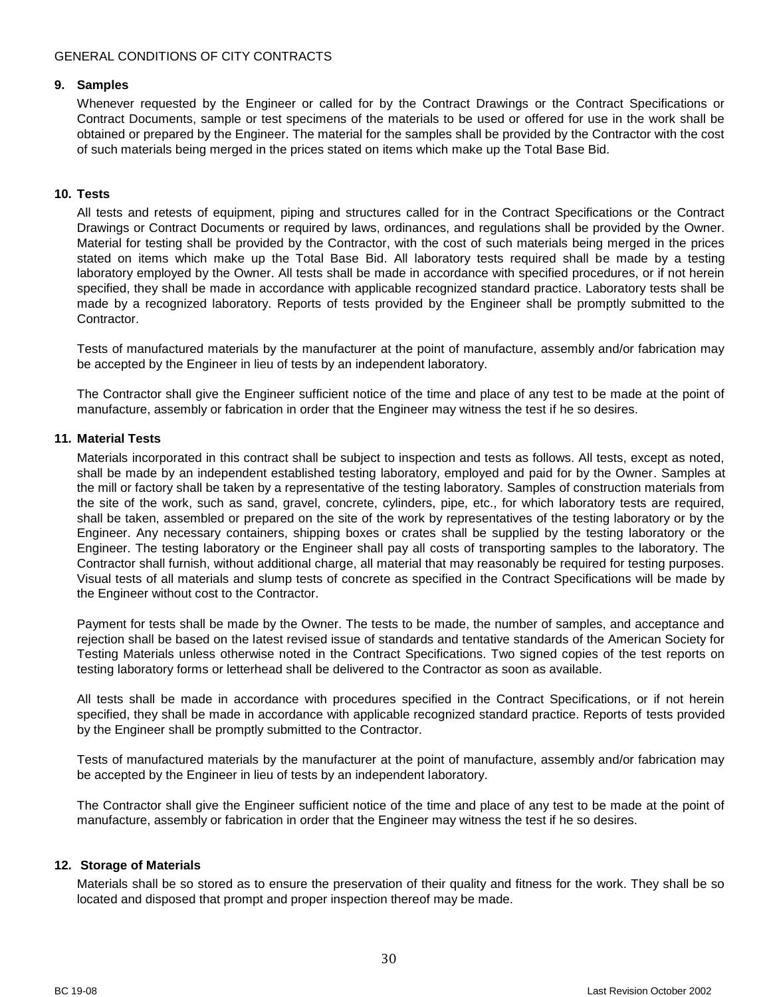#### <span id="page-29-0"></span>**9. Samples**

Whenever requested by the Engineer or called for by the Contract Drawings or the Contract Specifications or Contract Documents, sample or test specimens of the materials to be used or offered for use in the work shall be obtained or prepared by the Engineer. The material for the samples shall be provided by the Contractor with the cost of such materials being merged in the prices stated on items which make up the Total Base Bid.

## <span id="page-29-1"></span>**10. Tests**

All tests and retests of equipment, piping and structures called for in the Contract Specifications or the Contract Drawings or Contract Documents or required by laws, ordinances, and regulations shall be provided by the Owner. Material for testing shall be provided by the Contractor, with the cost of such materials being merged in the prices stated on items which make up the Total Base Bid. All laboratory tests required shall be made by a testing laboratory employed by the Owner. All tests shall be made in accordance with specified procedures, or if not herein specified, they shall be made in accordance with applicable recognized standard practice. Laboratory tests shall be made by a recognized laboratory. Reports of tests provided by the Engineer shall be promptly submitted to the Contractor.

Tests of manufactured materials by the manufacturer at the point of manufacture, assembly and/or fabrication may be accepted by the Engineer in lieu of tests by an independent laboratory.

The Contractor shall give the Engineer sufficient notice of the time and place of any test to be made at the point of manufacture, assembly or fabrication in order that the Engineer may witness the test if he so desires.

## <span id="page-29-2"></span>**11. Material Tests**

Materials incorporated in this contract shall be subject to inspection and tests as follows. All tests, except as noted, shall be made by an independent established testing laboratory, employed and paid for by the Owner. Samples at the mill or factory shall be taken by a representative of the testing laboratory. Samples of construction materials from the site of the work, such as sand, gravel, concrete, cylinders, pipe, etc., for which laboratory tests are required, shall be taken, assembled or prepared on the site of the work by representatives of the testing laboratory or by the Engineer. Any necessary containers, shipping boxes or crates shall be supplied by the testing laboratory or the Engineer. The testing laboratory or the Engineer shall pay all costs of transporting samples to the laboratory. The Contractor shall furnish, without additional charge, all material that may reasonably be required for testing purposes. Visual tests of all materials and slump tests of concrete as specified in the Contract Specifications will be made by the Engineer without cost to the Contractor.

Payment for tests shall be made by the Owner. The tests to be made, the number of samples, and acceptance and rejection shall be based on the latest revised issue of standards and tentative standards of the American Society for Testing Materials unless otherwise noted in the Contract Specifications. Two signed copies of the test reports on testing laboratory forms or letterhead shall be delivered to the Contractor as soon as available.

All tests shall be made in accordance with procedures specified in the Contract Specifications, or if not herein specified, they shall be made in accordance with applicable recognized standard practice. Reports of tests provided by the Engineer shall be promptly submitted to the Contractor.

Tests of manufactured materials by the manufacturer at the point of manufacture, assembly and/or fabrication may be accepted by the Engineer in lieu of tests by an independent laboratory.

The Contractor shall give the Engineer sufficient notice of the time and place of any test to be made at the point of manufacture, assembly or fabrication in order that the Engineer may witness the test if he so desires.

#### <span id="page-29-3"></span>**12. Storage of Materials**

Materials shall be so stored as to ensure the preservation of their quality and fitness for the work. They shall be so located and disposed that prompt and proper inspection thereof may be made.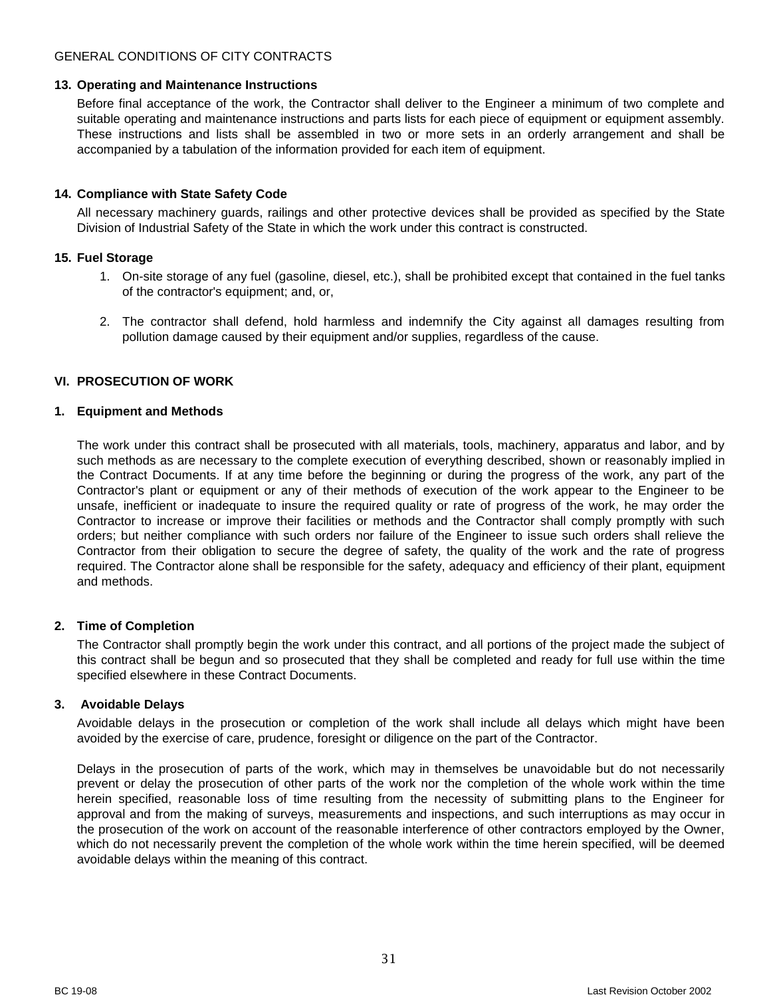#### <span id="page-30-0"></span>**13. Operating and Maintenance Instructions**

Before final acceptance of the work, the Contractor shall deliver to the Engineer a minimum of two complete and suitable operating and maintenance instructions and parts lists for each piece of equipment or equipment assembly. These instructions and lists shall be assembled in two or more sets in an orderly arrangement and shall be accompanied by a tabulation of the information provided for each item of equipment.

## <span id="page-30-1"></span>**14. Compliance with State Safety Code**

All necessary machinery guards, railings and other protective devices shall be provided as specified by the State Division of Industrial Safety of the State in which the work under this contract is constructed.

## <span id="page-30-2"></span>**15. Fuel Storage**

- 1. On-site storage of any fuel (gasoline, diesel, etc.), shall be prohibited except that contained in the fuel tanks of the contractor's equipment; and, or,
- 2. The contractor shall defend, hold harmless and indemnify the City against all damages resulting from pollution damage caused by their equipment and/or supplies, regardless of the cause.

# <span id="page-30-3"></span>**VI. PROSECUTION OF WORK**

## <span id="page-30-4"></span>**1. Equipment and Methods**

The work under this contract shall be prosecuted with all materials, tools, machinery, apparatus and labor, and by such methods as are necessary to the complete execution of everything described, shown or reasonably implied in the Contract Documents. If at any time before the beginning or during the progress of the work, any part of the Contractor's plant or equipment or any of their methods of execution of the work appear to the Engineer to be unsafe, inefficient or inadequate to insure the required quality or rate of progress of the work, he may order the Contractor to increase or improve their facilities or methods and the Contractor shall comply promptly with such orders; but neither compliance with such orders nor failure of the Engineer to issue such orders shall relieve the Contractor from their obligation to secure the degree of safety, the quality of the work and the rate of progress required. The Contractor alone shall be responsible for the safety, adequacy and efficiency of their plant, equipment and methods.

## <span id="page-30-5"></span>**2. Time of Completion**

The Contractor shall promptly begin the work under this contract, and all portions of the project made the subject of this contract shall be begun and so prosecuted that they shall be completed and ready for full use within the time specified elsewhere in these Contract Documents.

#### <span id="page-30-6"></span>**3. Avoidable Delays**

Avoidable delays in the prosecution or completion of the work shall include all delays which might have been avoided by the exercise of care, prudence, foresight or diligence on the part of the Contractor.

Delays in the prosecution of parts of the work, which may in themselves be unavoidable but do not necessarily prevent or delay the prosecution of other parts of the work nor the completion of the whole work within the time herein specified, reasonable loss of time resulting from the necessity of submitting plans to the Engineer for approval and from the making of surveys, measurements and inspections, and such interruptions as may occur in the prosecution of the work on account of the reasonable interference of other contractors employed by the Owner, which do not necessarily prevent the completion of the whole work within the time herein specified, will be deemed avoidable delays within the meaning of this contract.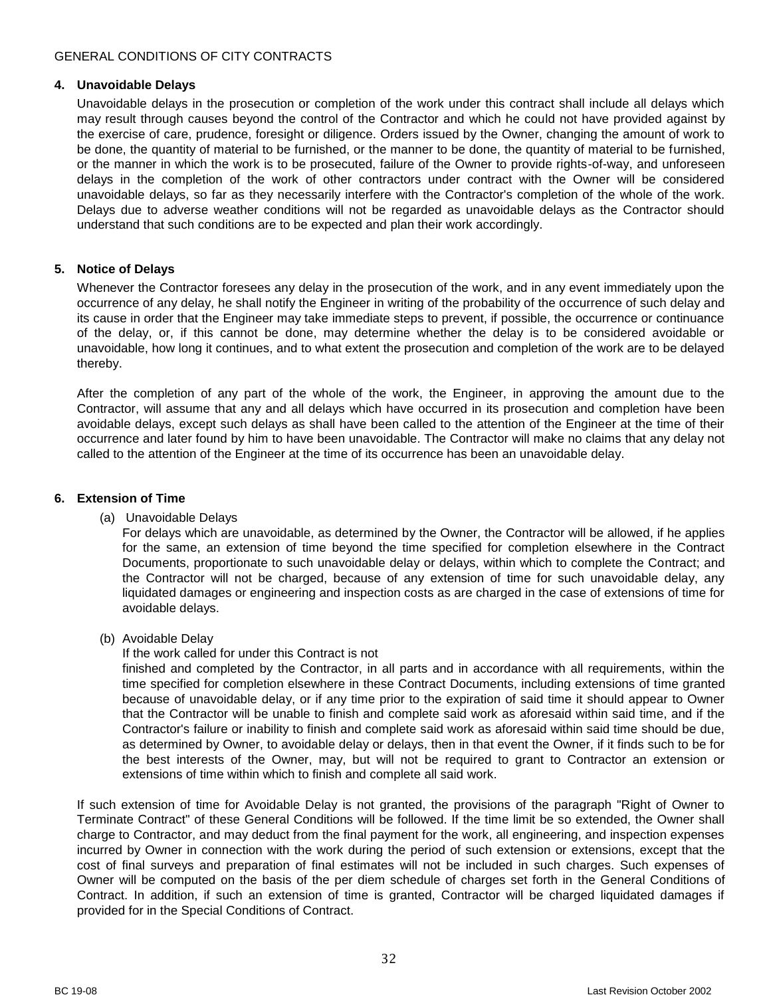#### <span id="page-31-0"></span>**4. Unavoidable Delays**

Unavoidable delays in the prosecution or completion of the work under this contract shall include all delays which may result through causes beyond the control of the Contractor and which he could not have provided against by the exercise of care, prudence, foresight or diligence. Orders issued by the Owner, changing the amount of work to be done, the quantity of material to be furnished, or the manner to be done, the quantity of material to be furnished, or the manner in which the work is to be prosecuted, failure of the Owner to provide rights-of-way, and unforeseen delays in the completion of the work of other contractors under contract with the Owner will be considered unavoidable delays, so far as they necessarily interfere with the Contractor's completion of the whole of the work. Delays due to adverse weather conditions will not be regarded as unavoidable delays as the Contractor should understand that such conditions are to be expected and plan their work accordingly.

## <span id="page-31-1"></span>**5. Notice of Delays**

Whenever the Contractor foresees any delay in the prosecution of the work, and in any event immediately upon the occurrence of any delay, he shall notify the Engineer in writing of the probability of the occurrence of such delay and its cause in order that the Engineer may take immediate steps to prevent, if possible, the occurrence or continuance of the delay, or, if this cannot be done, may determine whether the delay is to be considered avoidable or unavoidable, how long it continues, and to what extent the prosecution and completion of the work are to be delayed thereby.

After the completion of any part of the whole of the work, the Engineer, in approving the amount due to the Contractor, will assume that any and all delays which have occurred in its prosecution and completion have been avoidable delays, except such delays as shall have been called to the attention of the Engineer at the time of their occurrence and later found by him to have been unavoidable. The Contractor will make no claims that any delay not called to the attention of the Engineer at the time of its occurrence has been an unavoidable delay.

## <span id="page-31-2"></span>**6. Extension of Time**

(a) Unavoidable Delays

For delays which are unavoidable, as determined by the Owner, the Contractor will be allowed, if he applies for the same, an extension of time beyond the time specified for completion elsewhere in the Contract Documents, proportionate to such unavoidable delay or delays, within which to complete the Contract; and the Contractor will not be charged, because of any extension of time for such unavoidable delay, any liquidated damages or engineering and inspection costs as are charged in the case of extensions of time for avoidable delays.

(b) Avoidable Delay

If the work called for under this Contract is not

finished and completed by the Contractor, in all parts and in accordance with all requirements, within the time specified for completion elsewhere in these Contract Documents, including extensions of time granted because of unavoidable delay, or if any time prior to the expiration of said time it should appear to Owner that the Contractor will be unable to finish and complete said work as aforesaid within said time, and if the Contractor's failure or inability to finish and complete said work as aforesaid within said time should be due, as determined by Owner, to avoidable delay or delays, then in that event the Owner, if it finds such to be for the best interests of the Owner, may, but will not be required to grant to Contractor an extension or extensions of time within which to finish and complete all said work.

If such extension of time for Avoidable Delay is not granted, the provisions of the paragraph "Right of Owner to Terminate Contract" of these General Conditions will be followed. If the time limit be so extended, the Owner shall charge to Contractor, and may deduct from the final payment for the work, all engineering, and inspection expenses incurred by Owner in connection with the work during the period of such extension or extensions, except that the cost of final surveys and preparation of final estimates will not be included in such charges. Such expenses of Owner will be computed on the basis of the per diem schedule of charges set forth in the General Conditions of Contract. In addition, if such an extension of time is granted, Contractor will be charged liquidated damages if provided for in the Special Conditions of Contract.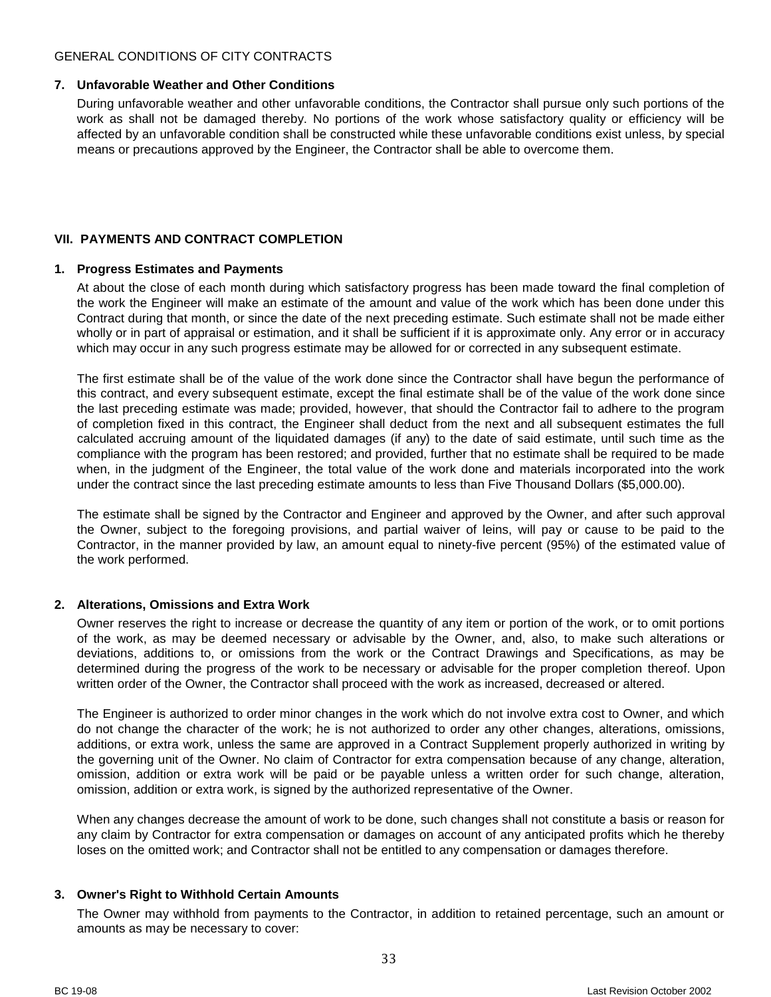## <span id="page-32-0"></span>**7. Unfavorable Weather and Other Conditions**

During unfavorable weather and other unfavorable conditions, the Contractor shall pursue only such portions of the work as shall not be damaged thereby. No portions of the work whose satisfactory quality or efficiency will be affected by an unfavorable condition shall be constructed while these unfavorable conditions exist unless, by special means or precautions approved by the Engineer, the Contractor shall be able to overcome them.

# <span id="page-32-1"></span>**VII. PAYMENTS AND CONTRACT COMPLETION**

## <span id="page-32-2"></span>**1. Progress Estimates and Payments**

At about the close of each month during which satisfactory progress has been made toward the final completion of the work the Engineer will make an estimate of the amount and value of the work which has been done under this Contract during that month, or since the date of the next preceding estimate. Such estimate shall not be made either wholly or in part of appraisal or estimation, and it shall be sufficient if it is approximate only. Any error or in accuracy which may occur in any such progress estimate may be allowed for or corrected in any subsequent estimate.

The first estimate shall be of the value of the work done since the Contractor shall have begun the performance of this contract, and every subsequent estimate, except the final estimate shall be of the value of the work done since the last preceding estimate was made; provided, however, that should the Contractor fail to adhere to the program of completion fixed in this contract, the Engineer shall deduct from the next and all subsequent estimates the full calculated accruing amount of the liquidated damages (if any) to the date of said estimate, until such time as the compliance with the program has been restored; and provided, further that no estimate shall be required to be made when, in the judgment of the Engineer, the total value of the work done and materials incorporated into the work under the contract since the last preceding estimate amounts to less than Five Thousand Dollars (\$5,000.00).

The estimate shall be signed by the Contractor and Engineer and approved by the Owner, and after such approval the Owner, subject to the foregoing provisions, and partial waiver of leins, will pay or cause to be paid to the Contractor, in the manner provided by law, an amount equal to ninety-five percent (95%) of the estimated value of the work performed.

## <span id="page-32-3"></span>**2. Alterations, Omissions and Extra Work**

Owner reserves the right to increase or decrease the quantity of any item or portion of the work, or to omit portions of the work, as may be deemed necessary or advisable by the Owner, and, also, to make such alterations or deviations, additions to, or omissions from the work or the Contract Drawings and Specifications, as may be determined during the progress of the work to be necessary or advisable for the proper completion thereof. Upon written order of the Owner, the Contractor shall proceed with the work as increased, decreased or altered.

The Engineer is authorized to order minor changes in the work which do not involve extra cost to Owner, and which do not change the character of the work; he is not authorized to order any other changes, alterations, omissions, additions, or extra work, unless the same are approved in a Contract Supplement properly authorized in writing by the governing unit of the Owner. No claim of Contractor for extra compensation because of any change, alteration, omission, addition or extra work will be paid or be payable unless a written order for such change, alteration, omission, addition or extra work, is signed by the authorized representative of the Owner.

When any changes decrease the amount of work to be done, such changes shall not constitute a basis or reason for any claim by Contractor for extra compensation or damages on account of any anticipated profits which he thereby loses on the omitted work; and Contractor shall not be entitled to any compensation or damages therefore.

## <span id="page-32-4"></span>**3. Owner's Right to Withhold Certain Amounts**

The Owner may withhold from payments to the Contractor, in addition to retained percentage, such an amount or amounts as may be necessary to cover: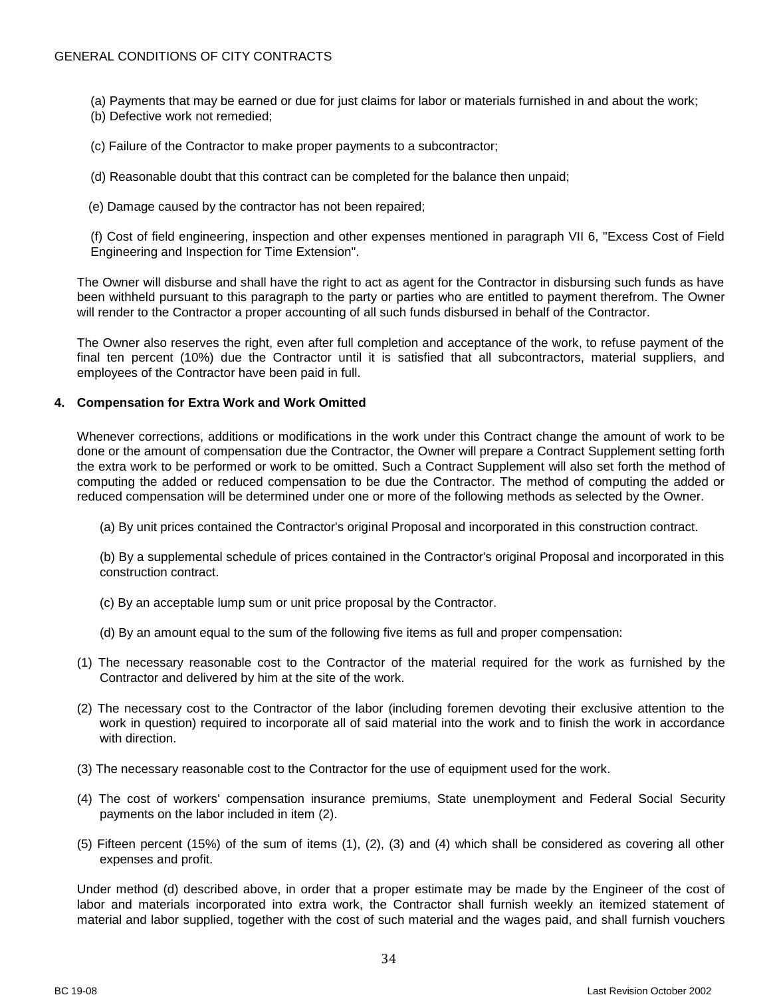(a) Payments that may be earned or due for just claims for labor or materials furnished in and about the work; (b) Defective work not remedied;

(c) Failure of the Contractor to make proper payments to a subcontractor;

(d) Reasonable doubt that this contract can be completed for the balance then unpaid;

(e) Damage caused by the contractor has not been repaired;

(f) Cost of field engineering, inspection and other expenses mentioned in paragraph VII 6, "Excess Cost of Field Engineering and Inspection for Time Extension".

The Owner will disburse and shall have the right to act as agent for the Contractor in disbursing such funds as have been withheld pursuant to this paragraph to the party or parties who are entitled to payment therefrom. The Owner will render to the Contractor a proper accounting of all such funds disbursed in behalf of the Contractor.

The Owner also reserves the right, even after full completion and acceptance of the work, to refuse payment of the final ten percent (10%) due the Contractor until it is satisfied that all subcontractors, material suppliers, and employees of the Contractor have been paid in full.

#### <span id="page-33-0"></span>**4. Compensation for Extra Work and Work Omitted**

Whenever corrections, additions or modifications in the work under this Contract change the amount of work to be done or the amount of compensation due the Contractor, the Owner will prepare a Contract Supplement setting forth the extra work to be performed or work to be omitted. Such a Contract Supplement will also set forth the method of computing the added or reduced compensation to be due the Contractor. The method of computing the added or reduced compensation will be determined under one or more of the following methods as selected by the Owner.

(a) By unit prices contained the Contractor's original Proposal and incorporated in this construction contract.

(b) By a supplemental schedule of prices contained in the Contractor's original Proposal and incorporated in this construction contract.

- (c) By an acceptable lump sum or unit price proposal by the Contractor.
- (d) By an amount equal to the sum of the following five items as full and proper compensation:
- (1) The necessary reasonable cost to the Contractor of the material required for the work as furnished by the Contractor and delivered by him at the site of the work.
- (2) The necessary cost to the Contractor of the labor (including foremen devoting their exclusive attention to the work in question) required to incorporate all of said material into the work and to finish the work in accordance with direction.
- (3) The necessary reasonable cost to the Contractor for the use of equipment used for the work.
- (4) The cost of workers' compensation insurance premiums, State unemployment and Federal Social Security payments on the labor included in item (2).
- (5) Fifteen percent (15%) of the sum of items (1), (2), (3) and (4) which shall be considered as covering all other expenses and profit.

Under method (d) described above, in order that a proper estimate may be made by the Engineer of the cost of labor and materials incorporated into extra work, the Contractor shall furnish weekly an itemized statement of material and labor supplied, together with the cost of such material and the wages paid, and shall furnish vouchers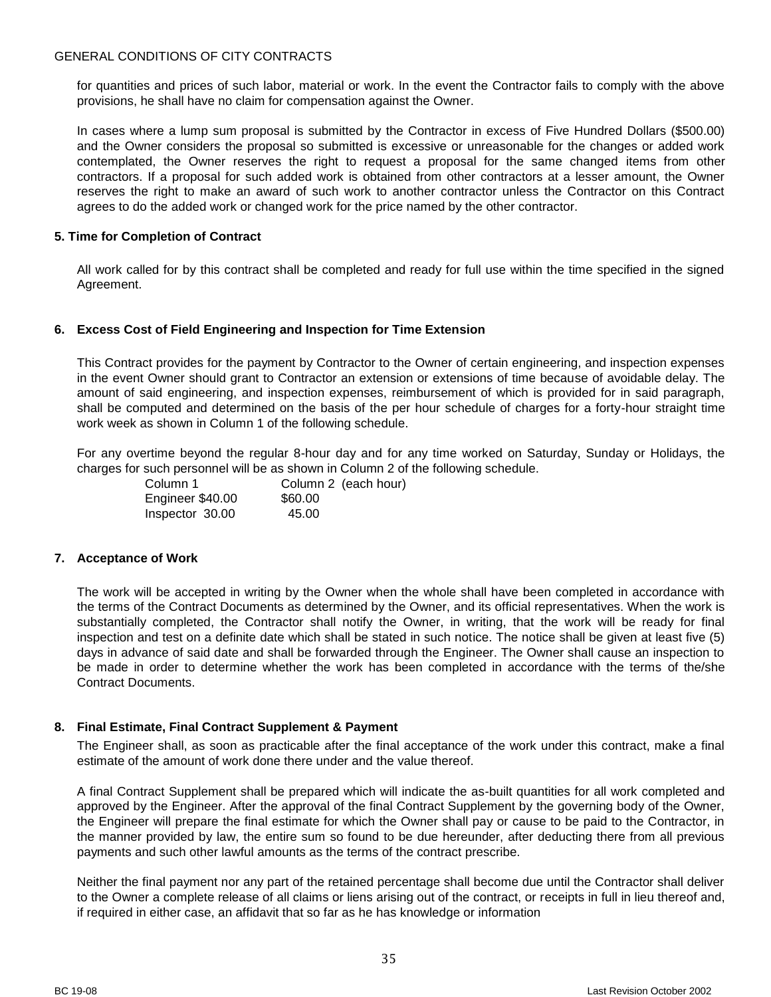for quantities and prices of such labor, material or work. In the event the Contractor fails to comply with the above provisions, he shall have no claim for compensation against the Owner.

In cases where a lump sum proposal is submitted by the Contractor in excess of Five Hundred Dollars (\$500.00) and the Owner considers the proposal so submitted is excessive or unreasonable for the changes or added work contemplated, the Owner reserves the right to request a proposal for the same changed items from other contractors. If a proposal for such added work is obtained from other contractors at a lesser amount, the Owner reserves the right to make an award of such work to another contractor unless the Contractor on this Contract agrees to do the added work or changed work for the price named by the other contractor.

## <span id="page-34-0"></span>**5. Time for Completion of Contract**

All work called for by this contract shall be completed and ready for full use within the time specified in the signed Agreement.

## <span id="page-34-1"></span>**6. Excess Cost of Field Engineering and Inspection for Time Extension**

This Contract provides for the payment by Contractor to the Owner of certain engineering, and inspection expenses in the event Owner should grant to Contractor an extension or extensions of time because of avoidable delay. The amount of said engineering, and inspection expenses, reimbursement of which is provided for in said paragraph, shall be computed and determined on the basis of the per hour schedule of charges for a forty-hour straight time work week as shown in Column 1 of the following schedule.

For any overtime beyond the regular 8-hour day and for any time worked on Saturday, Sunday or Holidays, the charges for such personnel will be as shown in Column 2 of the following schedule.

| Column 1         | Column 2 (each hour) |
|------------------|----------------------|
| Engineer \$40.00 | \$60.00              |
| Inspector 30.00  | 45.00                |

#### <span id="page-34-2"></span>**7. Acceptance of Work**

The work will be accepted in writing by the Owner when the whole shall have been completed in accordance with the terms of the Contract Documents as determined by the Owner, and its official representatives. When the work is substantially completed, the Contractor shall notify the Owner, in writing, that the work will be ready for final inspection and test on a definite date which shall be stated in such notice. The notice shall be given at least five (5) days in advance of said date and shall be forwarded through the Engineer. The Owner shall cause an inspection to be made in order to determine whether the work has been completed in accordance with the terms of the/she Contract Documents.

## <span id="page-34-3"></span>**8. Final Estimate, Final Contract Supplement & Payment**

The Engineer shall, as soon as practicable after the final acceptance of the work under this contract, make a final estimate of the amount of work done there under and the value thereof.

A final Contract Supplement shall be prepared which will indicate the as-built quantities for all work completed and approved by the Engineer. After the approval of the final Contract Supplement by the governing body of the Owner, the Engineer will prepare the final estimate for which the Owner shall pay or cause to be paid to the Contractor, in the manner provided by law, the entire sum so found to be due hereunder, after deducting there from all previous payments and such other lawful amounts as the terms of the contract prescribe.

Neither the final payment nor any part of the retained percentage shall become due until the Contractor shall deliver to the Owner a complete release of all claims or liens arising out of the contract, or receipts in full in lieu thereof and, if required in either case, an affidavit that so far as he has knowledge or information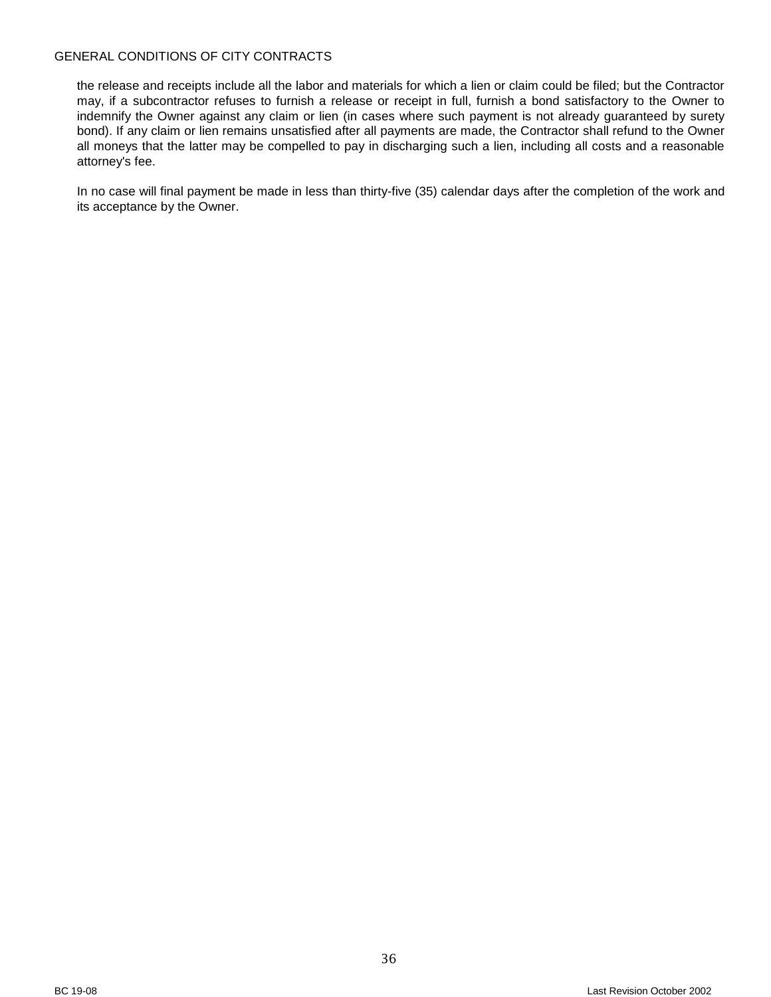the release and receipts include all the labor and materials for which a lien or claim could be filed; but the Contractor may, if a subcontractor refuses to furnish a release or receipt in full, furnish a bond satisfactory to the Owner to indemnify the Owner against any claim or lien (in cases where such payment is not already guaranteed by surety bond). If any claim or lien remains unsatisfied after all payments are made, the Contractor shall refund to the Owner all moneys that the latter may be compelled to pay in discharging such a lien, including all costs and a reasonable attorney's fee.

In no case will final payment be made in less than thirty-five (35) calendar days after the completion of the work and its acceptance by the Owner.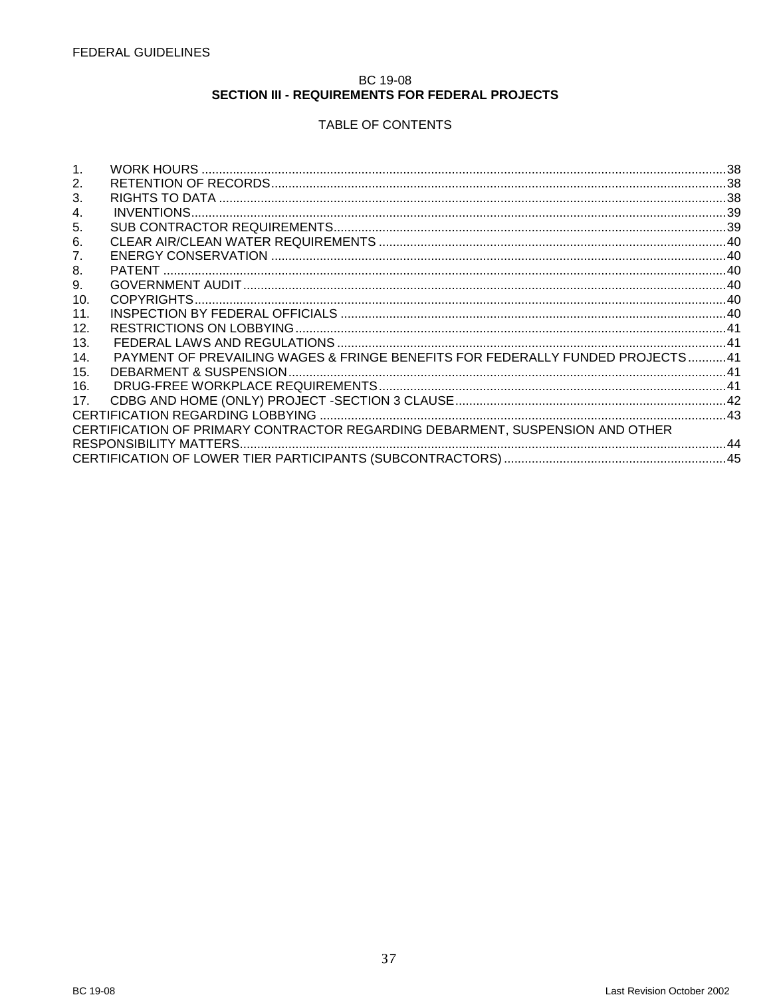## BC 19-08 SECTION III - REQUIREMENTS FOR FEDERAL PROJECTS

# TABLE OF CONTENTS

<span id="page-36-0"></span>

| 2.             |                                                                               |  |
|----------------|-------------------------------------------------------------------------------|--|
| 3.             |                                                                               |  |
| 4.             |                                                                               |  |
| 5.             |                                                                               |  |
| 6.             |                                                                               |  |
| 7 <sub>1</sub> |                                                                               |  |
| 8.             |                                                                               |  |
| 9.             |                                                                               |  |
| 10.            |                                                                               |  |
| 11.            |                                                                               |  |
| 12.            |                                                                               |  |
| 13.            |                                                                               |  |
| 14.            | PAYMENT OF PREVAILING WAGES & FRINGE BENEFITS FOR FEDERALLY FUNDED PROJECTS41 |  |
| 15.            |                                                                               |  |
| 16.            |                                                                               |  |
| 17.            |                                                                               |  |
|                |                                                                               |  |
|                | CERTIFICATION OF PRIMARY CONTRACTOR REGARDING DEBARMENT. SUSPENSION AND OTHER |  |
|                |                                                                               |  |
|                |                                                                               |  |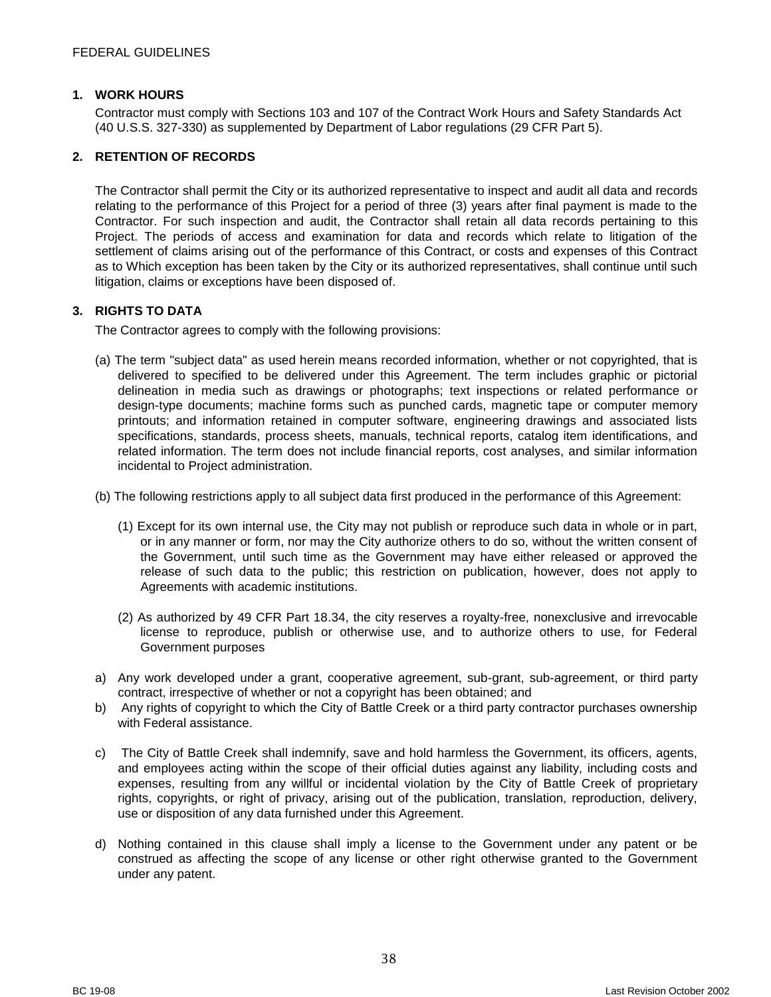#### <span id="page-37-0"></span>**1. WORK HOURS**

Contractor must comply with Sections 103 and 107 of the Contract Work Hours and Safety Standards Act (40 U.S.S. 327-330) as supplemented by Department of Labor regulations (29 CFR Part 5).

#### <span id="page-37-1"></span>**2. RETENTION OF RECORDS**

The Contractor shall permit the City or its authorized representative to inspect and audit all data and records relating to the performance of this Project for a period of three (3) years after final payment is made to the Contractor. For such inspection and audit, the Contractor shall retain all data records pertaining to this Project. The periods of access and examination for data and records which relate to litigation of the settlement of claims arising out of the performance of this Contract, or costs and expenses of this Contract as to Which exception has been taken by the City or its authorized representatives, shall continue until such litigation, claims or exceptions have been disposed of.

## <span id="page-37-2"></span>**3. RIGHTS TO DATA**

The Contractor agrees to comply with the following provisions:

- (a) The term "subject data" as used herein means recorded information, whether or not copyrighted, that is delivered to specified to be delivered under this Agreement. The term includes graphic or pictorial delineation in media such as drawings or photographs; text inspections or related performance or design-type documents; machine forms such as punched cards, magnetic tape or computer memory printouts; and information retained in computer software, engineering drawings and associated lists specifications, standards, process sheets, manuals, technical reports, catalog item identifications, and related information. The term does not include financial reports, cost analyses, and similar information incidental to Project administration.
- (b) The following restrictions apply to all subject data first produced in the performance of this Agreement:
	- (1) Except for its own internal use, the City may not publish or reproduce such data in whole or in part, or in any manner or form, nor may the City authorize others to do so, without the written consent of the Government, until such time as the Government may have either released or approved the release of such data to the public; this restriction on publication, however, does not apply to Agreements with academic institutions.
	- (2) As authorized by 49 CFR Part 18.34, the city reserves a royalty-free, nonexclusive and irrevocable license to reproduce, publish or otherwise use, and to authorize others to use, for Federal Government purposes
- a) Any work developed under a grant, cooperative agreement, sub-grant, sub-agreement, or third party contract, irrespective of whether or not a copyright has been obtained; and
- b) Any rights of copyright to which the City of Battle Creek or a third party contractor purchases ownership with Federal assistance.
- c) The City of Battle Creek shall indemnify, save and hold harmless the Government, its officers, agents, and employees acting within the scope of their official duties against any liability, including costs and expenses, resulting from any willful or incidental violation by the City of Battle Creek of proprietary rights, copyrights, or right of privacy, arising out of the publication, translation, reproduction, delivery, use or disposition of any data furnished under this Agreement.
- d) Nothing contained in this clause shall imply a license to the Government under any patent or be construed as affecting the scope of any license or other right otherwise granted to the Government under any patent.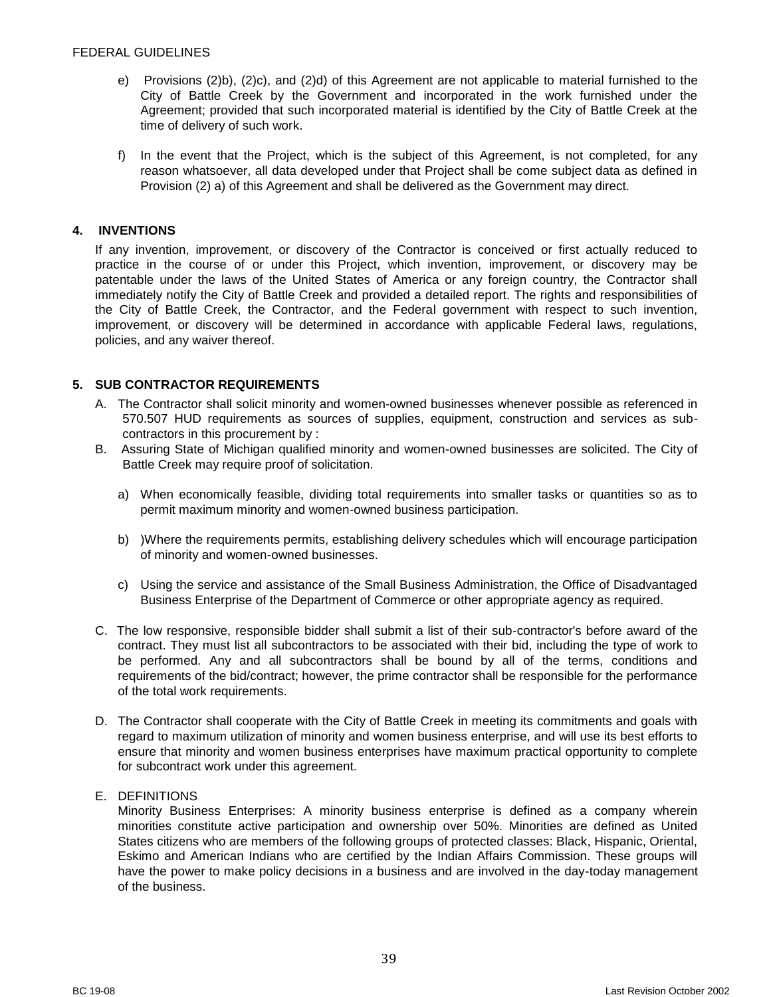- e) Provisions (2)b), (2)c), and (2)d) of this Agreement are not applicable to material furnished to the City of Battle Creek by the Government and incorporated in the work furnished under the Agreement; provided that such incorporated material is identified by the City of Battle Creek at the time of delivery of such work.
- f) In the event that the Project, which is the subject of this Agreement, is not completed, for any reason whatsoever, all data developed under that Project shall be come subject data as defined in Provision (2) a) of this Agreement and shall be delivered as the Government may direct.

# <span id="page-38-0"></span>**4. INVENTIONS**

If any invention, improvement, or discovery of the Contractor is conceived or first actually reduced to practice in the course of or under this Project, which invention, improvement, or discovery may be patentable under the laws of the United States of America or any foreign country, the Contractor shall immediately notify the City of Battle Creek and provided a detailed report. The rights and responsibilities of the City of Battle Creek, the Contractor, and the Federal government with respect to such invention, improvement, or discovery will be determined in accordance with applicable Federal laws, regulations, policies, and any waiver thereof.

# <span id="page-38-1"></span>**5. SUB CONTRACTOR REQUIREMENTS**

- A. The Contractor shall solicit minority and women-owned businesses whenever possible as referenced in 570.507 HUD requirements as sources of supplies, equipment, construction and services as subcontractors in this procurement by :
- B. Assuring State of Michigan qualified minority and women-owned businesses are solicited. The City of Battle Creek may require proof of solicitation.
	- a) When economically feasible, dividing total requirements into smaller tasks or quantities so as to permit maximum minority and women-owned business participation.
	- b) )Where the requirements permits, establishing delivery schedules which will encourage participation of minority and women-owned businesses.
	- c) Using the service and assistance of the Small Business Administration, the Office of Disadvantaged Business Enterprise of the Department of Commerce or other appropriate agency as required.
- C. The low responsive, responsible bidder shall submit a list of their sub-contractor's before award of the contract. They must list all subcontractors to be associated with their bid, including the type of work to be performed. Any and all subcontractors shall be bound by all of the terms, conditions and requirements of the bid/contract; however, the prime contractor shall be responsible for the performance of the total work requirements.
- D. The Contractor shall cooperate with the City of Battle Creek in meeting its commitments and goals with regard to maximum utilization of minority and women business enterprise, and will use its best efforts to ensure that minority and women business enterprises have maximum practical opportunity to complete for subcontract work under this agreement.
- E. DEFINITIONS

Minority Business Enterprises: A minority business enterprise is defined as a company wherein minorities constitute active participation and ownership over 50%. Minorities are defined as United States citizens who are members of the following groups of protected classes: Black, Hispanic, Oriental, Eskimo and American Indians who are certified by the Indian Affairs Commission. These groups will have the power to make policy decisions in a business and are involved in the day-today management of the business.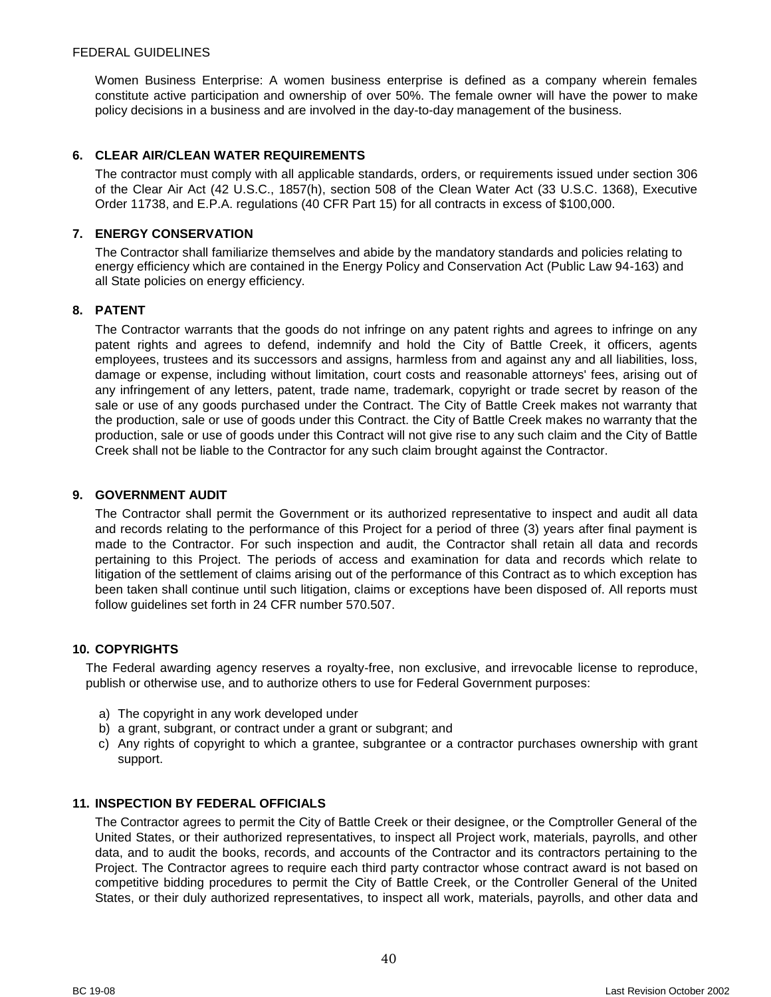Women Business Enterprise: A women business enterprise is defined as a company wherein females constitute active participation and ownership of over 50%. The female owner will have the power to make policy decisions in a business and are involved in the day-to-day management of the business.

## <span id="page-39-0"></span>**6. CLEAR AIR/CLEAN WATER REQUIREMENTS**

The contractor must comply with all applicable standards, orders, or requirements issued under section 306 of the Clear Air Act (42 U.S.C., 1857(h), section 508 of the Clean Water Act (33 U.S.C. 1368), Executive Order 11738, and E.P.A. regulations (40 CFR Part 15) for all contracts in excess of \$100,000.

## <span id="page-39-1"></span>**7. ENERGY CONSERVATION**

The Contractor shall familiarize themselves and abide by the mandatory standards and policies relating to energy efficiency which are contained in the Energy Policy and Conservation Act (Public Law 94-163) and all State policies on energy efficiency.

## <span id="page-39-2"></span>**8. PATENT**

The Contractor warrants that the goods do not infringe on any patent rights and agrees to infringe on any patent rights and agrees to defend, indemnify and hold the City of Battle Creek, it officers, agents employees, trustees and its successors and assigns, harmless from and against any and all liabilities, loss, damage or expense, including without limitation, court costs and reasonable attorneys' fees, arising out of any infringement of any letters, patent, trade name, trademark, copyright or trade secret by reason of the sale or use of any goods purchased under the Contract. The City of Battle Creek makes not warranty that the production, sale or use of goods under this Contract. the City of Battle Creek makes no warranty that the production, sale or use of goods under this Contract will not give rise to any such claim and the City of Battle Creek shall not be liable to the Contractor for any such claim brought against the Contractor.

#### <span id="page-39-3"></span>**9. GOVERNMENT AUDIT**

The Contractor shall permit the Government or its authorized representative to inspect and audit all data and records relating to the performance of this Project for a period of three (3) years after final payment is made to the Contractor. For such inspection and audit, the Contractor shall retain all data and records pertaining to this Project. The periods of access and examination for data and records which relate to litigation of the settlement of claims arising out of the performance of this Contract as to which exception has been taken shall continue until such litigation, claims or exceptions have been disposed of. All reports must follow guidelines set forth in 24 CFR number 570.507.

#### <span id="page-39-4"></span>**10. COPYRIGHTS**

The Federal awarding agency reserves a royalty-free, non exclusive, and irrevocable license to reproduce, publish or otherwise use, and to authorize others to use for Federal Government purposes:

- a) The copyright in any work developed under
- b) a grant, subgrant, or contract under a grant or subgrant; and
- c) Any rights of copyright to which a grantee, subgrantee or a contractor purchases ownership with grant support.

#### <span id="page-39-5"></span>**11. INSPECTION BY FEDERAL OFFICIALS**

The Contractor agrees to permit the City of Battle Creek or their designee, or the Comptroller General of the United States, or their authorized representatives, to inspect all Project work, materials, payrolls, and other data, and to audit the books, records, and accounts of the Contractor and its contractors pertaining to the Project. The Contractor agrees to require each third party contractor whose contract award is not based on competitive bidding procedures to permit the City of Battle Creek, or the Controller General of the United States, or their duly authorized representatives, to inspect all work, materials, payrolls, and other data and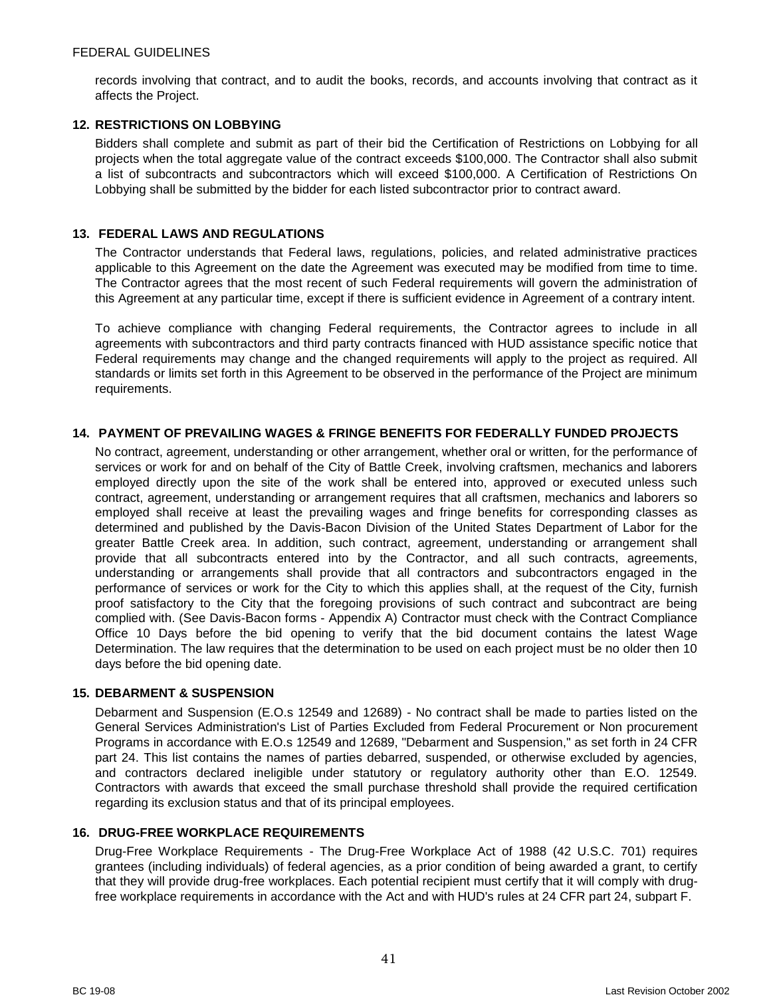records involving that contract, and to audit the books, records, and accounts involving that contract as it affects the Project.

## <span id="page-40-0"></span>**12. RESTRICTIONS ON LOBBYING**

Bidders shall complete and submit as part of their bid the Certification of Restrictions on Lobbying for all projects when the total aggregate value of the contract exceeds \$100,000. The Contractor shall also submit a list of subcontracts and subcontractors which will exceed \$100,000. A Certification of Restrictions On Lobbying shall be submitted by the bidder for each listed subcontractor prior to contract award.

## <span id="page-40-1"></span>**13. FEDERAL LAWS AND REGULATIONS**

The Contractor understands that Federal laws, regulations, policies, and related administrative practices applicable to this Agreement on the date the Agreement was executed may be modified from time to time. The Contractor agrees that the most recent of such Federal requirements will govern the administration of this Agreement at any particular time, except if there is sufficient evidence in Agreement of a contrary intent.

To achieve compliance with changing Federal requirements, the Contractor agrees to include in all agreements with subcontractors and third party contracts financed with HUD assistance specific notice that Federal requirements may change and the changed requirements will apply to the project as required. All standards or limits set forth in this Agreement to be observed in the performance of the Project are minimum requirements.

## <span id="page-40-2"></span>**14. PAYMENT OF PREVAILING WAGES & FRINGE BENEFITS FOR FEDERALLY FUNDED PROJECTS**

No contract, agreement, understanding or other arrangement, whether oral or written, for the performance of services or work for and on behalf of the City of Battle Creek, involving craftsmen, mechanics and laborers employed directly upon the site of the work shall be entered into, approved or executed unless such contract, agreement, understanding or arrangement requires that all craftsmen, mechanics and laborers so employed shall receive at least the prevailing wages and fringe benefits for corresponding classes as determined and published by the Davis-Bacon Division of the United States Department of Labor for the greater Battle Creek area. In addition, such contract, agreement, understanding or arrangement shall provide that all subcontracts entered into by the Contractor, and all such contracts, agreements, understanding or arrangements shall provide that all contractors and subcontractors engaged in the performance of services or work for the City to which this applies shall, at the request of the City, furnish proof satisfactory to the City that the foregoing provisions of such contract and subcontract are being complied with. (See Davis-Bacon forms - Appendix A) Contractor must check with the Contract Compliance Office 10 Days before the bid opening to verify that the bid document contains the latest Wage Determination. The law requires that the determination to be used on each project must be no older then 10 days before the bid opening date.

#### <span id="page-40-3"></span>**15. DEBARMENT & SUSPENSION**

Debarment and Suspension (E.O.s 12549 and 12689) - No contract shall be made to parties listed on the General Services Administration's List of Parties Excluded from Federal Procurement or Non procurement Programs in accordance with E.O.s 12549 and 12689, "Debarment and Suspension," as set forth in 24 CFR part 24. This list contains the names of parties debarred, suspended, or otherwise excluded by agencies, and contractors declared ineligible under statutory or regulatory authority other than E.O. 12549. Contractors with awards that exceed the small purchase threshold shall provide the required certification regarding its exclusion status and that of its principal employees.

#### <span id="page-40-4"></span>**16. DRUG-FREE WORKPLACE REQUIREMENTS**

Drug-Free Workplace Requirements - The Drug-Free Workplace Act of 1988 (42 U.S.C. 701) requires grantees (including individuals) of federal agencies, as a prior condition of being awarded a grant, to certify that they will provide drug-free workplaces. Each potential recipient must certify that it will comply with drugfree workplace requirements in accordance with the Act and with HUD's rules at 24 CFR part 24, subpart F.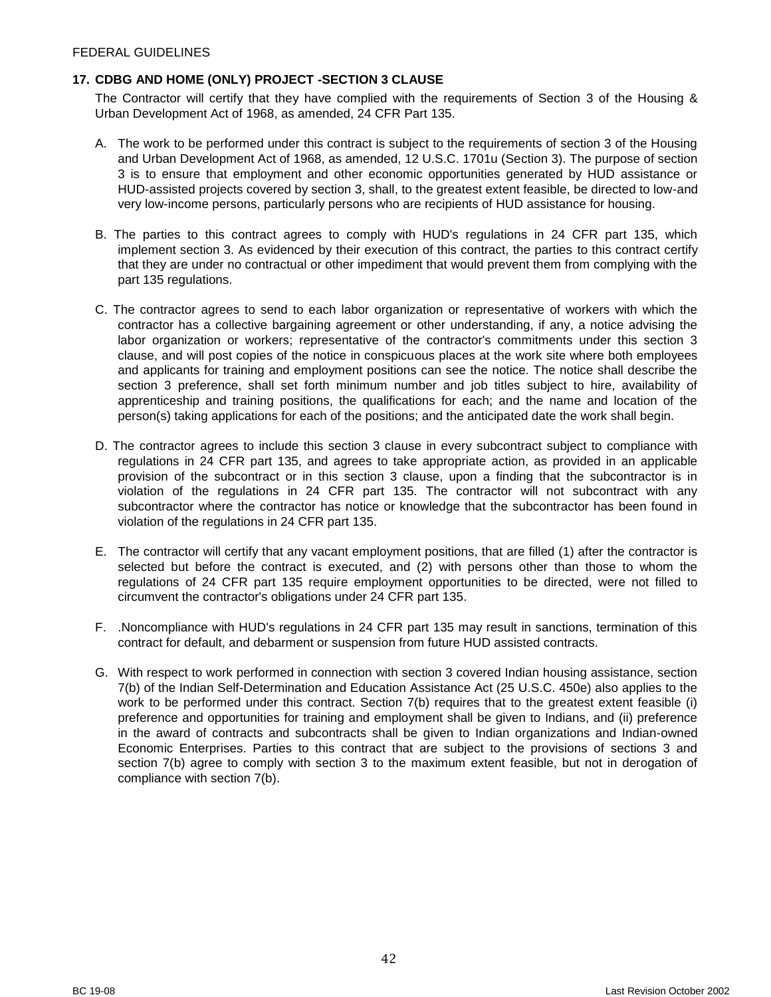## <span id="page-41-0"></span>**17. CDBG AND HOME (ONLY) PROJECT -SECTION 3 CLAUSE**

The Contractor will certify that they have complied with the requirements of Section 3 of the Housing & Urban Development Act of 1968, as amended, 24 CFR Part 135.

- A. The work to be performed under this contract is subject to the requirements of section 3 of the Housing and Urban Development Act of 1968, as amended, 12 U.S.C. 1701u (Section 3). The purpose of section 3 is to ensure that employment and other economic opportunities generated by HUD assistance or HUD-assisted projects covered by section 3, shall, to the greatest extent feasible, be directed to low-and very low-income persons, particularly persons who are recipients of HUD assistance for housing.
- B. The parties to this contract agrees to comply with HUD's regulations in 24 CFR part 135, which implement section 3. As evidenced by their execution of this contract, the parties to this contract certify that they are under no contractual or other impediment that would prevent them from complying with the part 135 regulations.
- C. The contractor agrees to send to each labor organization or representative of workers with which the contractor has a collective bargaining agreement or other understanding, if any, a notice advising the labor organization or workers; representative of the contractor's commitments under this section 3 clause, and will post copies of the notice in conspicuous places at the work site where both employees and applicants for training and employment positions can see the notice. The notice shall describe the section 3 preference, shall set forth minimum number and job titles subject to hire, availability of apprenticeship and training positions, the qualifications for each; and the name and location of the person(s) taking applications for each of the positions; and the anticipated date the work shall begin.
- D. The contractor agrees to include this section 3 clause in every subcontract subject to compliance with regulations in 24 CFR part 135, and agrees to take appropriate action, as provided in an applicable provision of the subcontract or in this section 3 clause, upon a finding that the subcontractor is in violation of the regulations in 24 CFR part 135. The contractor will not subcontract with any subcontractor where the contractor has notice or knowledge that the subcontractor has been found in violation of the regulations in 24 CFR part 135.
- E. The contractor will certify that any vacant employment positions, that are filled (1) after the contractor is selected but before the contract is executed, and (2) with persons other than those to whom the regulations of 24 CFR part 135 require employment opportunities to be directed, were not filled to circumvent the contractor's obligations under 24 CFR part 135.
- F. .Noncompliance with HUD's regulations in 24 CFR part 135 may result in sanctions, termination of this contract for default, and debarment or suspension from future HUD assisted contracts.
- G. With respect to work performed in connection with section 3 covered Indian housing assistance, section 7(b) of the Indian Self-Determination and Education Assistance Act (25 U.S.C. 450e) also applies to the work to be performed under this contract. Section 7(b) requires that to the greatest extent feasible (i) preference and opportunities for training and employment shall be given to Indians, and (ii) preference in the award of contracts and subcontracts shall be given to Indian organizations and Indian-owned Economic Enterprises. Parties to this contract that are subject to the provisions of sections 3 and section 7(b) agree to comply with section 3 to the maximum extent feasible, but not in derogation of compliance with section 7(b).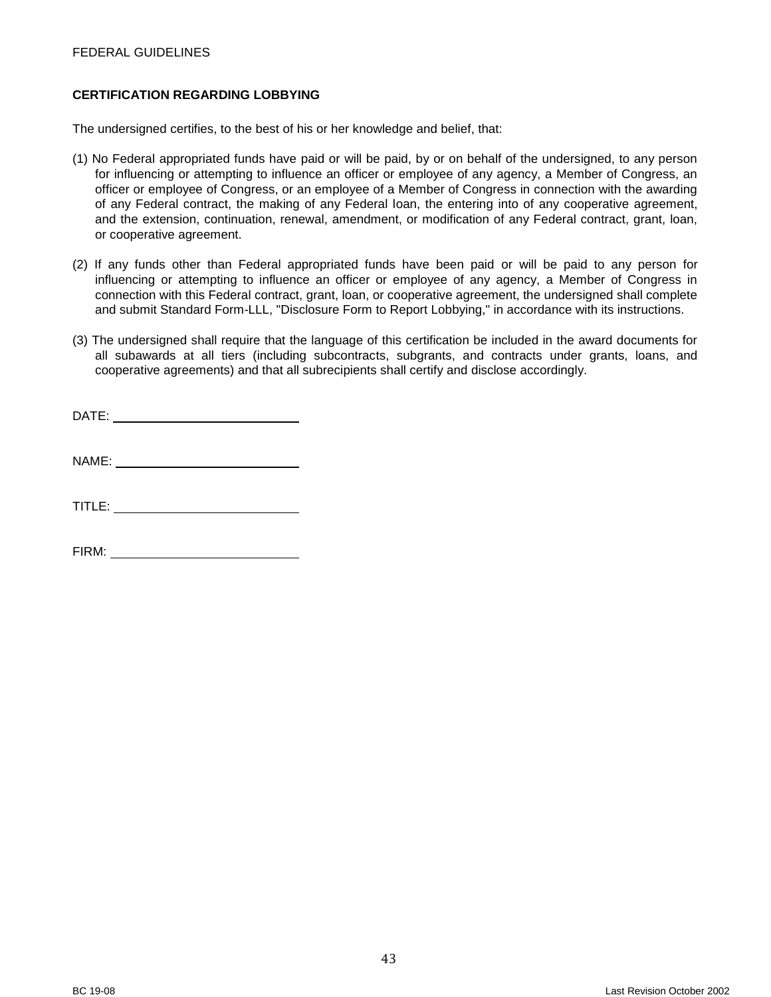## FEDERAL GUIDELINES

#### <span id="page-42-0"></span>**CERTIFICATION REGARDING LOBBYING**

The undersigned certifies, to the best of his or her knowledge and belief, that:

- (1) No Federal appropriated funds have paid or will be paid, by or on behalf of the undersigned, to any person for influencing or attempting to influence an officer or employee of any agency, a Member of Congress, an officer or employee of Congress, or an employee of a Member of Congress in connection with the awarding of any Federal contract, the making of any Federal loan, the entering into of any cooperative agreement, and the extension, continuation, renewal, amendment, or modification of any Federal contract, grant, loan, or cooperative agreement.
- (2) If any funds other than Federal appropriated funds have been paid or will be paid to any person for influencing or attempting to influence an officer or employee of any agency, a Member of Congress in connection with this Federal contract, grant, loan, or cooperative agreement, the undersigned shall complete and submit Standard Form-LLL, "Disclosure Form to Report Lobbying," in accordance with its instructions.
- (3) The undersigned shall require that the language of this certification be included in the award documents for all subawards at all tiers (including subcontracts, subgrants, and contracts under grants, loans, and cooperative agreements) and that all subrecipients shall certify and disclose accordingly.

NAME:

TITLE:

FIRM: University of the state of the state of the state of the state of the state of the state of the state of the state of the state of the state of the state of the state of the state of the state of the state of the sta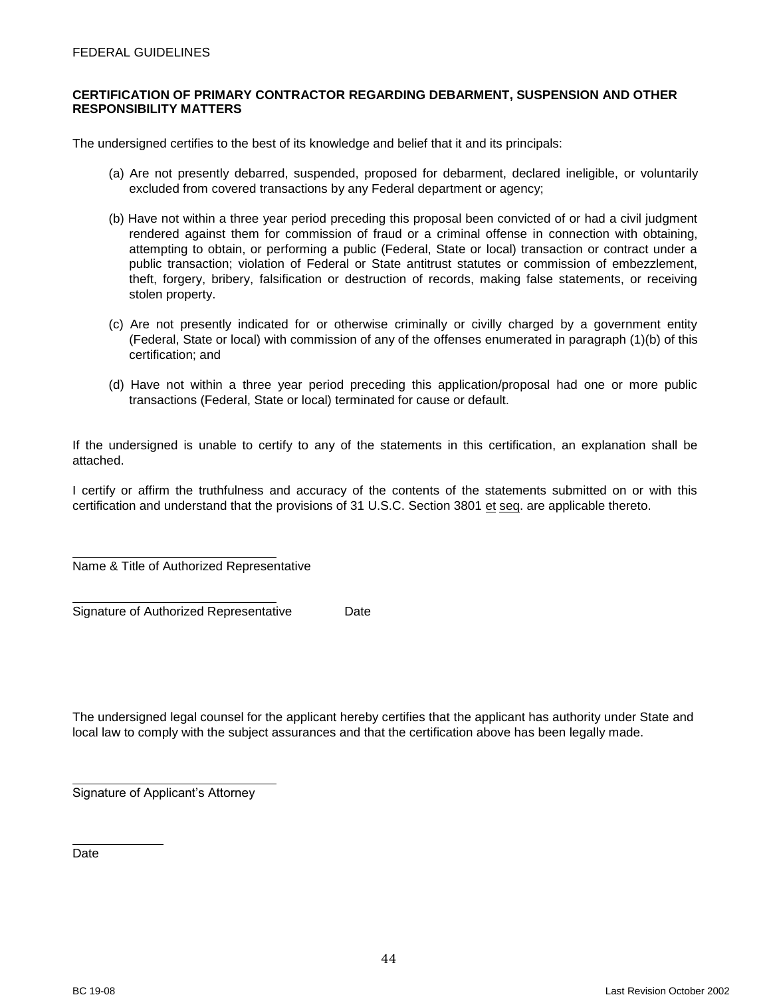#### FEDERAL GUIDELINES

#### <span id="page-43-0"></span>**CERTIFICATION OF PRIMARY CONTRACTOR REGARDING DEBARMENT, SUSPENSION AND OTHER RESPONSIBILITY MATTERS**

The undersigned certifies to the best of its knowledge and belief that it and its principals:

- (a) Are not presently debarred, suspended, proposed for debarment, declared ineligible, or voluntarily excluded from covered transactions by any Federal department or agency;
- (b) Have not within a three year period preceding this proposal been convicted of or had a civil judgment rendered against them for commission of fraud or a criminal offense in connection with obtaining, attempting to obtain, or performing a public (Federal, State or local) transaction or contract under a public transaction; violation of Federal or State antitrust statutes or commission of embezzlement, theft, forgery, bribery, falsification or destruction of records, making false statements, or receiving stolen property.
- (c) Are not presently indicated for or otherwise criminally or civilly charged by a government entity (Federal, State or local) with commission of any of the offenses enumerated in paragraph (1)(b) of this certification; and
- (d) Have not within a three year period preceding this application/proposal had one or more public transactions (Federal, State or local) terminated for cause or default.

If the undersigned is unable to certify to any of the statements in this certification, an explanation shall be attached.

I certify or affirm the truthfulness and accuracy of the contents of the statements submitted on or with this certification and understand that the provisions of 31 U.S.C. Section 3801 et seq. are applicable thereto.

Name & Title of Authorized Representative

Signature of Authorized Representative Date

The undersigned legal counsel for the applicant hereby certifies that the applicant has authority under State and local law to comply with the subject assurances and that the certification above has been legally made.

Signature of Applicant's Attorney

Date